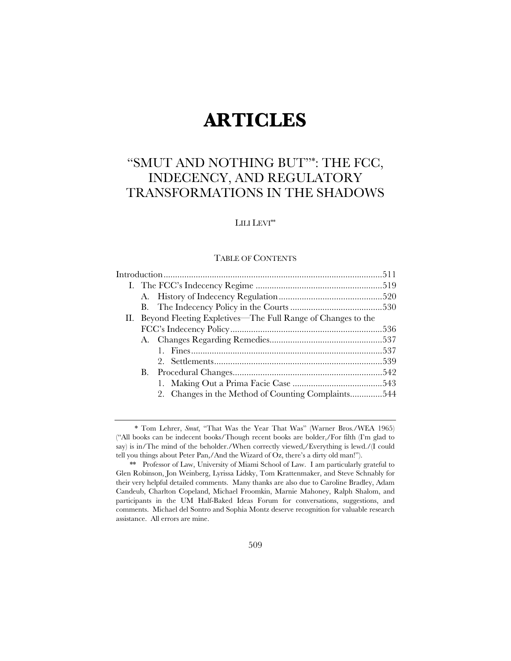# **ARTICLES**

## "SMUT AND NOTHING BUT"\*: THE FCC, INDECENCY, AND REGULATORY TRANSFORMATIONS IN THE SHADOWS

### LILI LEVI\*\*

### TABLE OF CONTENTS

|    | II. Beyond Fleeting Expletives—The Full Range of Changes to the |  |  |  |  |
|----|-----------------------------------------------------------------|--|--|--|--|
|    |                                                                 |  |  |  |  |
|    |                                                                 |  |  |  |  |
|    |                                                                 |  |  |  |  |
|    |                                                                 |  |  |  |  |
| В. |                                                                 |  |  |  |  |
|    |                                                                 |  |  |  |  |
|    | 2. Changes in the Method of Counting Complaints544              |  |  |  |  |
|    |                                                                 |  |  |  |  |

 <sup>\*</sup> Tom Lehrer, *Smut*, "That Was the Year That Was" (Warner Bros./WEA 1965) ("All books can be indecent books/Though recent books are bolder,/For filth (I'm glad to say) is in/The mind of the beholder./When correctly viewed,/Everything is lewd./(I could tell you things about Peter Pan,/And the Wizard of Oz, there's a dirty old man!").

 <sup>\*\*</sup> Professor of Law, University of Miami School of Law. I am particularly grateful to Glen Robinson, Jon Weinberg, Lyrissa Lidsky, Tom Krattenmaker, and Steve Schnably for their very helpful detailed comments. Many thanks are also due to Caroline Bradley, Adam Candeub, Charlton Copeland, Michael Froomkin, Marnie Mahoney, Ralph Shalom, and participants in the UM Half-Baked Ideas Forum for conversations, suggestions, and comments. Michael del Sontro and Sophia Montz deserve recognition for valuable research assistance. All errors are mine.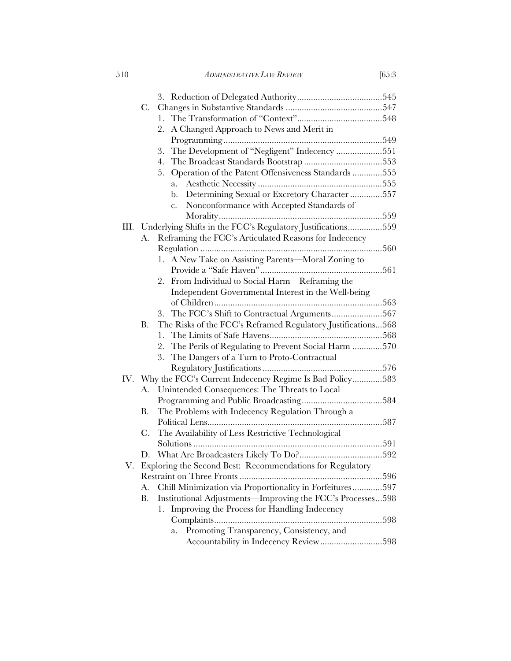510 *ADMINISTRATIVE LAW REVIEW* [65:3

|    | C.                                                  |                                                                                                               |  |
|----|-----------------------------------------------------|---------------------------------------------------------------------------------------------------------------|--|
|    |                                                     | 1.                                                                                                            |  |
|    |                                                     | A Changed Approach to News and Merit in<br>2.                                                                 |  |
|    |                                                     |                                                                                                               |  |
|    |                                                     | The Development of "Negligent" Indecency 551<br>3.                                                            |  |
|    |                                                     | 4.                                                                                                            |  |
|    |                                                     | Operation of the Patent Offensiveness Standards 555<br>5.                                                     |  |
|    |                                                     | a.                                                                                                            |  |
|    |                                                     | Determining Sexual or Excretory Character 557<br>b.                                                           |  |
|    |                                                     | Nonconformance with Accepted Standards of<br>$\mathbf{c}$ .                                                   |  |
|    |                                                     |                                                                                                               |  |
|    |                                                     | III. Underlying Shifts in the FCC's Regulatory Justifications559                                              |  |
|    | A.                                                  | Reframing the FCC's Articulated Reasons for Indecency                                                         |  |
|    |                                                     |                                                                                                               |  |
|    |                                                     | 1. A New Take on Assisting Parents—Moral Zoning to                                                            |  |
|    |                                                     |                                                                                                               |  |
|    |                                                     | From Individual to Social Harm—Reframing the<br>2.                                                            |  |
|    |                                                     | Independent Governmental Interest in the Well-being                                                           |  |
|    |                                                     |                                                                                                               |  |
|    |                                                     | 3.                                                                                                            |  |
|    | В.                                                  | The Risks of the FCC's Reframed Regulatory Justifications568                                                  |  |
|    |                                                     | 1.                                                                                                            |  |
|    |                                                     | The Perils of Regulating to Prevent Social Harm 570<br>2.<br>3.<br>The Dangers of a Turn to Proto-Contractual |  |
|    |                                                     |                                                                                                               |  |
|    |                                                     | IV. Why the FCC's Current Indecency Regime Is Bad Policy583                                                   |  |
|    | Unintended Consequences: The Threats to Local<br>А. |                                                                                                               |  |
|    |                                                     |                                                                                                               |  |
|    | В.                                                  | The Problems with Indecency Regulation Through a                                                              |  |
|    |                                                     |                                                                                                               |  |
|    | C.                                                  | The Availability of Less Restrictive Technological                                                            |  |
|    |                                                     |                                                                                                               |  |
|    | D.                                                  |                                                                                                               |  |
| V. |                                                     | Exploring the Second Best: Recommendations for Regulatory                                                     |  |
|    |                                                     |                                                                                                               |  |
|    | A.                                                  | Chill Minimization via Proportionality in Forfeitures597                                                      |  |
|    | Β.                                                  | Institutional Adjustments—Improving the FCC's Processes598                                                    |  |
|    |                                                     | Improving the Process for Handling Indecency<br>1.                                                            |  |
|    |                                                     |                                                                                                               |  |
|    |                                                     | Promoting Transparency, Consistency, and<br>a.                                                                |  |
|    |                                                     | Accountability in Indecency Review598                                                                         |  |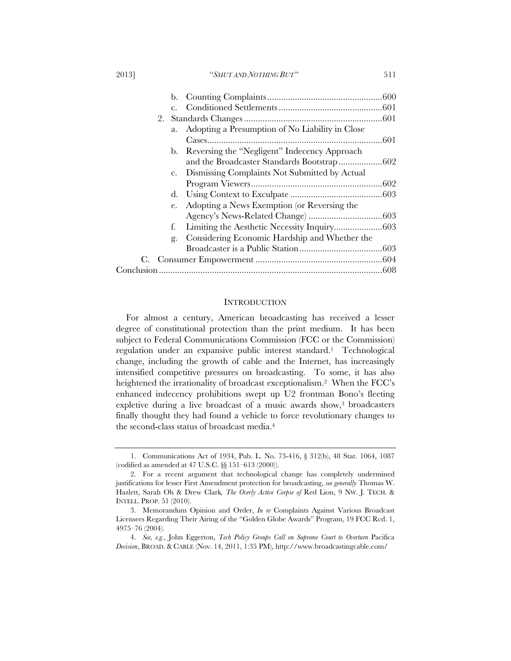| 20131<br>"SMUT AND NOTHING BUT" |  |
|---------------------------------|--|
|---------------------------------|--|

| $C_{\alpha}$ |                                                  |  |
|--------------|--------------------------------------------------|--|
|              |                                                  |  |
| a.           | Adopting a Presumption of No Liability in Close  |  |
|              |                                                  |  |
|              | b. Reversing the "Negligent" Indecency Approach  |  |
|              | and the Broadcaster Standards Bootstrap602       |  |
|              | c. Dismissing Complaints Not Submitted by Actual |  |
|              |                                                  |  |
|              |                                                  |  |
| e.           | Adopting a News Exemption (or Reversing the      |  |
|              |                                                  |  |
| f.           |                                                  |  |
| g.           | Considering Economic Hardship and Whether the    |  |
|              |                                                  |  |
|              |                                                  |  |
|              |                                                  |  |

#### **INTRODUCTION**

For almost a century, American broadcasting has received a lesser degree of constitutional protection than the print medium. It has been subject to Federal Communications Commission (FCC or the Commission) regulation under an expansive public interest standard.1 Technological change, including the growth of cable and the Internet, has increasingly intensified competitive pressures on broadcasting. To some, it has also heightened the irrationality of broadcast exceptionalism.<sup>2</sup> When the FCC's enhanced indecency prohibitions swept up U2 frontman Bono's fleeting expletive during a live broadcast of a music awards show,<sup>3</sup> broadcasters finally thought they had found a vehicle to force revolutionary changes to the second-class status of broadcast media.4

 <sup>1.</sup> Communications Act of 1934, Pub. L. No. 73-416, § 312(b), 48 Stat. 1064, 1087 (codified as amended at 47 U.S.C. §§ 151–613 (2000)).

 <sup>2.</sup> For a recent argument that technological change has completely undermined justifications for lesser First Amendment protection for broadcasting, *see generally* Thomas W. Hazlett, Sarah Oh & Drew Clark*, The Overly Active Corpse of* Red Lion, 9 NW. J. TECH. & INTELL. PROP. 51 (2010).

 <sup>3.</sup> Memorandum Opinion and Order, *In re* Complaints Against Various Broadcast Licensees Regarding Their Airing of the "Golden Globe Awards" Program, 19 FCC Rcd. 1, 4975–76 (2004).

 <sup>4.</sup> *See, e.g.*, John Eggerton, *Tech Policy Groups Call on Supreme Court to Overturn* Pacifica *Decision*, BROAD. & CABLE (Nov. 14, 2011, 1:35 PM), http://www.broadcastingcable.com/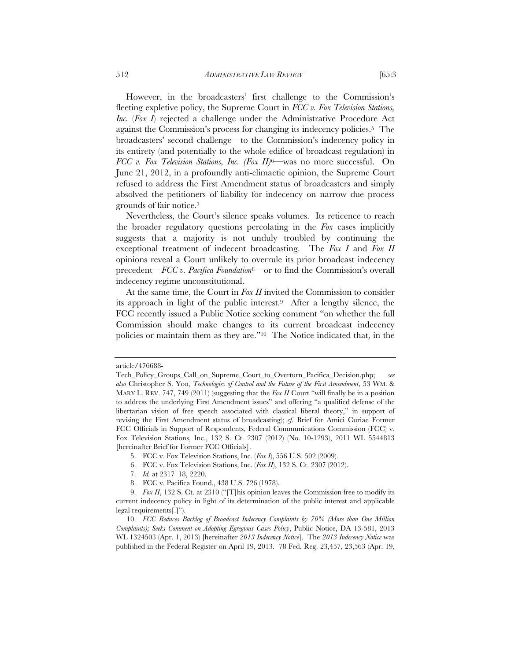However, in the broadcasters' first challenge to the Commission's fleeting expletive policy, the Supreme Court in *FCC v. Fox Television Stations, Inc.* (*Fox I*) rejected a challenge under the Administrative Procedure Act against the Commission's process for changing its indecency policies.5 The broadcasters' second challenge—to the Commission's indecency policy in its entirety (and potentially to the whole edifice of broadcast regulation) in *FCC v. Fox Television Stations, Inc. (Fox II)*6—was no more successful. On June 21, 2012, in a profoundly anti-climactic opinion, the Supreme Court refused to address the First Amendment status of broadcasters and simply absolved the petitioners of liability for indecency on narrow due process grounds of fair notice.7

Nevertheless, the Court's silence speaks volumes. Its reticence to reach the broader regulatory questions percolating in the *Fox* cases implicitly suggests that a majority is not unduly troubled by continuing the exceptional treatment of indecent broadcasting. The *Fox I* and *Fox II* opinions reveal a Court unlikely to overrule its prior broadcast indecency precedent—*FCC v. Pacifica Foundation*8—or to find the Commission's overall indecency regime unconstitutional.

At the same time, the Court in *Fox II* invited the Commission to consider its approach in light of the public interest.9 After a lengthy silence, the FCC recently issued a Public Notice seeking comment "on whether the full Commission should make changes to its current broadcast indecency policies or maintain them as they are."10 The Notice indicated that, in the

article/476688-

Tech\_Policy\_Groups\_Call\_on\_Supreme\_Court\_to\_Overturn\_Pacifica\_Decision.php; *see also* Christopher S. Yoo, *Technologies of Control and the Future of the First Amendment*, 53 WM. & MARY L. REV. 747, 749 (2011) (suggesting that the *Fox II* Court "will finally be in a position to address the underlying First Amendment issues" and offering "a qualified defense of the libertarian vision of free speech associated with classical liberal theory," in support of revising the First Amendment status of broadcasting); *cf.* Brief for Amici Curiae Former FCC Officials in Support of Respondents, Federal Communications Commission (FCC) v. Fox Television Stations, Inc., 132 S. Ct. 2307 (2012) (No. 10-1293), 2011 WL 5544813 [hereinafter Brief for Former FCC Officials].

 <sup>5.</sup> FCC v. Fox Television Stations, Inc. (*Fox I*), 556 U.S. 502 (2009).

 <sup>6.</sup> FCC v. Fox Television Stations, Inc. (*Fox II*), 132 S. Ct. 2307 (2012).

 <sup>7.</sup> *Id.* at 2317–18, 2220.

 <sup>8.</sup> FCC v. Pacifica Found., 438 U.S. 726 (1978).

 <sup>9.</sup> *Fox II*, 132 S. Ct. at 2310 ("[T]his opinion leaves the Commission free to modify its current indecency policy in light of its determination of the public interest and applicable legal requirements[.]").

 <sup>10.</sup> *FCC Reduces Backlog of Broadcast Indecency Complaints by 70% (More than One Million Complaints); Seeks Comment on Adopting Egregious Cases Policy*, Public Notice, DA 13-581, 2013 WL 1324503 (Apr. 1, 2013) [hereinafter *2013 Indecency Notice*]. The *2013 Indecency Notice* was published in the Federal Register on April 19, 2013. 78 Fed. Reg. 23,457, 23,563 (Apr. 19,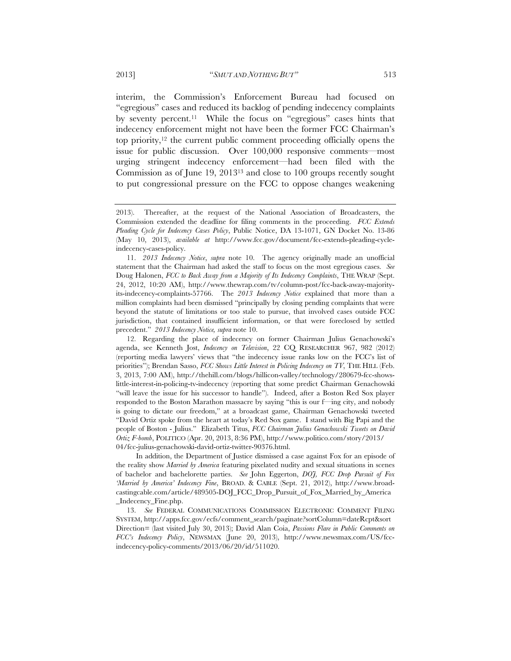interim, the Commission's Enforcement Bureau had focused on "egregious" cases and reduced its backlog of pending indecency complaints by seventy percent.11 While the focus on "egregious" cases hints that indecency enforcement might not have been the former FCC Chairman's top priority,12 the current public comment proceeding officially opens the issue for public discussion. Over 100,000 responsive comments—most urging stringent indecency enforcement—had been filed with the Commission as of June 19, 201313 and close to 100 groups recently sought to put congressional pressure on the FCC to oppose changes weakening

In addition, the Department of Justice dismissed a case against Fox for an episode of the reality show *Married by America* featuring pixelated nudity and sexual situations in scenes of bachelor and bachelorette parties. *See* John Eggerton, *DOJ, FCC Drop Pursuit of Fox 'Married by America' Indecency Fine*, BROAD. & CABLE (Sept. 21, 2012), http://www.broadcastingcable.com/article/489505-DOJ\_FCC\_Drop\_Pursuit\_of\_Fox\_Married\_by\_America \_Indecency\_Fine.php.

 13. *See* FEDERAL COMMUNICATIONS COMMISSION ELECTRONIC COMMENT FILING SYSTEM, http://apps.fcc.gov/ecfs/comment\_search/paginate?sortColumn=dateRcpt&sort Direction= (last visited July 30, 2013); David Alan Coia, *Passions Flare in Public Comments on FCC's Indecency Policy*, NEWSMAX (June 20, 2013), http://www.newsmax.com/US/fccindecency-policy-comments/2013/06/20/id/511020.

<sup>2013).</sup> Thereafter, at the request of the National Association of Broadcasters, the Commission extended the deadline for filing comments in the proceeding. *FCC Extends Pleading Cycle for Indecency Cases Policy*, Public Notice, DA 13-1071, GN Docket No. 13-86 (May 10, 2013), *available at* http://www.fcc.gov/document/fcc-extends-pleading-cycleindecency-cases-policy.

 <sup>11.</sup> *2013 Indecency Notice*, *supra* note 10. The agency originally made an unofficial statement that the Chairman had asked the staff to focus on the most egregious cases. *See*  Doug Halonen, *FCC to Back Away from a Majority of Its Indecency Complaints*, THE WRAP (Sept. 24, 2012, 10:20 AM), http://www.thewrap.com/tv/column-post/fcc-back-away-majorityits-indecency-complaints-57766. The *2013 Indecency Notice* explained that more than a million complaints had been dismissed "principally by closing pending complaints that were beyond the statute of limitations or too stale to pursue, that involved cases outside FCC jurisdiction, that contained insufficient information, or that were foreclosed by settled precedent." *2013 Indecency Notice, supra* note 10.

 <sup>12.</sup> Regarding the place of indecency on former Chairman Julius Genachowski's agenda, see Kenneth Jost, *Indecency on Television*, 22 CQ RESEARCHER 967, 982 (2012) (reporting media lawyers' views that "the indecency issue ranks low on the FCC's list of priorities"); Brendan Sasso, *FCC Shows Little Interest in Policing Indecency on TV*, THE HILL (Feb. 3, 2013, 7:00 AM), http://thehill.com/blogs/hillicon-valley/technology/280679-fcc-showslittle-interest-in-policing-tv-indecency (reporting that some predict Chairman Genachowski "will leave the issue for his successor to handle"). Indeed, after a Boston Red Sox player responded to the Boston Marathon massacre by saying "this is our f—ing city, and nobody is going to dictate our freedom," at a broadcast game, Chairman Genachowski tweeted "David Ortiz spoke from the heart at today's Red Sox game. I stand with Big Papi and the people of Boston - Julius." Elizabeth Titus, *FCC Chairman Julius Genachowski Tweets on David Ortiz F-bomb*, POLITICO (Apr. 20, 2013, 8:36 PM), http://www.politico.com/story/2013/ 04/fcc-julius-genachowski-david-ortiz-twitter-90376.html.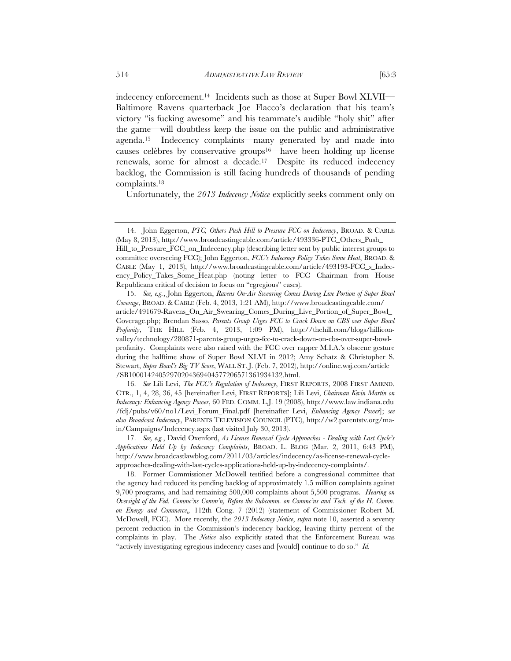indecency enforcement.14 Incidents such as those at Super Bowl XLVII— Baltimore Ravens quarterback Joe Flacco's declaration that his team's victory "is fucking awesome" and his teammate's audible "holy shit" after the game—will doubtless keep the issue on the public and administrative agenda.15 Indecency complaints—many generated by and made into causes celèbres by conservative groups<sup>16—</sup>have been holding up license renewals, some for almost a decade.17 Despite its reduced indecency backlog, the Commission is still facing hundreds of thousands of pending complaints.18

Unfortunately, the *2013 Indecency Notice* explicitly seeks comment only on

 16. *See* Lili Levi, *The FCC's Regulation of Indecency*, FIRST REPORTS, 2008 FIRST AMEND. CTR., 1, 4, 28, 36, 45 [hereinafter Levi, FIRST REPORTS]; Lili Levi, *Chairman Kevin Martin on Indecency: Enhancing Agency Power*, 60 FED. COMM. L.J. 19 (2008), http://www.law.indiana.edu /fclj/pubs/v60/no1/Levi\_Forum\_Final.pdf [hereinafter Levi, *Enhancing Agency Power*]; *see also Broadcast Indecency*, PARENTS TELEVISION COUNCIL (PTC), http://w2.parentstv.org/main/Campaigns/Indecency.aspx (last visited July 30, 2013).

 <sup>14.</sup> John Eggerton, *PTC, Others Push Hill to Pressure FCC on Indecency*, BROAD. & CABLE (May 8, 2013), http://www.broadcastingcable.com/article/493336-PTC\_Others\_Push\_ Hill\_to\_Pressure\_FCC\_on\_Indecency.php (describing letter sent by public interest groups to committee overseeing FCC); John Eggerton, *FCC's Indecency Policy Takes Some Heat*, BROAD. & CABLE (May 1, 2013), http://www.broadcastingcable.com/article/493193-FCC\_s\_Indecency\_Policy\_Takes\_Some\_Heat.php (noting letter to FCC Chairman from House Republicans critical of decision to focus on "egregious" cases).

 <sup>15.</sup> *See, e.g.*, John Eggerton, *Ravens On-Air Swearing Comes During Live Portion of Super Bowl Coverage*, BROAD. & CABLE (Feb. 4, 2013, 1:21 AM), http://www.broadcastingcable.com/ article/491679-Ravens\_On\_Air\_Swearing\_Comes\_During\_Live\_Portion\_of\_Super\_Bowl\_ Coverage.php; Brendan Sasso, *Parents Group Urges FCC to Crack Down on CBS over Super Bowl Profanity*, THE HILL (Feb. 4, 2013, 1:09 PM), http://thehill.com/blogs/hilliconvalley/technology/280871-parents-group-urges-fcc-to-crack-down-on-cbs-over-super-bowlprofanity. Complaints were also raised with the FCC over rapper M.I.A.'s obscene gesture during the halftime show of Super Bowl XLVI in 2012; Amy Schatz & Christopher S. Stewart, *Super Bowl's Big TV Score*, WALL ST. J. (Feb. 7, 2012), http://online.wsj.com/article /SB10001424052970204369404577206571361934132.html.

 <sup>17.</sup> *See, e.g.*, David Oxenford, *As License Renewal Cycle Approaches - Dealing with Last Cycle's Applications Held Up by Indecency Complaints*, BROAD. L. BLOG (Mar. 2, 2011, 6:43 PM), http://www.broadcastlawblog.com/2011/03/articles/indecency/as-license-renewal-cycleapproaches-dealing-with-last-cycles-applications-held-up-by-indecency-complaints/.

 <sup>18.</sup> Former Commissioner McDowell testified before a congressional committee that the agency had reduced its pending backlog of approximately 1.5 million complaints against 9,700 programs, and had remaining 500,000 complaints about 5,500 programs. *Hearing on Oversight of the Fed. Commc'ns Comm'n, Before the Subcomm. on Commc'ns and Tech. of the H. Comm. on Energy and Commerce*,*,* 112th Cong. 7 (2012) (statement of Commissioner Robert M. McDowell, FCC). More recently, the *2013 Indecency Notice*, *supra* note 10, asserted a seventy percent reduction in the Commission's indecency backlog, leaving thirty percent of the complaints in play. The *Notice* also explicitly stated that the Enforcement Bureau was "actively investigating egregious indecency cases and [would] continue to do so." *Id.*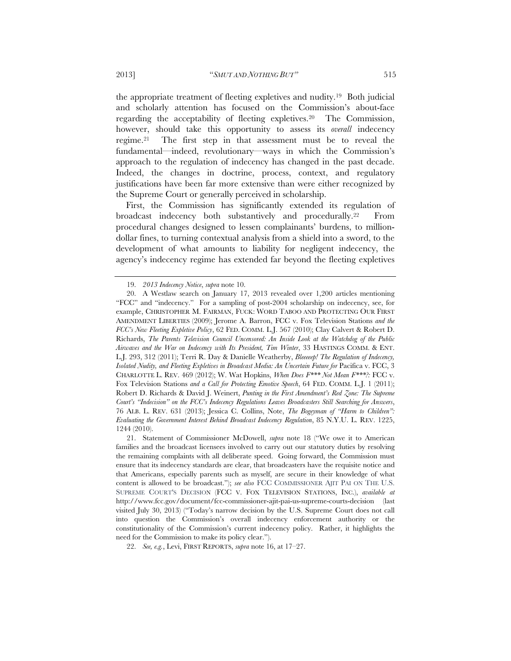the appropriate treatment of fleeting expletives and nudity.19 Both judicial and scholarly attention has focused on the Commission's about-face regarding the acceptability of fleeting expletives.20 The Commission, however, should take this opportunity to assess its *overall* indecency regime.21 The first step in that assessment must be to reveal the fundamental—indeed, revolutionary—ways in which the Commission's approach to the regulation of indecency has changed in the past decade. Indeed, the changes in doctrine, process, context, and regulatory justifications have been far more extensive than were either recognized by the Supreme Court or generally perceived in scholarship.

First, the Commission has significantly extended its regulation of broadcast indecency both substantively and procedurally.22 From procedural changes designed to lessen complainants' burdens, to milliondollar fines, to turning contextual analysis from a shield into a sword, to the development of what amounts to liability for negligent indecency, the agency's indecency regime has extended far beyond the fleeting expletives

 <sup>19.</sup> *2013 Indecency Notice*, *supra* note 10.

 <sup>20.</sup> A Westlaw search on January 17, 2013 revealed over 1,200 articles mentioning "FCC" and "indecency." For a sampling of post-2004 scholarship on indecency, see, for example, CHRISTOPHER M. FAIRMAN, FUCK: WORD TABOO AND PROTECTING OUR FIRST AMENDMENT LIBERTIES (2009); Jerome A. Barron, FCC v. Fox Television Stations *and the FCC's New Fleeting Expletive Policy*, 62 FED. COMM. L.J. 567 (2010); Clay Calvert & Robert D. Richards, *The Parents Television Council Uncensored: An Inside Look at the Watchdog of the Public Airwaves and the War on Indecency with Its President, Tim Winter*, 33 HASTINGS COMM. & ENT. L.J. 293, 312 (2011); Terri R. Day & Danielle Weatherby, *Bleeeeep! The Regulation of Indecency, Isolated Nudity, and Fleeting Expletives in Broadcast Media: An Uncertain Future for* Pacifica v. FCC, 3 CHARLOTTE L. REV. 469 (2012); W. Wat Hopkins, *When Does F\*\*\* Not Mean F\*\*\*?:* FCC v. Fox Television Stations *and a Call for Protecting Emotive Speech*, 64 FED. COMM. L.J. 1 (2011); Robert D. Richards & David J. Weinert, *Punting in the First Amendment's Red Zone: The Supreme Court's "Indecision" on the FCC's Indecency Regulations Leaves Broadcasters Still Searching for Answers*, 76 ALB. L. REV. 631 (2013); Jessica C. Collins, Note, *The Bogeyman of "Harm to Children": Evaluating the Government Interest Behind Broadcast Indecency Regulation*, 85 N.Y.U. L. REV. 1225, 1244 (2010).

 <sup>21.</sup> Statement of Commissioner McDowell, *supra* note 18 ("We owe it to American families and the broadcast licensees involved to carry out our statutory duties by resolving the remaining complaints with all deliberate speed. Going forward, the Commission must ensure that its indecency standards are clear, that broadcasters have the requisite notice and that Americans, especially parents such as myself, are secure in their knowledge of what content is allowed to be broadcast."); *see also* FCC COMMISSIONER AJIT PAI ON THE U.S. SUPREME COURT'S DECISION (FCC V. FOX TELEVISION STATIONS, INC.), *available at* http://www.fcc.gov/document/fcc-commissioner-ajit-pai-us-supreme-courts-decision (last visited July 30, 2013) ("Today's narrow decision by the U.S. Supreme Court does not call into question the Commission's overall indecency enforcement authority or the constitutionality of the Commission's current indecency policy. Rather, it highlights the need for the Commission to make its policy clear.").

 <sup>22.</sup> *See, e.g.*, Levi, FIRST REPORTS, *supra* note 16, at 17–27.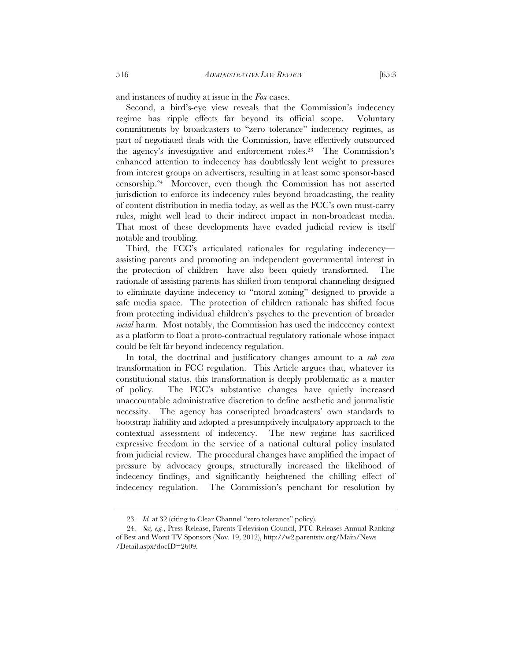Second, a bird's-eye view reveals that the Commission's indecency regime has ripple effects far beyond its official scope. Voluntary commitments by broadcasters to "zero tolerance" indecency regimes, as part of negotiated deals with the Commission, have effectively outsourced the agency's investigative and enforcement roles.23 The Commission's enhanced attention to indecency has doubtlessly lent weight to pressures from interest groups on advertisers, resulting in at least some sponsor-based censorship.24 Moreover, even though the Commission has not asserted jurisdiction to enforce its indecency rules beyond broadcasting, the reality of content distribution in media today, as well as the FCC's own must-carry rules, might well lead to their indirect impact in non-broadcast media. That most of these developments have evaded judicial review is itself notable and troubling.

Third, the FCC's articulated rationales for regulating indecency assisting parents and promoting an independent governmental interest in the protection of children—have also been quietly transformed. The rationale of assisting parents has shifted from temporal channeling designed to eliminate daytime indecency to "moral zoning" designed to provide a safe media space. The protection of children rationale has shifted focus from protecting individual children's psyches to the prevention of broader *social* harm. Most notably, the Commission has used the indecency context as a platform to float a proto-contractual regulatory rationale whose impact could be felt far beyond indecency regulation.

In total, the doctrinal and justificatory changes amount to a *sub rosa* transformation in FCC regulation. This Article argues that, whatever its constitutional status, this transformation is deeply problematic as a matter of policy. The FCC's substantive changes have quietly increased unaccountable administrative discretion to define aesthetic and journalistic necessity. The agency has conscripted broadcasters' own standards to bootstrap liability and adopted a presumptively inculpatory approach to the contextual assessment of indecency. The new regime has sacrificed expressive freedom in the service of a national cultural policy insulated from judicial review. The procedural changes have amplified the impact of pressure by advocacy groups, structurally increased the likelihood of indecency findings, and significantly heightened the chilling effect of indecency regulation. The Commission's penchant for resolution by

 <sup>23.</sup> *Id.* at 32 (citing to Clear Channel "zero tolerance" policy).

 <sup>24.</sup> *See, e.g.*, Press Release, Parents Television Council, PTC Releases Annual Ranking of Best and Worst TV Sponsors (Nov. 19, 2012), http://w2.parentstv.org/Main/News /Detail.aspx?docID=2609.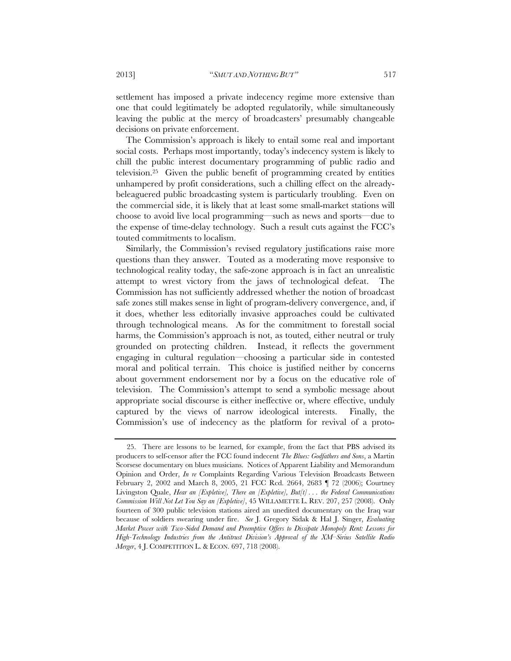settlement has imposed a private indecency regime more extensive than one that could legitimately be adopted regulatorily, while simultaneously leaving the public at the mercy of broadcasters' presumably changeable decisions on private enforcement.

The Commission's approach is likely to entail some real and important social costs. Perhaps most importantly, today's indecency system is likely to chill the public interest documentary programming of public radio and television.25 Given the public benefit of programming created by entities unhampered by profit considerations, such a chilling effect on the alreadybeleaguered public broadcasting system is particularly troubling. Even on the commercial side, it is likely that at least some small-market stations will choose to avoid live local programming—such as news and sports—due to the expense of time-delay technology. Such a result cuts against the FCC's touted commitments to localism.

Similarly, the Commission's revised regulatory justifications raise more questions than they answer. Touted as a moderating move responsive to technological reality today, the safe-zone approach is in fact an unrealistic attempt to wrest victory from the jaws of technological defeat. The Commission has not sufficiently addressed whether the notion of broadcast safe zones still makes sense in light of program-delivery convergence, and, if it does, whether less editorially invasive approaches could be cultivated through technological means. As for the commitment to forestall social harms, the Commission's approach is not, as touted, either neutral or truly grounded on protecting children. Instead, it reflects the government engaging in cultural regulation—choosing a particular side in contested moral and political terrain. This choice is justified neither by concerns about government endorsement nor by a focus on the educative role of television. The Commission's attempt to send a symbolic message about appropriate social discourse is either ineffective or, where effective, unduly captured by the views of narrow ideological interests. Finally, the Commission's use of indecency as the platform for revival of a proto-

 <sup>25.</sup> There are lessons to be learned, for example, from the fact that PBS advised its producers to self-censor after the FCC found indecent *The Blues: Godfathers and Sons*, a Martin Scorsese documentary on blues musicians. Notices of Apparent Liability and Memorandum Opinion and Order, *In re* Complaints Regarding Various Television Broadcasts Between February 2, 2002 and March 8, 2005, 21 FCC Rcd. 2664, 2683 ¶ 72 (2006); Courtney Livingston Quale, *Hear an [Expletive], There an [Expletive], But[t] . . . the Federal Communications Commission Will Not Let You Say an [Expletive]*, 45 WILLAMETTE L. REV. 207, 257 (2008). Only fourteen of 300 public television stations aired an unedited documentary on the Iraq war because of soldiers swearing under fire. *See* J. Gregory Sidak & Hal J. Singer, *Evaluating Market Power with Two-Sided Demand and Preemptive Offers to Dissipate Monopoly Rent: Lessons for High-Technology Industries from the Antitrust Division's Approval of the XM–Sirius Satellite Radio Merger*, 4 J. COMPETITION L. & ECON. 697, 718 (2008).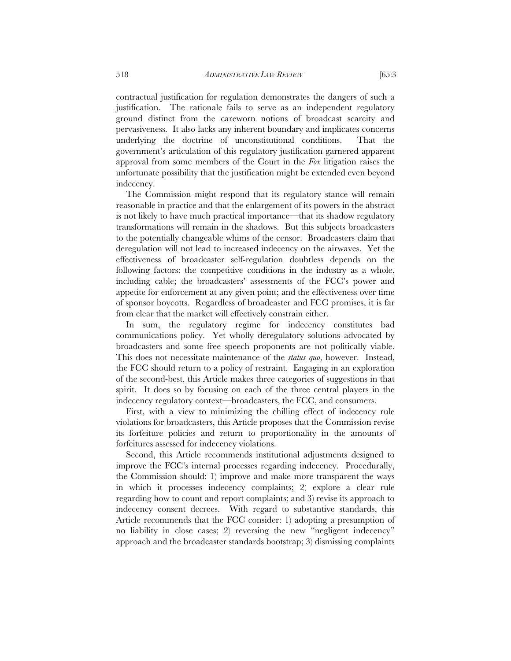contractual justification for regulation demonstrates the dangers of such a justification. The rationale fails to serve as an independent regulatory ground distinct from the careworn notions of broadcast scarcity and pervasiveness. It also lacks any inherent boundary and implicates concerns underlying the doctrine of unconstitutional conditions. That the government's articulation of this regulatory justification garnered apparent approval from some members of the Court in the *Fox* litigation raises the unfortunate possibility that the justification might be extended even beyond indecency.

The Commission might respond that its regulatory stance will remain reasonable in practice and that the enlargement of its powers in the abstract is not likely to have much practical importance—that its shadow regulatory transformations will remain in the shadows. But this subjects broadcasters to the potentially changeable whims of the censor. Broadcasters claim that deregulation will not lead to increased indecency on the airwaves. Yet the effectiveness of broadcaster self-regulation doubtless depends on the following factors: the competitive conditions in the industry as a whole, including cable; the broadcasters' assessments of the FCC's power and appetite for enforcement at any given point; and the effectiveness over time of sponsor boycotts. Regardless of broadcaster and FCC promises, it is far from clear that the market will effectively constrain either.

In sum, the regulatory regime for indecency constitutes bad communications policy. Yet wholly deregulatory solutions advocated by broadcasters and some free speech proponents are not politically viable. This does not necessitate maintenance of the *status quo*, however. Instead, the FCC should return to a policy of restraint. Engaging in an exploration of the second-best, this Article makes three categories of suggestions in that spirit. It does so by focusing on each of the three central players in the indecency regulatory context—broadcasters, the FCC, and consumers.

First, with a view to minimizing the chilling effect of indecency rule violations for broadcasters, this Article proposes that the Commission revise its forfeiture policies and return to proportionality in the amounts of forfeitures assessed for indecency violations.

Second, this Article recommends institutional adjustments designed to improve the FCC's internal processes regarding indecency. Procedurally, the Commission should: 1) improve and make more transparent the ways in which it processes indecency complaints; 2) explore a clear rule regarding how to count and report complaints; and 3) revise its approach to indecency consent decrees. With regard to substantive standards, this Article recommends that the FCC consider: 1) adopting a presumption of no liability in close cases; 2) reversing the new "negligent indecency" approach and the broadcaster standards bootstrap; 3) dismissing complaints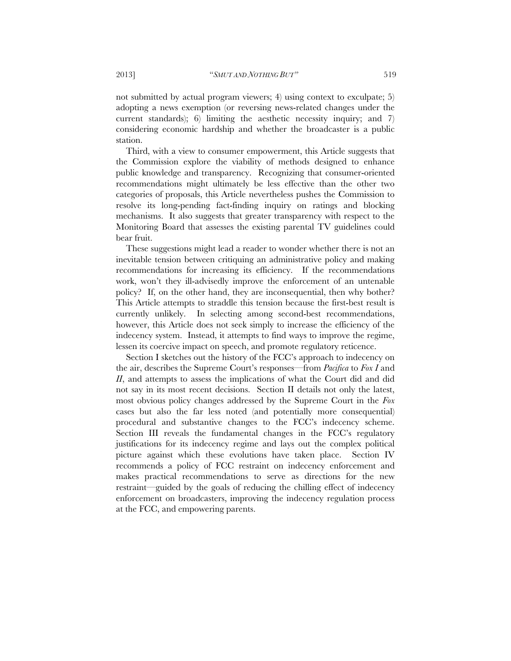not submitted by actual program viewers; 4) using context to exculpate; 5) adopting a news exemption (or reversing news-related changes under the current standards); 6) limiting the aesthetic necessity inquiry; and 7) considering economic hardship and whether the broadcaster is a public station.

Third, with a view to consumer empowerment, this Article suggests that the Commission explore the viability of methods designed to enhance public knowledge and transparency. Recognizing that consumer-oriented recommendations might ultimately be less effective than the other two categories of proposals, this Article nevertheless pushes the Commission to resolve its long-pending fact-finding inquiry on ratings and blocking mechanisms. It also suggests that greater transparency with respect to the Monitoring Board that assesses the existing parental TV guidelines could bear fruit.

These suggestions might lead a reader to wonder whether there is not an inevitable tension between critiquing an administrative policy and making recommendations for increasing its efficiency. If the recommendations work, won't they ill-advisedly improve the enforcement of an untenable policy? If, on the other hand, they are inconsequential, then why bother? This Article attempts to straddle this tension because the first-best result is currently unlikely. In selecting among second-best recommendations, however, this Article does not seek simply to increase the efficiency of the indecency system. Instead, it attempts to find ways to improve the regime, lessen its coercive impact on speech, and promote regulatory reticence.

Section I sketches out the history of the FCC's approach to indecency on the air, describes the Supreme Court's responses—from *Pacifica* to *Fox I* and *II*, and attempts to assess the implications of what the Court did and did not say in its most recent decisions. Section II details not only the latest, most obvious policy changes addressed by the Supreme Court in the *Fox* cases but also the far less noted (and potentially more consequential) procedural and substantive changes to the FCC's indecency scheme. Section III reveals the fundamental changes in the FCC's regulatory justifications for its indecency regime and lays out the complex political picture against which these evolutions have taken place. Section IV recommends a policy of FCC restraint on indecency enforcement and makes practical recommendations to serve as directions for the new restraint—guided by the goals of reducing the chilling effect of indecency enforcement on broadcasters, improving the indecency regulation process at the FCC, and empowering parents.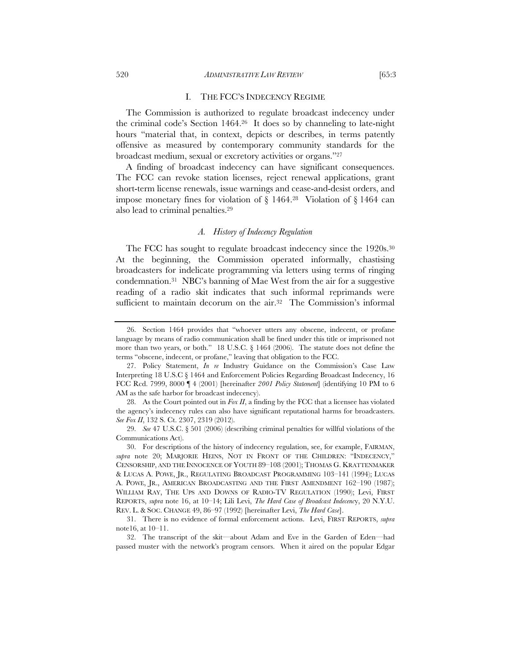#### I. THE FCC'S INDECENCY REGIME

The Commission is authorized to regulate broadcast indecency under the criminal code's Section 1464.26 It does so by channeling to late-night hours "material that, in context, depicts or describes, in terms patently offensive as measured by contemporary community standards for the broadcast medium, sexual or excretory activities or organs."27

A finding of broadcast indecency can have significant consequences. The FCC can revoke station licenses, reject renewal applications, grant short-term license renewals, issue warnings and cease-and-desist orders, and impose monetary fines for violation of  $\S$  1464.<sup>28</sup> Violation of  $\S$  1464 can also lead to criminal penalties.29

#### *A. History of Indecency Regulation*

The FCC has sought to regulate broadcast indecency since the 1920s.30 At the beginning, the Commission operated informally, chastising broadcasters for indelicate programming via letters using terms of ringing condemnation.31 NBC's banning of Mae West from the air for a suggestive reading of a radio skit indicates that such informal reprimands were sufficient to maintain decorum on the air.<sup>32</sup> The Commission's informal

 <sup>26.</sup> Section 1464 provides that "whoever utters any obscene, indecent, or profane language by means of radio communication shall be fined under this title or imprisoned not more than two years, or both." 18 U.S.C. § 1464 (2006). The statute does not define the terms "obscene, indecent, or profane," leaving that obligation to the FCC.

 <sup>27.</sup> Policy Statement, *In re* Industry Guidance on the Commission's Case Law Interpreting 18 U.S.C § 1464 and Enforcement Policies Regarding Broadcast Indecency, 16 FCC Rcd. 7999, 8000 ¶ 4 (2001) [hereinafter *2001 Policy Statement*] (identifying 10 PM to 6 AM as the safe harbor for broadcast indecency).

 <sup>28.</sup> As the Court pointed out in *Fox II*, a finding by the FCC that a licensee has violated the agency's indecency rules can also have significant reputational harms for broadcasters. *See Fox II*, 132 S. Ct. 2307, 2319 (2012).

 <sup>29.</sup> *See* 47 U.S.C. § 501 (2006) (describing criminal penalties for willful violations of the Communications Act).

 <sup>30.</sup> For descriptions of the history of indecency regulation, see, for example, FAIRMAN, *supra* note 20; MARJORIE HEINS, NOT IN FRONT OF THE CHILDREN: "INDECENCY," CENSORSHIP, AND THE INNOCENCE OF YOUTH 89–108 (2001); THOMAS G. KRATTENMAKER & LUCAS A. POWE, JR., REGULATING BROADCAST PROGRAMMING 103–141 (1994); LUCAS A. POWE, JR., AMERICAN BROADCASTING AND THE FIRST AMENDMENT 162–190 (1987); WILLIAM RAY, THE UPS AND DOWNS OF RADIO-TV REGULATION (1990); Levi, FIRST REPORTS, *supra* note 16, at 10–14; Lili Levi, *The Hard Case of Broadcast Indecenc*y, 20 N.Y.U. REV. L. & SOC. CHANGE 49, 86–97 (1992) [hereinafter Levi, *The Hard Case*].

 <sup>31.</sup> There is no evidence of formal enforcement actions. Levi, FIRST REPORTS, *supra* note16, at 10–11.

 <sup>32.</sup> The transcript of the skit—about Adam and Eve in the Garden of Eden—had passed muster with the network's program censors. When it aired on the popular Edgar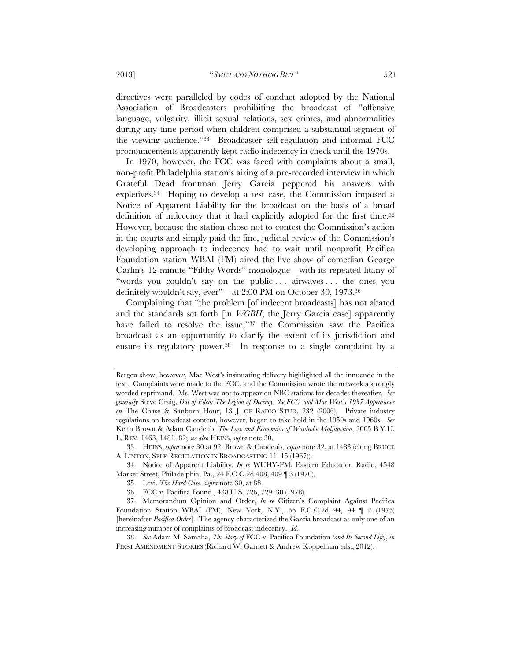directives were paralleled by codes of conduct adopted by the National Association of Broadcasters prohibiting the broadcast of "offensive language, vulgarity, illicit sexual relations, sex crimes, and abnormalities during any time period when children comprised a substantial segment of the viewing audience."33 Broadcaster self-regulation and informal FCC pronouncements apparently kept radio indecency in check until the 1970s.

In 1970, however, the FCC was faced with complaints about a small, non-profit Philadelphia station's airing of a pre-recorded interview in which Grateful Dead frontman Jerry Garcia peppered his answers with expletives.34 Hoping to develop a test case, the Commission imposed a Notice of Apparent Liability for the broadcast on the basis of a broad definition of indecency that it had explicitly adopted for the first time.35 However, because the station chose not to contest the Commission's action in the courts and simply paid the fine, judicial review of the Commission's developing approach to indecency had to wait until nonprofit Pacifica Foundation station WBAI (FM) aired the live show of comedian George Carlin's 12-minute "Filthy Words" monologue—with its repeated litany of "words you couldn't say on the public ... airwaves... the ones you definitely wouldn't say, ever"—at 2:00 PM on October 30, 1973.36

Complaining that "the problem [of indecent broadcasts] has not abated and the standards set forth [in *WGBH*, the Jerry Garcia case] apparently have failed to resolve the issue,"37 the Commission saw the Pacifica broadcast as an opportunity to clarify the extent of its jurisdiction and ensure its regulatory power.<sup>38</sup> In response to a single complaint by a

Bergen show, however, Mae West's insinuating delivery highlighted all the innuendo in the text. Complaints were made to the FCC, and the Commission wrote the network a strongly worded reprimand. Ms. West was not to appear on NBC stations for decades thereafter. *See generally* Steve Craig, *Out of Eden: The Legion of Decency, the FCC, and Mae West's 1937 Appearance on* The Chase & Sanborn Hour, 13 J. OF RADIO STUD. 232 (2006). Private industry regulations on broadcast content, however, began to take hold in the 1950s and 1960s. *See* Keith Brown & Adam Candeub, *The Law and Economics of Wardrobe Malfunction*, 2005 B.Y.U. L. REV. 1463, 1481–82; *see also* HEINS, *supra* note 30.

 <sup>33.</sup> HEINS, *supra* note 30 at 92; Brown & Candeub, *supra* note 32, at 1483 (citing BRUCE A. LINTON, SELF-REGULATION IN BROADCASTING 11–15 (1967)).

 <sup>34.</sup> Notice of Apparent Liability, *In re* WUHY-FM, Eastern Education Radio, 4548 Market Street, Philadelphia, Pa., 24 F.C.C.2d 408, 409 ¶ 3 (1970).

 <sup>35.</sup> Levi, *The Hard Case*, *supra* note 30, at 88.

 <sup>36.</sup> FCC v. Pacifica Found., 438 U.S. 726, 729–30 (1978).

 <sup>37.</sup> Memorandum Opinion and Order, *In re* Citizen's Complaint Against Pacifica Foundation Station WBAI (FM), New York, N.Y., 56 F.C.C.2d 94, 94 ¶ 2 (1975) [hereinafter *Pacifica Order*]. The agency characterized the Garcia broadcast as only one of an increasing number of complaints of broadcast indecency. *Id.*

 <sup>38.</sup> *See* Adam M. Samaha, *The Story of* FCC v. Pacifica Foundation *(and Its Second Life)*, *in* FIRST AMENDMENT STORIES (Richard W. Garnett & Andrew Koppelman eds., 2012).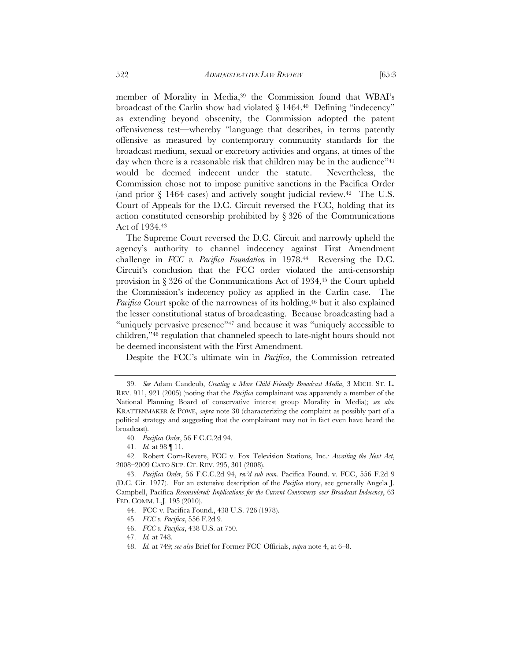member of Morality in Media,39 the Commission found that WBAI's broadcast of the Carlin show had violated  $\S 1464$ .<sup>40</sup> Defining "indecency" as extending beyond obscenity, the Commission adopted the patent offensiveness test—whereby "language that describes, in terms patently offensive as measured by contemporary community standards for the broadcast medium, sexual or excretory activities and organs, at times of the day when there is a reasonable risk that children may be in the audience"<sup>41</sup> would be deemed indecent under the statute. Nevertheless, the Commission chose not to impose punitive sanctions in the Pacifica Order (and prior § 1464 cases) and actively sought judicial review.42 The U.S. Court of Appeals for the D.C. Circuit reversed the FCC, holding that its action constituted censorship prohibited by § 326 of the Communications Act of 1934.43

The Supreme Court reversed the D.C. Circuit and narrowly upheld the agency's authority to channel indecency against First Amendment challenge in *FCC v. Pacifica Foundation* in 1978.44 Reversing the D.C. Circuit's conclusion that the FCC order violated the anti-censorship provision in § 326 of the Communications Act of 1934,45 the Court upheld the Commission's indecency policy as applied in the Carlin case. The *Pacifica* Court spoke of the narrowness of its holding,<sup>46</sup> but it also explained the lesser constitutional status of broadcasting. Because broadcasting had a "uniquely pervasive presence"<sup>47</sup> and because it was "uniquely accessible to children,"48 regulation that channeled speech to late-night hours should not be deemed inconsistent with the First Amendment.

Despite the FCC's ultimate win in *Pacifica*, the Commission retreated

46. *FCC v. Pacifica*, 438 U.S. at 750.

 <sup>39.</sup> *See* Adam Candeub, *Creating a More Child-Friendly Broadcast Media*, 3 MICH. ST. L. REV. 911, 921 (2005) (noting that the *Pacifica* complainant was apparently a member of the National Planning Board of conservative interest group Morality in Media); *see also*  KRATTENMAKER & POWE, *supra* note 30 (characterizing the complaint as possibly part of a political strategy and suggesting that the complainant may not in fact even have heard the broadcast).

 <sup>40.</sup> *Pacifica Order*, 56 F.C.C.2d 94.

 <sup>41.</sup> *Id.* at 98 ¶ 11.

 <sup>42.</sup> Robert Corn-Revere, FCC v. Fox Television Stations, Inc.*: Awaiting the Next Act*, 2008–2009 CATO SUP. CT. REV. 295, 301 (2008).

 <sup>43.</sup> *Pacifica Order*, 56 F.C.C.2d 94, *rev'd sub nom.* Pacifica Found. v. FCC, 556 F.2d 9 (D.C. Cir. 1977). For an extensive description of the *Pacifica* story, see generally Angela J. Campbell, Pacifica *Reconsidered: Implications for the Current Controversy over Broadcast Indecency*, 63 FED. COMM. L.J. 195 (2010).

 <sup>44.</sup> FCC v. Pacifica Found., 438 U.S. 726 (1978).

 <sup>45.</sup> *FCC v. Pacifica*, 556 F.2d 9.

 <sup>47.</sup> *Id.* at 748.

 <sup>48.</sup> *Id.* at 749; *see also* Brief for Former FCC Officials, *supra* note 4, at 6–8.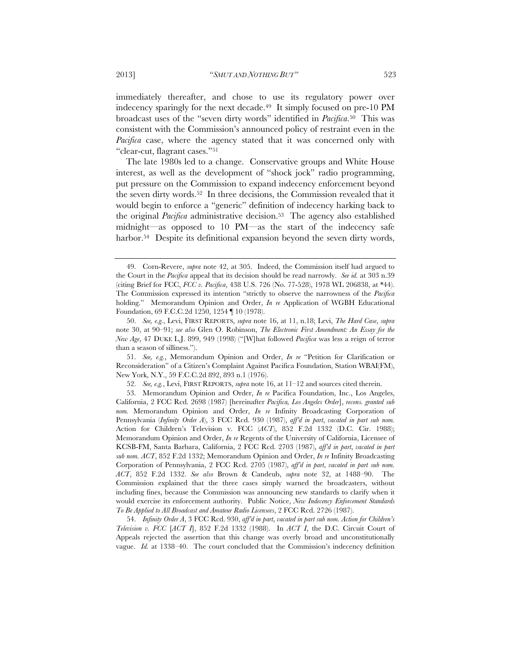immediately thereafter, and chose to use its regulatory power over indecency sparingly for the next decade.<sup>49</sup> It simply focused on pre-10 PM broadcast uses of the "seven dirty words" identified in *Pacifica*.50 This was consistent with the Commission's announced policy of restraint even in the *Pacifica* case, where the agency stated that it was concerned only with "clear-cut, flagrant cases."51

The late 1980s led to a change. Conservative groups and White House interest, as well as the development of "shock jock" radio programming, put pressure on the Commission to expand indecency enforcement beyond the seven dirty words.52 In three decisions, the Commission revealed that it would begin to enforce a "generic" definition of indecency harking back to the original *Pacifica* administrative decision.<sup>53</sup> The agency also established midnight—as opposed to 10 PM—as the start of the indecency safe harbor.<sup>54</sup> Despite its definitional expansion beyond the seven dirty words,

 51. *See, e.g.*, Memorandum Opinion and Order, *In re* "Petition for Clarification or Reconsideration" of a Citizen's Complaint Against Pacifica Foundation, Station WBAI(FM), New York, N.Y., 59 F.C.C.2d 892, 893 n.1 (1976).

52. *See, e.g.*, Levi, FIRST REPORTS, *supra* note 16, at 11–12 and sources cited therein.

 54. *Infinity Order A*, 3 FCC Rcd. 930, *aff'd in part*, *vacated in part sub nom. Action for Children's Television v. FCC* [*ACT I*], 852 F.2d 1332 (1988). In *ACT I*, the D.C. Circuit Court of Appeals rejected the assertion that this change was overly broad and unconstitutionally vague. *Id.* at 1338–40. The court concluded that the Commission's indecency definition

 <sup>49.</sup> Corn-Revere, *supra* note 42, at 305. Indeed, the Commission itself had argued to the Court in the *Pacifica* appeal that its decision should be read narrowly. *See id.* at 303 n.39 (citing Brief for FCC, *FCC v. Pacifica*, 438 U.S. 726 (No. 77-528), 1978 WL 206838, at \*44). The Commission expressed its intention "strictly to observe the narrowness of the *Pacifica* holding." Memorandum Opinion and Order, *In re* Application of WGBH Educational Foundation, 69 F.C.C.2d 1250, 1254 ¶ 10 (1978).

 <sup>50.</sup> *See, e.g.*, Levi, FIRST REPORTS, *supra* note 16, at 11, n.18; Levi, *The Hard Case*, *supra* note 30, at 90–91; *see also* Glen O. Robinson, *The Electronic First Amendment: An Essay for the New Age*, 47 DUKE L.J. 899, 949 (1998) ("[W]hat followed *Pacifica* was less a reign of terror than a season of silliness.").

 <sup>53.</sup> Memorandum Opinion and Order, *In re* Pacifica Foundation, Inc., Los Angeles, California, 2 FCC Rcd. 2698 (1987) [hereinafter *Pacifica, Los Angeles Order*], *recons. granted sub nom.* Memorandum Opinion and Order, *In re* Infinity Broadcasting Corporation of Pennsylvania (*Infinity Order A*), 3 FCC Rcd. 930 (1987), *aff'd in part*, *vacated in part sub nom.* Action for Children's Television v. FCC (*ACT*), 852 F.2d 1332 (D.C. Cir. 1988); Memorandum Opinion and Order, *In re* Regents of the University of California, Licensee of KCSB-FM, Santa Barbara, California, 2 FCC Rcd. 2703 (1987), *aff'd in part*, *vacated in part sub nom. ACT*, 852 F.2d 1332; Memorandum Opinion and Order, *In re* Infinity Broadcasting Corporation of Pennsylvania, 2 FCC Rcd. 2705 (1987), *aff'd in part*, *vacated in part sub nom. ACT*, 852 F.2d 1332. *See also* Brown & Candeub, *supra* note 32, at 1488–90. The Commission explained that the three cases simply warned the broadcasters, without including fines, because the Commission was announcing new standards to clarify when it would exercise its enforcement authority. Public Notice, *New Indecency Enforcement Standards To Be Applied to All Broadcast and Amateur Radio Licensees*, 2 FCC Rcd. 2726 (1987).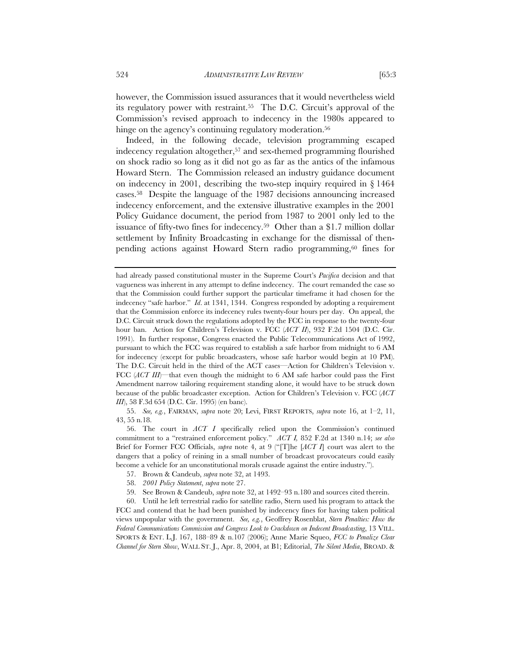however, the Commission issued assurances that it would nevertheless wield its regulatory power with restraint.55 The D.C. Circuit's approval of the Commission's revised approach to indecency in the 1980s appeared to hinge on the agency's continuing regulatory moderation.<sup>56</sup>

Indeed, in the following decade, television programming escaped indecency regulation altogether,<sup>57</sup> and sex-themed programming flourished on shock radio so long as it did not go as far as the antics of the infamous Howard Stern. The Commission released an industry guidance document on indecency in 2001, describing the two-step inquiry required in § 1464 cases.58 Despite the language of the 1987 decisions announcing increased indecency enforcement, and the extensive illustrative examples in the 2001 Policy Guidance document, the period from 1987 to 2001 only led to the issuance of fifty-two fines for indecency.59 Other than a \$1.7 million dollar settlement by Infinity Broadcasting in exchange for the dismissal of thenpending actions against Howard Stern radio programming,60 fines for

 55. *See, e.g.*, FAIRMAN, *supra* note 20; Levi, FIRST REPORTS, *supra* note 16, at 1–2, 11, 43, 55 n.18.

 56. The court in *ACT I* specifically relied upon the Commission's continued commitment to a "restrained enforcement policy." *ACT I,* 852 F.2d at 1340 n.14; *see also* Brief for Former FCC Officials, *supra* note 4, at 9 ("[T]he [*ACT I*] court was alert to the dangers that a policy of reining in a small number of broadcast provocateurs could easily become a vehicle for an unconstitutional morals crusade against the entire industry.").

- 57. Brown & Candeub, *supra* note 32, at 1493.
- 58. *2001 Policy Statement*, *supra* note 27.
- 59. See Brown & Candeub, *supra* note 32, at 1492–93 n.180 and sources cited therein.

 60. Until he left terrestrial radio for satellite radio, Stern used his program to attack the FCC and contend that he had been punished by indecency fines for having taken political views unpopular with the government. *See, e.g.*, Geoffrey Rosenblat, *Stern Penalties: How the Federal Communications Commission and Congress Look to Crackdown on Indecent Broadcasting*, 13 VILL. SPORTS & ENT. L.J. 167, 188–89 & n.107 (2006); Anne Marie Squeo, *FCC to Penalize Clear Channel for Stern Show*, WALL ST. J., Apr. 8, 2004, at B1; Editorial, *The Silent Media*, BROAD. &

had already passed constitutional muster in the Supreme Court's *Pacifica* decision and that vagueness was inherent in any attempt to define indecency. The court remanded the case so that the Commission could further support the particular timeframe it had chosen for the indecency "safe harbor." *Id*. at 1341, 1344. Congress responded by adopting a requirement that the Commission enforce its indecency rules twenty-four hours per day. On appeal, the D.C. Circuit struck down the regulations adopted by the FCC in response to the twenty-four hour ban. Action for Children's Television v. FCC (*ACT II*), 932 F.2d 1504 (D.C. Cir. 1991). In further response, Congress enacted the Public Telecommunications Act of 1992, pursuant to which the FCC was required to establish a safe harbor from midnight to 6 AM for indecency (except for public broadcasters, whose safe harbor would begin at 10 PM). The D.C. Circuit held in the third of the ACT cases—Action for Children's Television v. FCC (*ACT III*)—that even though the midnight to 6 AM safe harbor could pass the First Amendment narrow tailoring requirement standing alone, it would have to be struck down because of the public broadcaster exception. Action for Children's Television v. FCC (*ACT III*), 58 F.3d 654 (D.C. Cir. 1995) (en banc).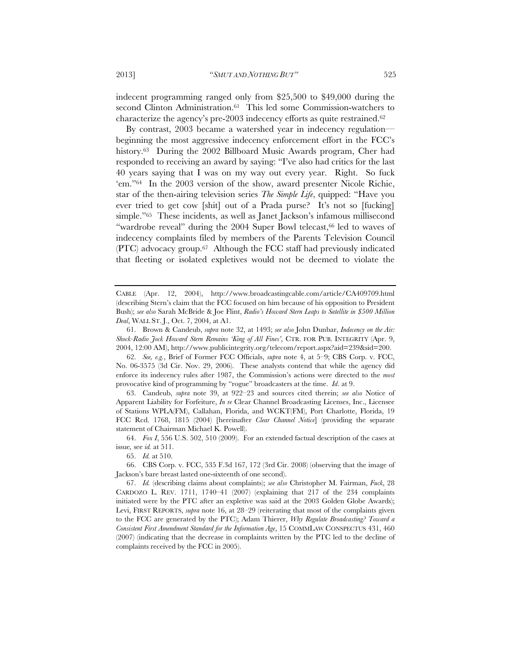indecent programming ranged only from \$25,500 to \$49,000 during the second Clinton Administration.<sup>61</sup> This led some Commission-watchers to characterize the agency's pre-2003 indecency efforts as quite restrained.<sup>62</sup>

By contrast, 2003 became a watershed year in indecency regulation beginning the most aggressive indecency enforcement effort in the FCC's history.<sup>63</sup> During the 2002 Billboard Music Awards program, Cher had responded to receiving an award by saying: "I've also had critics for the last 40 years saying that I was on my way out every year. Right. So fuck 'em."64 In the 2003 version of the show, award presenter Nicole Richie, star of the then-airing television series *The Simple Life*, quipped: "Have you ever tried to get cow [shit] out of a Prada purse? It's not so [fucking] simple."<sup>65</sup> These incidents, as well as Janet Jackson's infamous millisecond "wardrobe reveal" during the 2004 Super Bowl telecast,<sup>66</sup> led to waves of indecency complaints filed by members of the Parents Television Council  $(PTC)$  advocacy group.<sup>67</sup> Although the FCC staff had previously indicated that fleeting or isolated expletives would not be deemed to violate the

 63. Candeub, *supra* note 39, at 922–23 and sources cited therein; *see also* Notice of Apparent Liability for Forfeiture, *In re* Clear Channel Broadcasting Licenses, Inc., Licensee of Stations WPLA(FM), Callahan, Florida, and WCKT(FM), Port Charlotte, Florida, 19 FCC Rcd. 1768, 1815 (2004) [hereinafter *Clear Channel Notice*] (providing the separate statement of Chairman Michael K. Powell).

 64. *Fox I*, 556 U.S. 502, 510 (2009). For an extended factual description of the cases at issue*,* see *id.* at 511.

65. *Id.* at 510.

 66. CBS Corp. v. FCC, 535 F.3d 167, 172 (3rd Cir. 2008) (observing that the image of Jackson's bare breast lasted one-sixteenth of one second).

CABLE (Apr. 12, 2004), http://www.broadcastingcable.com/article/CA409709.html (describing Stern's claim that the FCC focused on him because of his opposition to President Bush); *see also* Sarah McBride & Joe Flint, *Radio's Howard Stern Leaps to Satellite in \$500 Million Deal*, WALL ST. J., Oct. 7, 2004, at A1.

 <sup>61.</sup> Brown & Candeub, *supra* note 32, at 1493; *see also* John Dunbar, *Indecency on the Air: Shock-Radio Jock Howard Stern Remains 'King of All Fines'*, CTR. FOR PUB. INTEGRITY (Apr. 9, 2004, 12:00 AM), http://www.publicintegrity.org/telecom/report.aspx?aid=239&sid=200.

 <sup>62.</sup> *See, e.g.*, Brief of Former FCC Officials, *supra* note 4, at 5–9; CBS Corp. v. FCC, No. 06-3575 (3d Cir. Nov. 29, 2006). These analysts contend that while the agency did enforce its indecency rules after 1987, the Commission's actions were directed to the *most* provocative kind of programming by "rogue" broadcasters at the time. *Id*. at 9.

 <sup>67.</sup> *Id.* (describing claims about complaints); *see also* Christopher M. Fairman, *Fuck*, 28 CARDOZO L. REV. 1711, 1740–41 (2007) (explaining that 217 of the 234 complaints initiated were by the PTC after an expletive was said at the 2003 Golden Globe Awards); Levi, FIRST REPORTS, *supra* note 16, at 28–29 (reiterating that most of the complaints given to the FCC are generated by the PTC); Adam Thierer, *Why Regulate Broadcasting? Toward a Consistent First Amendment Standard for the Information Age*, 15 COMMLAW CONSPECTUS 431, 460 (2007) (indicating that the decrease in complaints written by the PTC led to the decline of complaints received by the FCC in 2005).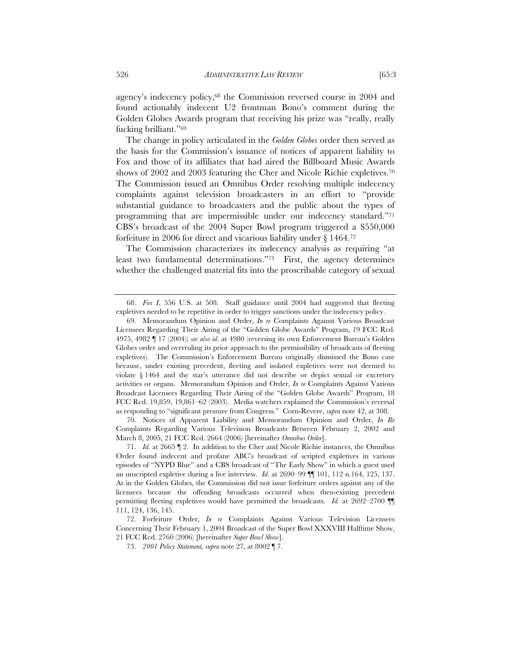agency's indecency policy,68 the Commission reversed course in 2004 and found actionably indecent U2 frontman Bono's comment during the Golden Globes Awards program that receiving his prize was "really, really fucking brilliant."69

The change in policy articulated in the *Golden Globes* order then served as the basis for the Commission's issuance of notices of apparent liability to Fox and those of its affiliates that had aired the Billboard Music Awards shows of 2002 and 2003 featuring the Cher and Nicole Richie expletives.<sup>70</sup> The Commission issued an Omnibus Order resolving multiple indecency complaints against television broadcasters in an effort to "provide substantial guidance to broadcasters and the public about the types of programming that are impermissible under our indecency standard."71 CBS's broadcast of the 2004 Super Bowl program triggered a \$550,000 forfeiture in 2006 for direct and vicarious liability under § 1464.72

The Commission characterizes its indecency analysis as requiring "at least two fundamental determinations."73 First, the agency determines whether the challenged material fits into the proscribable category of sexual

 70. Notices of Apparent Liability and Memorandum Opinion and Order, *In Re*  Complaints Regarding Various Television Broadcasts Between February 2, 2002 and March 8, 2005, 21 FCC Rcd. 2664 (2006) [hereinafter *Omnibus Order*].

 <sup>68.</sup> *Fox I*, 556 U.S. at 508. Staff guidance until 2004 had suggested that fleeting expletives needed to be repetitive in order to trigger sanctions under the indecency policy.

 <sup>69.</sup> Memorandum Opinion and Order, *In re* Complaints Against Various Broadcast Licensees Regarding Their Airing of the "Golden Globe Awards" Program, 19 FCC Rcd. 4975, 4982 ¶ 17 (2004); *see also id*. at 4980 (reversing its own Enforcement Bureau's Golden Globes order and overruling its prior approach to the permissibility of broadcasts of fleeting expletives). The Commission's Enforcement Bureau originally dismissed the Bono case because, under existing precedent, fleeting and isolated expletives were not deemed to violate § 1464 and the star's utterance did not describe or depict sexual or excretory activities or organs. Memorandum Opinion and Order, *In re* Complaints Against Various Broadcast Licensees Regarding Their Airing of the "Golden Globe Awards" Program, 18 FCC Rcd. 19,859, 19,861–62 (2003). Media watchers explained the Commission's reversal as responding to "significant pressure from Congress." Corn-Revere, *supra* note 42, at 308.

 <sup>71.</sup> *Id.* at 2665 ¶ 2. In addition to the Cher and Nicole Richie instances, the Omnibus Order found indecent and profane ABC's broadcast of scripted expletives in various episodes of "NYPD Blue" and a CBS broadcast of "The Early Show" in which a guest used an unscripted expletive during a live interview. *Id*. at 2690–99 ¶¶ 101, 112 n.164, 125, 137. As in the Golden Globes, the Commission did not issue forfeiture orders against any of the licensees because the offending broadcasts occurred when then-existing precedent permitting fleeting expletives would have permitted the broadcasts. *Id.* at 2692–2700 ¶¶ 111, 124, 136, 145.

 <sup>72.</sup> Forfeiture Order, *In re* Complaints Against Various Television Licensees Concerning Their February 1, 2004 Broadcast of the Super Bowl XXXVIII Halftime Show, 21 FCC Rcd. 2760 (2006) [hereinafter *Super Bowl Show*].

 <sup>73.</sup> *2001 Policy Statement, supra* note 27, at 8002 ¶ 7.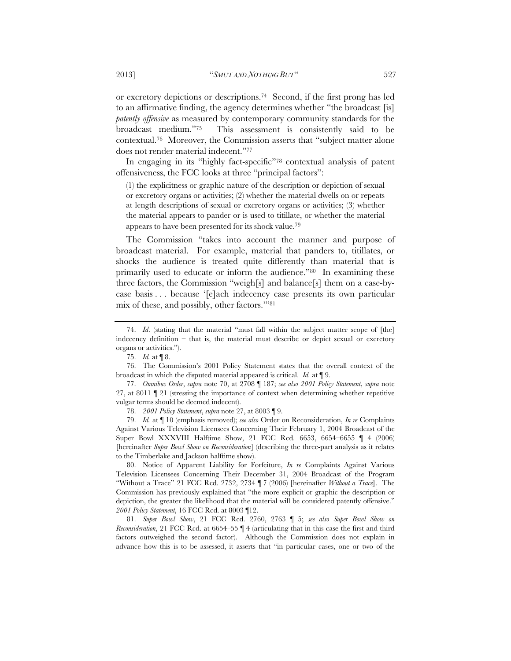or excretory depictions or descriptions.74 Second, if the first prong has led to an affirmative finding, the agency determines whether "the broadcast [is] *patently offensive* as measured by contemporary community standards for the broadcast medium."75 This assessment is consistently said to be contextual.76 Moreover, the Commission asserts that "subject matter alone does not render material indecent."77

In engaging in its "highly fact-specific"78 contextual analysis of patent offensiveness, the FCC looks at three "principal factors":

(1) the explicitness or graphic nature of the description or depiction of sexual or excretory organs or activities; (2) whether the material dwells on or repeats at length descriptions of sexual or excretory organs or activities; (3) whether the material appears to pander or is used to titillate, or whether the material appears to have been presented for its shock value.79

The Commission "takes into account the manner and purpose of broadcast material. For example, material that panders to, titillates, or shocks the audience is treated quite differently than material that is primarily used to educate or inform the audience."80 In examining these three factors, the Commission "weigh[s] and balance[s] them on a case-bycase basis . . . because '[e]ach indecency case presents its own particular mix of these, and possibly, other factors.'"81

78. *2001 Policy Statement*, *supra* note 27, at 8003 ¶ 9.

 79. *Id.* at ¶ 10 (emphasis removed); *see also* Order on Reconsideration, *In re* Complaints Against Various Television Licensees Concerning Their February 1, 2004 Broadcast of the Super Bowl XXXVIII Halftime Show, 21 FCC Rcd. 6653, 6654–6655 ¶ 4 (2006) [hereinafter *Super Bowl Show on Reconsideration*] (describing the three-part analysis as it relates to the Timberlake and Jackson halftime show).

 80. Notice of Apparent Liability for Forfeiture, *In re* Complaints Against Various Television Licensees Concerning Their December 31, 2004 Broadcast of the Program "Without a Trace" 21 FCC Rcd. 2732, 2734 ¶ 7 (2006) [hereinafter *Without a Trace*]. The Commission has previously explained that "the more explicit or graphic the description or depiction, the greater the likelihood that the material will be considered patently offensive." *2001 Policy Statement*, 16 FCC Rcd. at 8003 ¶12.

 81. *Super Bowl Show*, 21 FCC Rcd. 2760, 2763 ¶ 5; *see also Super Bowl Show on Reconsideration*, 21 FCC Rcd. at 6654–55 ¶ 4 (articulating that in this case the first and third factors outweighed the second factor). Although the Commission does not explain in advance how this is to be assessed, it asserts that "in particular cases, one or two of the

 <sup>74.</sup> *Id*. (stating that the material "must fall within the subject matter scope of [the] indecency definition – that is, the material must describe or depict sexual or excretory organs or activities.").

 <sup>75.</sup> *Id.* at ¶ 8.

 <sup>76.</sup> The Commission's 2001 Policy Statement states that the overall context of the broadcast in which the disputed material appeared is critical. *Id.* at ¶ 9.

 <sup>77.</sup> *Omnibus Order*, *supra* note 70, at 2708 ¶ 187; *see also 2001 Policy Statement*, *supra* note 27, at 8011 ¶ 21 (stressing the importance of context when determining whether repetitive vulgar terms should be deemed indecent).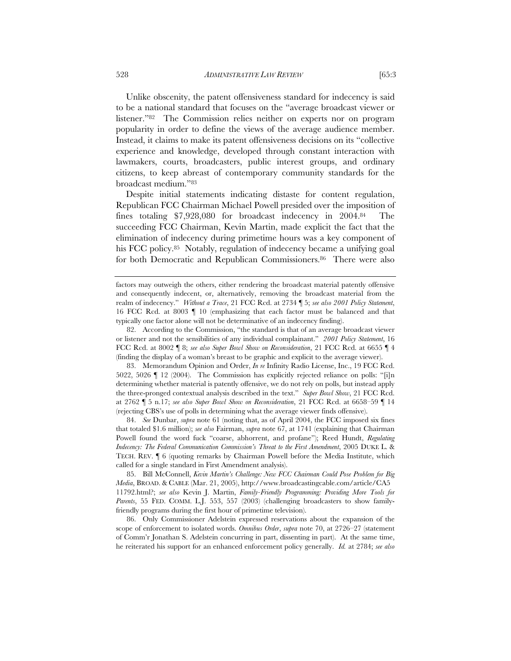Unlike obscenity, the patent offensiveness standard for indecency is said to be a national standard that focuses on the "average broadcast viewer or listener."82 The Commission relies neither on experts nor on program popularity in order to define the views of the average audience member. Instead, it claims to make its patent offensiveness decisions on its "collective experience and knowledge, developed through constant interaction with lawmakers, courts, broadcasters, public interest groups, and ordinary citizens, to keep abreast of contemporary community standards for the broadcast medium."83

Despite initial statements indicating distaste for content regulation, Republican FCC Chairman Michael Powell presided over the imposition of fines totaling \$7,928,080 for broadcast indecency in 2004.84 The succeeding FCC Chairman, Kevin Martin, made explicit the fact that the elimination of indecency during primetime hours was a key component of his FCC policy.<sup>85</sup> Notably, regulation of indecency became a unifying goal for both Democratic and Republican Commissioners.<sup>86</sup> There were also

 82. According to the Commission, "the standard is that of an average broadcast viewer or listener and not the sensibilities of any individual complainant." *2001 Policy Statement*, 16 FCC Rcd. at 8002 ¶ 8; *see also Super Bowl Show on Reconsideration*, 21 FCC Rcd. at 6655 ¶ 4 (finding the display of a woman's breast to be graphic and explicit to the average viewer).

 83. Memorandum Opinion and Order, *In re* Infinity Radio License, Inc., 19 FCC Rcd. 5022, 5026 ¶ 12 (2004). The Commission has explicitly rejected reliance on polls: "[i]n determining whether material is patently offensive, we do not rely on polls, but instead apply the three-pronged contextual analysis described in the text." *Super Bowl Show*, 21 FCC Rcd. at 2762 ¶ 5 n.17; *see also Super Bowl Show on Reconsideration*, 21 FCC Rcd. at 6658–59 ¶ 14 (rejecting CBS's use of polls in determining what the average viewer finds offensive).

 84. *See* Dunbar, *supra* note 61 (noting that, as of April 2004, the FCC imposed six fines that totaled \$1.6 million); *see also* Fairman, *supra* note 67, at 1741 (explaining that Chairman Powell found the word fuck "coarse, abhorrent, and profane"); Reed Hundt, *Regulating Indecency: The Federal Communication Commission's Threat to the First Amendment*, 2005 DUKE L. & TECH. REV. ¶ 6 (quoting remarks by Chairman Powell before the Media Institute, which called for a single standard in First Amendment analysis).

 85. Bill McConnell, *Kevin Martin's Challenge: New FCC Chairman Could Pose Problem for Big Media*, BROAD. & CABLE (Mar. 21, 2005), http://www.broadcastingcable.com/article/CA5 11792.html?; *see also* Kevin J. Martin, *Family-Friendly Programming: Providing More Tools for Parents*, 55 FED. COMM. L.J. 553, 557 (2003) (challenging broadcasters to show familyfriendly programs during the first hour of primetime television).

 86. Only Commissioner Adelstein expressed reservations about the expansion of the scope of enforcement to isolated words. *Omnibus Order*, *supra* note 70, at 2726–27 (statement of Comm'r Jonathan S. Adelstein concurring in part, dissenting in part). At the same time, he reiterated his support for an enhanced enforcement policy generally. *Id.* at 2784; *see also* 

factors may outweigh the others, either rendering the broadcast material patently offensive and consequently indecent, or, alternatively, removing the broadcast material from the realm of indecency." *Without a Trace*, 21 FCC Rcd. at 2734 ¶ 5; *see also 2001 Policy Statement*, 16 FCC Rcd. at 8003 ¶ 10 (emphasizing that each factor must be balanced and that typically one factor alone will not be determinative of an indecency finding).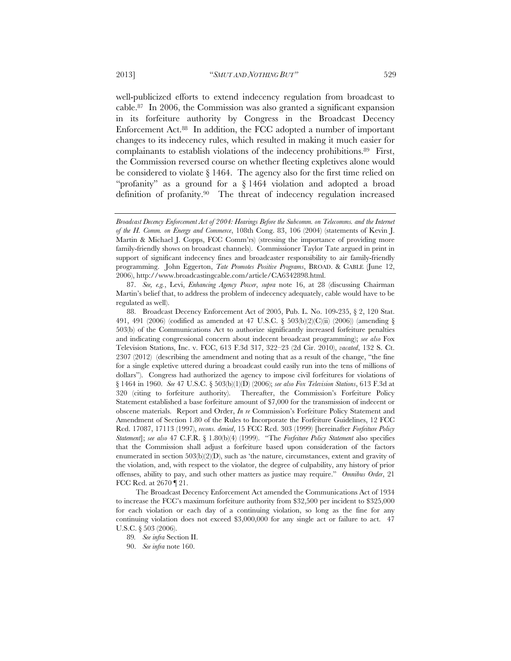well-publicized efforts to extend indecency regulation from broadcast to cable.87 In 2006, the Commission was also granted a significant expansion in its forfeiture authority by Congress in the Broadcast Decency Enforcement Act.88 In addition, the FCC adopted a number of important changes to its indecency rules, which resulted in making it much easier for complainants to establish violations of the indecency prohibitions.<sup>89</sup> First, the Commission reversed course on whether fleeting expletives alone would be considered to violate § 1464. The agency also for the first time relied on "profanity" as a ground for a § 1464 violation and adopted a broad definition of profanity.90 The threat of indecency regulation increased

 87. *See, e.g.*, Levi, *Enhancing Agency Power*, *supra* note 16, at 28 (discussing Chairman Martin's belief that, to address the problem of indecency adequately, cable would have to be regulated as well).

 88. Broadcast Decency Enforcement Act of 2005, Pub. L. No. 109-235, § 2, 120 Stat. 491, 491 (2006) (codified as amended at 47 U.S.C. § 503(b)(2)(C)(ii) (2006)) (amending § 503(b) of the Communications Act to authorize significantly increased forfeiture penalties and indicating congressional concern about indecent broadcast programming); *see also* Fox Television Stations, Inc. v. FCC, 613 F.3d 317, 322–23 (2d Cir. 2010), *vacated*, 132 S. Ct. 2307 (2012) (describing the amendment and noting that as a result of the change, "the fine for a single expletive uttered during a broadcast could easily run into the tens of millions of dollars"). Congress had authorized the agency to impose civil forfeitures for violations of § 1464 in 1960. *See* 47 U.S.C. § 503(b)(1)(D) (2006); *see also Fox Television Stations*, 613 F.3d at 320 (citing to forfeiture authority). Thereafter, the Commission's Forfeiture Policy Statement established a base forfeiture amount of \$7,000 for the transmission of indecent or obscene materials. Report and Order, *In re* Commission's Forfeiture Policy Statement and Amendment of Section 1.80 of the Rules to Incorporate the Forfeiture Guidelines, 12 FCC Rcd. 17087, 17113 (1997), *recons. denied*, 15 FCC Rcd. 303 (1999) [hereinafter *Forfeiture Policy Statement*]; *see also* 47 C.F.R. § 1.80(b)(4) (1999). "The *Forfeiture Policy Statement* also specifies that the Commission shall adjust a forfeiture based upon consideration of the factors enumerated in section  $503(b)(2)(D)$ , such as 'the nature, circumstances, extent and gravity of the violation, and, with respect to the violator, the degree of culpability, any history of prior offenses, ability to pay, and such other matters as justice may require." *Omnibus Order*, 21 FCC Rcd. at 2670 ¶ 21.

The Broadcast Decency Enforcement Act amended the Communications Act of 1934 to increase the FCC's maximum forfeiture authority from \$32,500 per incident to \$325,000 for each violation or each day of a continuing violation, so long as the fine for any continuing violation does not exceed \$3,000,000 for any single act or failure to act. 47 U.S.C. § 503 (2006).

89*. See infra* Section II.

90. *See infra* note 160.

*Broadcast Decency Enforcement Act of 2004: Hearings Before the Subcomm. on Telecomms. and the Internet of the H. Comm. on Energy and Commerce*, 108th Cong. 83, 106 (2004) (statements of Kevin J. Martin & Michael J. Copps, FCC Comm'rs) (stressing the importance of providing more family-friendly shows on broadcast channels). Commissioner Taylor Tate argued in print in support of significant indecency fines and broadcaster responsibility to air family-friendly programming. John Eggerton, *Tate Promotes Positive Programs*, BROAD. & CABLE (June 12, 2006), http://www.broadcastingcable.com/article/CA6342898.html.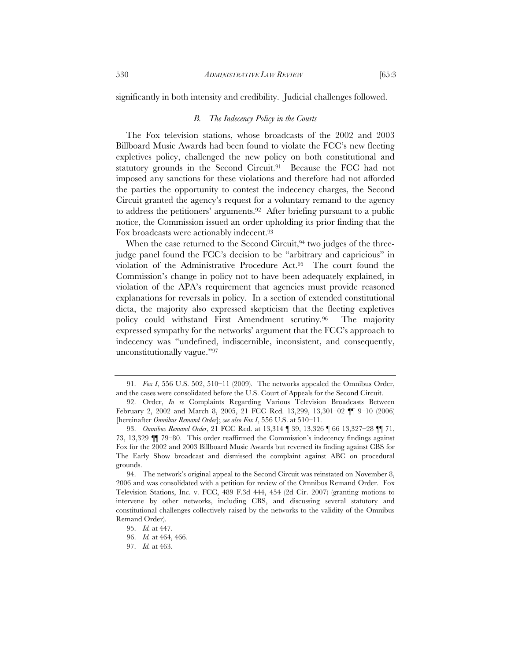significantly in both intensity and credibility. Judicial challenges followed.

#### *B. The Indecency Policy in the Courts*

The Fox television stations, whose broadcasts of the 2002 and 2003 Billboard Music Awards had been found to violate the FCC's new fleeting expletives policy, challenged the new policy on both constitutional and statutory grounds in the Second Circuit.<sup>91</sup> Because the FCC had not imposed any sanctions for these violations and therefore had not afforded the parties the opportunity to contest the indecency charges, the Second Circuit granted the agency's request for a voluntary remand to the agency to address the petitioners' arguments.92 After briefing pursuant to a public notice, the Commission issued an order upholding its prior finding that the Fox broadcasts were actionably indecent.93

When the case returned to the Second Circuit,  $94$  two judges of the threejudge panel found the FCC's decision to be "arbitrary and capricious" in violation of the Administrative Procedure Act.95 The court found the Commission's change in policy not to have been adequately explained, in violation of the APA's requirement that agencies must provide reasoned explanations for reversals in policy. In a section of extended constitutional dicta, the majority also expressed skepticism that the fleeting expletives policy could withstand First Amendment scrutiny.96 The majority expressed sympathy for the networks' argument that the FCC's approach to indecency was "undefined, indiscernible, inconsistent, and consequently, unconstitutionally vague."97

 <sup>91.</sup> *Fox I*, 556 U.S. 502, 510–11 (2009). The networks appealed the Omnibus Order, and the cases were consolidated before the U.S. Court of Appeals for the Second Circuit.

 <sup>92.</sup> Order, *In re* Complaints Regarding Various Television Broadcasts Between February 2, 2002 and March 8, 2005, 21 FCC Rcd. 13,299, 13,301–02 ¶¶ 9–10 (2006) [hereinafter *Omnibus Remand Order*]; *see also Fox I*, 556 U.S. at 510–11.

 <sup>93.</sup> *Omnibus Remand Order*, 21 FCC Rcd. at 13,314 ¶ 39, 13,326 ¶ 66 13,327–28 ¶¶ 71, 73, 13,329 ¶¶ 79–80. This order reaffirmed the Commission's indecency findings against Fox for the 2002 and 2003 Billboard Music Awards but reversed its finding against CBS for The Early Show broadcast and dismissed the complaint against ABC on procedural grounds.

 <sup>94.</sup> The network's original appeal to the Second Circuit was reinstated on November 8, 2006 and was consolidated with a petition for review of the Omnibus Remand Order. Fox Television Stations, Inc. v. FCC, 489 F.3d 444, 454 (2d Cir. 2007) (granting motions to intervene by other networks, including CBS, and discussing several statutory and constitutional challenges collectively raised by the networks to the validity of the Omnibus Remand Order).

 <sup>95.</sup> *Id.* at 447.

 <sup>96.</sup> *Id.* at 464, 466.

 <sup>97.</sup> *Id.* at 463.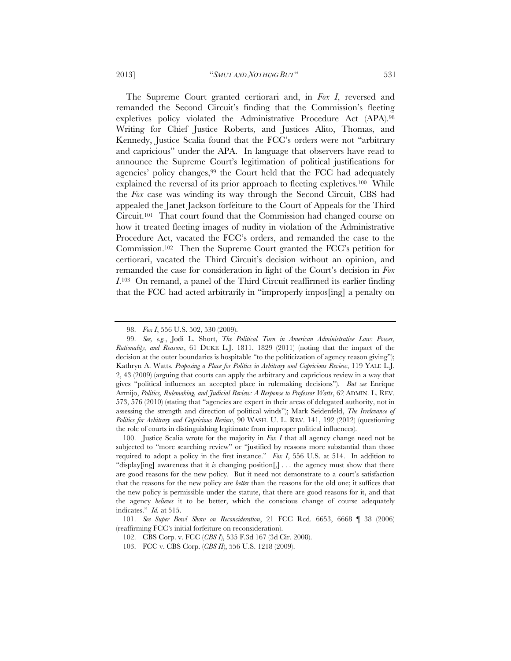The Supreme Court granted certiorari and, in *Fox I*, reversed and remanded the Second Circuit's finding that the Commission's fleeting expletives policy violated the Administrative Procedure Act (APA).98 Writing for Chief Justice Roberts, and Justices Alito, Thomas, and Kennedy, Justice Scalia found that the FCC's orders were not "arbitrary and capricious" under the APA. In language that observers have read to announce the Supreme Court's legitimation of political justifications for agencies' policy changes,<sup>99</sup> the Court held that the FCC had adequately explained the reversal of its prior approach to fleeting expletives.100 While the *Fox* case was winding its way through the Second Circuit, CBS had appealed the Janet Jackson forfeiture to the Court of Appeals for the Third Circuit.101 That court found that the Commission had changed course on how it treated fleeting images of nudity in violation of the Administrative Procedure Act, vacated the FCC's orders, and remanded the case to the Commission.102 Then the Supreme Court granted the FCC's petition for certiorari, vacated the Third Circuit's decision without an opinion, and remanded the case for consideration in light of the Court's decision in *Fox I*.103 On remand, a panel of the Third Circuit reaffirmed its earlier finding that the FCC had acted arbitrarily in "improperly impos[ing] a penalty on

 <sup>98.</sup> *Fox I*, 556 U.S. 502, 530 (2009).

 <sup>99.</sup> *See, e.g.*, Jodi L. Short, *The Political Turn in American Administrative Law: Power, Rationality, and Reasons*, 61 DUKE L.J. 1811, 1829 (2011) (noting that the impact of the decision at the outer boundaries is hospitable "to the politicization of agency reason giving"); Kathryn A. Watts, *Proposing a Place for Politics in Arbitrary and Capricious Review*, 119 YALE L.J. 2, 43 (2009) (arguing that courts can apply the arbitrary and capricious review in a way that gives "political influences an accepted place in rulemaking decisions"). *But see* Enrique Armijo, *Politics, Rulemaking, and Judicial Review: A Response to Professor Watts*, 62 ADMIN. L. REV. 573, 576 (2010) (stating that "agencies are expert in their areas of delegated authority, not in assessing the strength and direction of political winds"); Mark Seidenfeld, *The Irrelevance of Politics for Arbitrary and Capricious Review*, 90 WASH. U. L. REV. 141, 192 (2012) (questioning the role of courts in distinguishing legitimate from improper political influences).

 <sup>100.</sup> Justice Scalia wrote for the majority in *Fox I* that all agency change need not be subjected to "more searching review" or "justified by reasons more substantial than those required to adopt a policy in the first instance." *Fox I*, 556 U.S. at 514. In addition to "display[ing] awareness that it *is* changing position[,] . . . the agency must show that there are good reasons for the new policy. But it need not demonstrate to a court's satisfaction that the reasons for the new policy are *better* than the reasons for the old one; it suffices that the new policy is permissible under the statute, that there are good reasons for it, and that the agency *believes* it to be better, which the conscious change of course adequately indicates." *Id.* at 515.

 <sup>101.</sup> *See Super Bowl Show on Reconsideration*, 21 FCC Rcd. 6653, 6668 ¶ 38 (2006) (reaffirming FCC's initial forfeiture on reconsideration).

 <sup>102.</sup> CBS Corp. v. FCC (*CBS I*), 535 F.3d 167 (3d Cir. 2008).

 <sup>103.</sup> FCC v. CBS Corp. (*CBS II*), 556 U.S. 1218 (2009).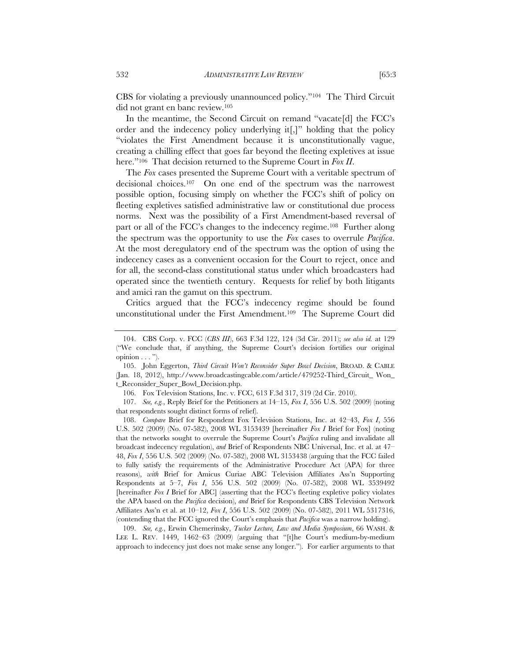CBS for violating a previously unannounced policy."104 The Third Circuit did not grant en banc review.105

In the meantime, the Second Circuit on remand "vacate[d] the FCC's order and the indecency policy underlying it[,]" holding that the policy "violates the First Amendment because it is unconstitutionally vague, creating a chilling effect that goes far beyond the fleeting expletives at issue here."106 That decision returned to the Supreme Court in *Fox II*.

The *Fox* cases presented the Supreme Court with a veritable spectrum of decisional choices.107 On one end of the spectrum was the narrowest possible option, focusing simply on whether the FCC's shift of policy on fleeting expletives satisfied administrative law or constitutional due process norms. Next was the possibility of a First Amendment-based reversal of part or all of the FCC's changes to the indecency regime.108 Further along the spectrum was the opportunity to use the *Fox* cases to overrule *Pacifica*. At the most deregulatory end of the spectrum was the option of using the indecency cases as a convenient occasion for the Court to reject, once and for all, the second-class constitutional status under which broadcasters had operated since the twentieth century. Requests for relief by both litigants and amici ran the gamut on this spectrum.

Critics argued that the FCC's indecency regime should be found unconstitutional under the First Amendment.109 The Supreme Court did

 109. *See, e.g.*, Erwin Chemerinsky, *Tucker Lecture, Law and Media Symposium*, 66 WASH. & LEE L. REV. 1449, 1462–63 (2009) (arguing that "[t]he Court's medium-by-medium approach to indecency just does not make sense any longer."). For earlier arguments to that

 <sup>104.</sup> CBS Corp. v. FCC (*CBS III*), 663 F.3d 122, 124 (3d Cir. 2011); *see also id.* at 129 ("We conclude that, if anything, the Supreme Court's decision fortifies our original  $opinion \ldots$ ").

 <sup>105.</sup> John Eggerton, *Third Circuit Won't Reconsider Super Bowl Decision*, BROAD. & CABLE (Jan. 18, 2012), http://www.broadcastingcable.com/article/479252-Third\_Circuit\_ Won\_ t\_Reconsider\_Super\_Bowl\_Decision.php.

 <sup>106.</sup> Fox Television Stations, Inc. v. FCC, 613 F.3d 317, 319 (2d Cir. 2010).

 <sup>107.</sup> *See, e.g.*, Reply Brief for the Petitioners at 14–15, *Fox I*, 556 U.S. 502 (2009) (noting that respondents sought distinct forms of relief).

 <sup>108.</sup> *Compare* Brief for Respondent Fox Television Stations, Inc. at 42–43, *Fox I*, 556 U.S. 502 (2009) (No. 07-582), 2008 WL 3153439 [hereinafter *Fox I* Brief for Fox] (noting that the networks sought to overrule the Supreme Court's *Pacifica* ruling and invalidate all broadcast indecency regulation), *and* Brief of Respondents NBC Universal, Inc. et al. at 47– 48, *Fox I*, 556 U.S. 502 (2009) (No. 07-582), 2008 WL 3153438 (arguing that the FCC failed to fully satisfy the requirements of the Administrative Procedure Act (APA) for three reasons), *with* Brief for Amicus Curiae ABC Television Affiliates Ass'n Supporting Respondents at 5–7, *Fox I*, 556 U.S. 502 (2009) (No. 07-582), 2008 WL 3539492 [hereinafter *Fox I* Brief for ABC] (asserting that the FCC's fleeting expletive policy violates the APA based on the *Pacifica* decision), *and* Brief for Respondents CBS Television Network Affiliates Ass'n et al. at 10–12, *Fox I*, 556 U.S. 502 (2009) (No. 07-582), 2011 WL 5317316, (contending that the FCC ignored the Court's emphasis that *Pacifica* was a narrow holding).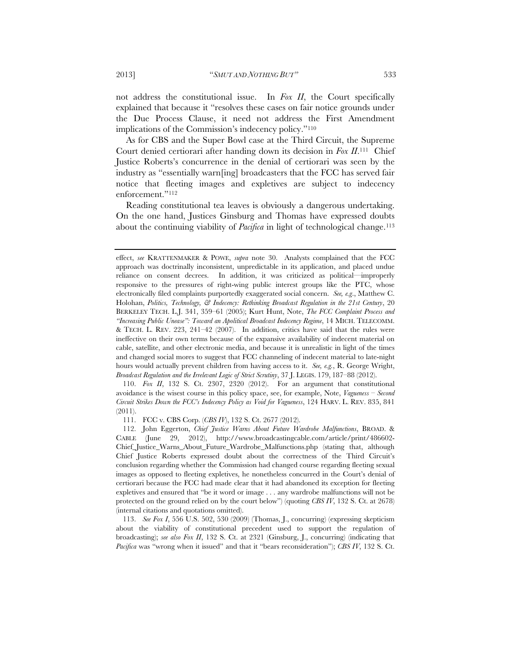not address the constitutional issue. In *Fox II*, the Court specifically explained that because it "resolves these cases on fair notice grounds under the Due Process Clause, it need not address the First Amendment implications of the Commission's indecency policy."110

As for CBS and the Super Bowl case at the Third Circuit, the Supreme Court denied certiorari after handing down its decision in *Fox II*.111 Chief Justice Roberts's concurrence in the denial of certiorari was seen by the industry as "essentially warn[ing] broadcasters that the FCC has served fair notice that fleeting images and expletives are subject to indecency enforcement."112

Reading constitutional tea leaves is obviously a dangerous undertaking. On the one hand, Justices Ginsburg and Thomas have expressed doubts about the continuing viability of *Pacifica* in light of technological change.<sup>113</sup>

 110. *Fox II*, 132 S. Ct. 2307, 2320 (2012). For an argument that constitutional avoidance is the wisest course in this policy space, see, for example, Note, *Vagueness – Second Circuit Strikes Down the FCC's Indecency Policy as Void for Vagueness*, 124 HARV. L. REV. 835, 841 (2011).

111. FCC v. CBS Corp. (*CBS IV*), 132 S. Ct. 2677 (2012).

 113. *See Fox I*, 556 U.S. 502, 530 (2009) (Thomas, J., concurring) (expressing skepticism about the viability of constitutional precedent used to support the regulation of broadcasting); *see also Fox II*, 132 S. Ct. at 2321 (Ginsburg, J., concurring) (indicating that *Pacifica* was "wrong when it issued" and that it "bears reconsideration"); *CBS IV*, 132 S. Ct.

effect, *see* KRATTENMAKER & POWE, *supra* note 30. Analysts complained that the FCC approach was doctrinally inconsistent, unpredictable in its application, and placed undue reliance on consent decrees. In addition, it was criticized as political—improperly responsive to the pressures of right-wing public interest groups like the PTC, whose electronically filed complaints purportedly exaggerated social concern. *See, e.g*., Matthew C. Holohan, *Politics, Technology, & Indecency: Rethinking Broadcast Regulation in the 21st Century*, 20 BERKELEY TECH. L.J. 341, 359–61 (2005); Kurt Hunt, Note, *The FCC Complaint Process and "Increasing Public Unease": Toward an Apolitical Broadcast Indecency Regime*, 14 MICH. TELECOMM. & TECH. L. REV. 223, 241–42 (2007). In addition, critics have said that the rules were ineffective on their own terms because of the expansive availability of indecent material on cable, satellite, and other electronic media, and because it is unrealistic in light of the times and changed social mores to suggest that FCC channeling of indecent material to late-night hours would actually prevent children from having access to it. *See, e.g.*, R. George Wright, *Broadcast Regulation and the Irrelevant Logic of Strict Scrutiny*, 37 J. LEGIS. 179, 187–88 (2012).

 <sup>112.</sup> John Eggerton, *Chief Justice Warns About Future Wardrobe Malfunctions*, BROAD. & CABLE (June 29, 2012), http://www.broadcastingcable.com/article/print/486602- Chief Justice\_Warns\_About\_Future\_Wardrobe\_Malfunctions.php (stating that, although Chief Justice Roberts expressed doubt about the correctness of the Third Circuit's conclusion regarding whether the Commission had changed course regarding fleeting sexual images as opposed to fleeting expletives, he nonetheless concurred in the Court's denial of certiorari because the FCC had made clear that it had abandoned its exception for fleeting expletives and ensured that "be it word or image . . . any wardrobe malfunctions will not be protected on the ground relied on by the court below") (quoting *CBS IV*, 132 S. Ct. at 2678) (internal citations and quotations omitted).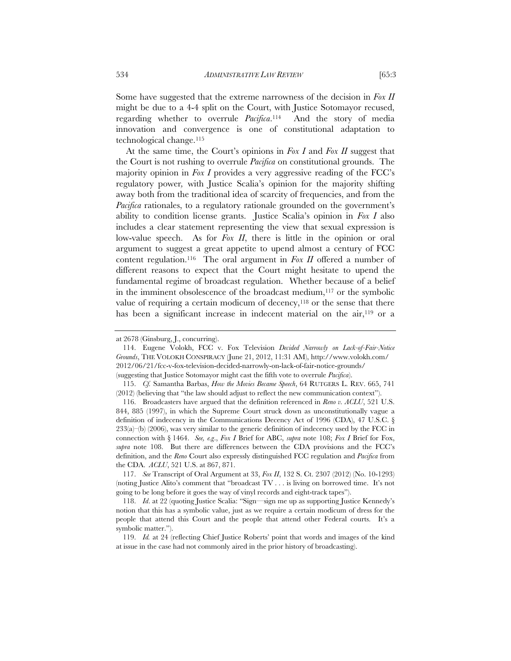Some have suggested that the extreme narrowness of the decision in *Fox II* might be due to a 4-4 split on the Court, with Justice Sotomayor recused, regarding whether to overrule *Pacifica*.114 And the story of media innovation and convergence is one of constitutional adaptation to technological change.115

At the same time, the Court's opinions in *Fox I* and *Fox II* suggest that the Court is not rushing to overrule *Pacifica* on constitutional grounds. The majority opinion in *Fox I* provides a very aggressive reading of the FCC's regulatory power*,* with Justice Scalia's opinion for the majority shifting away both from the traditional idea of scarcity of frequencies, and from the *Pacifica* rationales, to a regulatory rationale grounded on the government's ability to condition license grants. Justice Scalia's opinion in *Fox I* also includes a clear statement representing the view that sexual expression is low-value speech. As for *Fox II*, there is little in the opinion or oral argument to suggest a great appetite to upend almost a century of FCC content regulation.116 The oral argument in *Fox II* offered a number of different reasons to expect that the Court might hesitate to upend the fundamental regime of broadcast regulation. Whether because of a belief in the imminent obsolescence of the broadcast medium, $117$  or the symbolic value of requiring a certain modicum of decency, $118$  or the sense that there has been a significant increase in indecent material on the air,<sup>119</sup> or a

at 2678 (Ginsburg, J., concurring).

 <sup>114.</sup> Eugene Volokh, FCC v. Fox Television *Decided Narrowly on Lack-of-Fair-Notice Grounds*, THE VOLOKH CONSPIRACY (June 21, 2012, 11:31 AM), http://www.volokh.com/ 2012/06/21/fcc-v-fox-television-decided-narrowly-on-lack-of-fair-notice-grounds/ (suggesting that Justice Sotomayor might cast the fifth vote to overrule *Pacifica*).

 <sup>115.</sup> *Cf.* Samantha Barbas, *How the Movies Became Speech*, 64 RUTGERS L. REV. 665, 741 (2012) (believing that "the law should adjust to reflect the new communication context").

 <sup>116.</sup> Broadcasters have argued that the definition referenced in *Reno v. ACLU*, 521 U.S. 844, 885 (1997), in which the Supreme Court struck down as unconstitutionally vague a definition of indecency in the Communications Decency Act of 1996 (CDA), 47 U.S.C. §  $233(a)$ –(b) (2006), was very similar to the generic definition of indecency used by the FCC in connection with § 1464. *See, e.g*., *Fox I* Brief for ABC, *supra* note 108; *Fox I* Brief for Fox, *supra* note 108. But there are differences between the CDA provisions and the FCC's definition, and the *Reno* Court also expressly distinguished FCC regulation and *Pacifica* from the CDA. *ACLU*, 521 U.S. at 867, 871.

 <sup>117.</sup> *See* Transcript of Oral Argument at 33, *Fox II*, 132 S. Ct. 2307 (2012) (No. 10-1293) (noting Justice Alito's comment that "broadcast TV . . . is living on borrowed time. It's not going to be long before it goes the way of vinyl records and eight-track tapes").

 <sup>118.</sup> *Id*. at 22 (quoting Justice Scalia: "Sign—sign me up as supporting Justice Kennedy's notion that this has a symbolic value, just as we require a certain modicum of dress for the people that attend this Court and the people that attend other Federal courts. It's a symbolic matter.").

 <sup>119.</sup> *Id.* at 24 (reflecting Chief Justice Roberts' point that words and images of the kind at issue in the case had not commonly aired in the prior history of broadcasting).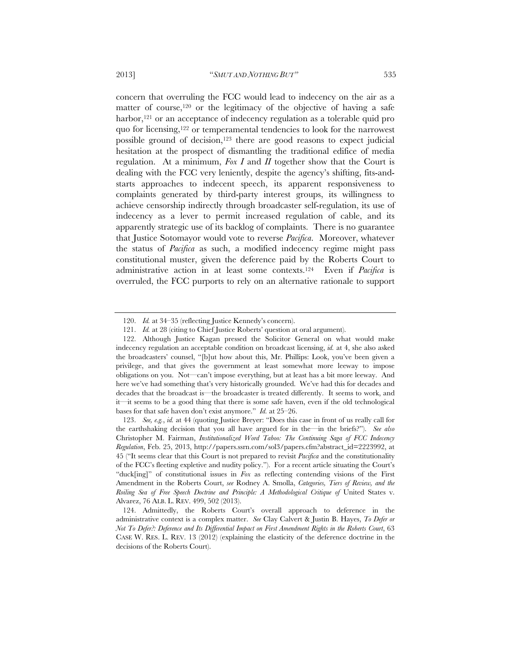matter of course,<sup>120</sup> or the legitimacy of the objective of having a safe harbor,<sup>121</sup> or an acceptance of indecency regulation as a tolerable quid pro quo for licensing,122 or temperamental tendencies to look for the narrowest possible ground of decision,123 there are good reasons to expect judicial hesitation at the prospect of dismantling the traditional edifice of media regulation. At a minimum, *Fox I* and *II* together show that the Court is dealing with the FCC very leniently, despite the agency's shifting, fits-andstarts approaches to indecent speech, its apparent responsiveness to complaints generated by third-party interest groups, its willingness to achieve censorship indirectly through broadcaster self-regulation, its use of indecency as a lever to permit increased regulation of cable, and its apparently strategic use of its backlog of complaints. There is no guarantee that Justice Sotomayor would vote to reverse *Pacifica*. Moreover, whatever the status of *Pacifica* as such, a modified indecency regime might pass constitutional muster, given the deference paid by the Roberts Court to administrative action in at least some contexts.124 Even if *Pacifica* is overruled, the FCC purports to rely on an alternative rationale to support

 123. *See, e.g.*, *id.* at 44 (quoting Justice Breyer: "Does this case in front of us really call for the earthshaking decision that you all have argued for in the—in the briefs?"). *See also* Christopher M. Fairman, *Institutionalized Word Taboo: The Continuing Saga of FCC Indecency Regulation*, Feb. 25, 2013, http://papers.ssrn.com/sol3/papers.cfm?abstract\_id=2223992, at 45 ("It seems clear that this Court is not prepared to revisit *Pacifica* and the constitutionality of the FCC's fleeting expletive and nudity policy."). For a recent article situating the Court's "duck[ing]" of constitutional issues in *Fox* as reflecting contending visions of the First Amendment in the Roberts Court, *see* Rodney A. Smolla, *Categories, Tiers of Review, and the*  Roiling Sea of Free Speech Doctrine and Principle: A Methodological Critique of United States v. Alvarez, 76 ALB. L. REV. 499, 502 (2013).

 <sup>120.</sup> *Id.* at 34–35 (reflecting Justice Kennedy's concern).

 <sup>121.</sup> *Id.* at 28 (citing to Chief Justice Roberts' question at oral argument).

 <sup>122.</sup> Although Justice Kagan pressed the Solicitor General on what would make indecency regulation an acceptable condition on broadcast licensing, *id.* at 4, she also asked the broadcasters' counsel, "[b]ut how about this, Mr. Phillips: Look, you've been given a privilege, and that gives the government at least somewhat more leeway to impose obligations on you. Not—can't impose everything, but at least has a bit more leeway. And here we've had something that's very historically grounded. We've had this for decades and decades that the broadcast is—the broadcaster is treated differently. It seems to work, and it—it seems to be a good thing that there is some safe haven, even if the old technological bases for that safe haven don't exist anymore." *Id.* at 25–26.

 <sup>124.</sup> Admittedly, the Roberts Court's overall approach to deference in the administrative context is a complex matter. *See* Clay Calvert & Justin B. Hayes, *To Defer or Not To Defer?: Deference and Its Differential Impact on First Amendment Rights in the Roberts Court*, 63 CASE W. RES. L. REV. 13 (2012) (explaining the elasticity of the deference doctrine in the decisions of the Roberts Court).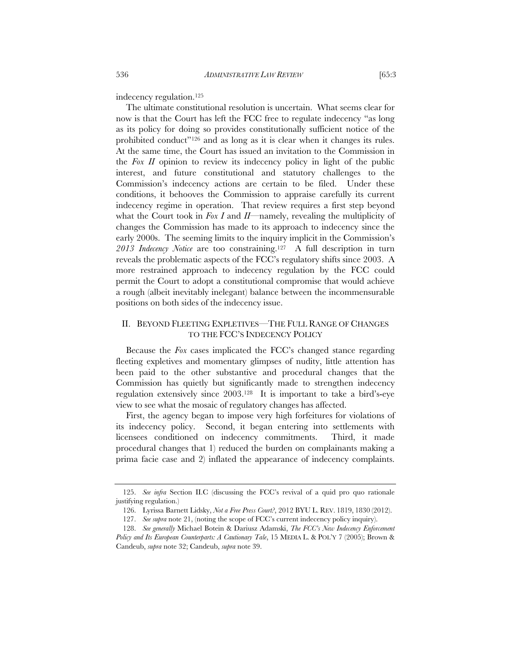indecency regulation.125

The ultimate constitutional resolution is uncertain. What seems clear for now is that the Court has left the FCC free to regulate indecency "as long as its policy for doing so provides constitutionally sufficient notice of the prohibited conduct"126 and as long as it is clear when it changes its rules. At the same time, the Court has issued an invitation to the Commission in the *Fox II* opinion to review its indecency policy in light of the public interest, and future constitutional and statutory challenges to the Commission's indecency actions are certain to be filed. Under these conditions, it behooves the Commission to appraise carefully its current indecency regime in operation. That review requires a first step beyond what the Court took in *Fox I* and *II*—namely, revealing the multiplicity of changes the Commission has made to its approach to indecency since the early 2000s. The seeming limits to the inquiry implicit in the Commission's *2013 Indecency Notice* are too constraining.127 A full description in turn reveals the problematic aspects of the FCC's regulatory shifts since 2003. A more restrained approach to indecency regulation by the FCC could permit the Court to adopt a constitutional compromise that would achieve a rough (albeit inevitably inelegant) balance between the incommensurable positions on both sides of the indecency issue.

### II. BEYOND FLEETING EXPLETIVES—THE FULL RANGE OF CHANGES TO THE FCC'S INDECENCY POLICY

Because the *Fox* cases implicated the FCC's changed stance regarding fleeting expletives and momentary glimpses of nudity, little attention has been paid to the other substantive and procedural changes that the Commission has quietly but significantly made to strengthen indecency regulation extensively since 2003.128 It is important to take a bird's-eye view to see what the mosaic of regulatory changes has affected.

First, the agency began to impose very high forfeitures for violations of its indecency policy. Second, it began entering into settlements with licensees conditioned on indecency commitments. Third, it made procedural changes that 1) reduced the burden on complainants making a prima facie case and 2) inflated the appearance of indecency complaints.

 <sup>125.</sup> *See infra* Section II.C (discussing the FCC's revival of a quid pro quo rationale justifying regulation.)

 <sup>126.</sup> Lyrissa Barnett Lidsky, *Not a Free Press Court?*, 2012 BYU L. REV. 1819, 1830 (2012).

 <sup>127.</sup> *See supra* note 21, (noting the scope of FCC's current indecency policy inquiry).

 <sup>128.</sup> *See generally* Michael Botein & Dariusz Adamski, *The FCC's New Indecency Enforcement Policy and Its European Counterparts: A Cautionary Tale*, 15 MEDIA L. & POL'Y 7 (2005); Brown & Candeub, *supra* note 32; Candeub, *supra* note 39.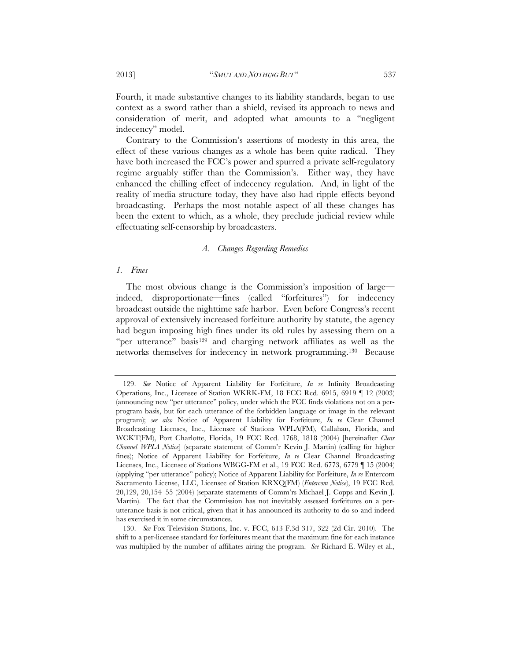Fourth, it made substantive changes to its liability standards, began to use context as a sword rather than a shield, revised its approach to news and consideration of merit, and adopted what amounts to a "negligent indecency" model.

Contrary to the Commission's assertions of modesty in this area, the effect of these various changes as a whole has been quite radical. They have both increased the FCC's power and spurred a private self-regulatory regime arguably stiffer than the Commission's. Either way, they have enhanced the chilling effect of indecency regulation. And, in light of the reality of media structure today, they have also had ripple effects beyond broadcasting. Perhaps the most notable aspect of all these changes has been the extent to which, as a whole, they preclude judicial review while effectuating self-censorship by broadcasters.

#### *A. Changes Regarding Remedies*

#### *1. Fines*

The most obvious change is the Commission's imposition of large indeed, disproportionate—fines (called "forfeitures") for indecency broadcast outside the nighttime safe harbor. Even before Congress's recent approval of extensively increased forfeiture authority by statute, the agency had begun imposing high fines under its old rules by assessing them on a "per utterance" basis<sup>129</sup> and charging network affiliates as well as the networks themselves for indecency in network programming.130 Because

 130. *See* Fox Television Stations, Inc. v. FCC, 613 F.3d 317, 322 (2d Cir. 2010). The shift to a per-licensee standard for forfeitures meant that the maximum fine for each instance was multiplied by the number of affiliates airing the program. *See* Richard E. Wiley et al.,

 <sup>129.</sup> *See* Notice of Apparent Liability for Forfeiture, *In re* Infinity Broadcasting Operations, Inc., Licensee of Station WKRK-FM, 18 FCC Rcd. 6915, 6919 ¶ 12 (2003) (announcing new "per utterance" policy, under which the FCC finds violations not on a perprogram basis, but for each utterance of the forbidden language or image in the relevant program); *see also* Notice of Apparent Liability for Forfeiture, *In re* Clear Channel Broadcasting Licenses, Inc., Licensee of Stations WPLA(FM), Callahan, Florida, and WCKT(FM), Port Charlotte, Florida, 19 FCC Rcd. 1768, 1818 (2004) [hereinafter *Clear Channel WPLA Notice*] (separate statement of Comm'r Kevin J. Martin) (calling for higher fines); Notice of Apparent Liability for Forfeiture, *In re* Clear Channel Broadcasting Licenses, Inc., Licensee of Stations WBGG-FM et al., 19 FCC Rcd. 6773, 6779 ¶ 15 (2004) (applying "per utterance" policy); Notice of Apparent Liability for Forfeiture, *In re* Entercom Sacramento License, LLC, Licensee of Station KRXQ(FM) (*Entercom Notice*), 19 FCC Rcd. 20,129, 20,154–55 (2004) (separate statements of Comm'rs Michael J. Copps and Kevin J. Martin). The fact that the Commission has not inevitably assessed forfeitures on a perutterance basis is not critical, given that it has announced its authority to do so and indeed has exercised it in some circumstances.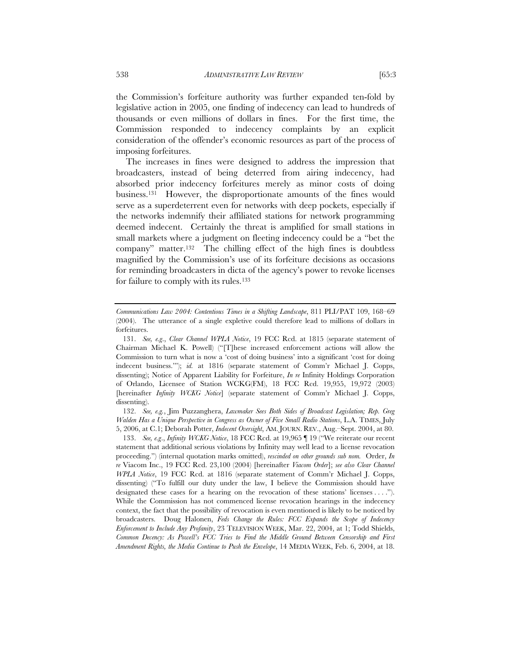the Commission's forfeiture authority was further expanded ten-fold by legislative action in 2005, one finding of indecency can lead to hundreds of

thousands or even millions of dollars in fines. For the first time, the Commission responded to indecency complaints by an explicit consideration of the offender's economic resources as part of the process of imposing forfeitures.

The increases in fines were designed to address the impression that broadcasters, instead of being deterred from airing indecency, had absorbed prior indecency forfeitures merely as minor costs of doing business.131 However, the disproportionate amounts of the fines would serve as a superdeterrent even for networks with deep pockets, especially if the networks indemnify their affiliated stations for network programming deemed indecent. Certainly the threat is amplified for small stations in small markets where a judgment on fleeting indecency could be a "bet the company" matter.132 The chilling effect of the high fines is doubtless magnified by the Commission's use of its forfeiture decisions as occasions for reminding broadcasters in dicta of the agency's power to revoke licenses for failure to comply with its rules.133

 132. *See, e.g.*, Jim Puzzanghera, *Lawmaker Sees Both Sides of Broadcast Legislation; Rep. Greg Walden Has a Unique Perspective in Congress as Owner of Five Small Radio Stations*, L.A. TIMES, July 5, 2006, at C.1; Deborah Potter, *Indecent Oversight*, AM. JOURN. REV., Aug.–Sept. 2004, at 80.

 133. *See, e.g*., *Infinity WCKG Notice*, 18 FCC Rcd. at 19,965 ¶ 19 ("We reiterate our recent statement that additional serious violations by Infinity may well lead to a license revocation proceeding.") (internal quotation marks omitted), *rescinded on other grounds sub nom.* Order, *In re* Viacom Inc., 19 FCC Rcd. 23,100 (2004) [hereinafter *Viacom Order*]; *see also Clear Channel WPLA Notice*, 19 FCC Rcd. at 1816 (separate statement of Comm'r Michael J. Copps, dissenting) ("To fulfill our duty under the law, I believe the Commission should have designated these cases for a hearing on the revocation of these stations' licenses . . . ."). While the Commission has not commenced license revocation hearings in the indecency context, the fact that the possibility of revocation is even mentioned is likely to be noticed by broadcasters. Doug Halonen, *Feds Change the Rules: FCC Expands the Scope of Indecency Enforcement to Include Any Profanity*, 23 TELEVISION WEEK, Mar. 22, 2004, at 1; Todd Shields, *Common Decency: As Powell's FCC Tries to Find the Middle Ground Between Censorship and First Amendment Rights, the Media Continue to Push the Envelope*, 14 MEDIA WEEK, Feb. 6, 2004, at 18.

*Communications Law 2004: Contentious Times in a Shifting Landscape*, 811 PLI/PAT 109, 168–69 (2004). The utterance of a single expletive could therefore lead to millions of dollars in forfeitures.

 <sup>131.</sup> *See, e.g*., *Clear Channel WPLA Notice*, 19 FCC Rcd. at 1815 (separate statement of Chairman Michael K. Powell) ("[T]hese increased enforcement actions will allow the Commission to turn what is now a 'cost of doing business' into a significant 'cost for doing indecent business.'"); *id.* at 1816 (separate statement of Comm'r Michael J. Copps, dissenting); Notice of Apparent Liability for Forfeiture, *In re* Infinity Holdings Corporation of Orlando, Licensee of Station WCKG(FM), 18 FCC Rcd. 19,955, 19,972 (2003) [hereinafter *Infinity WCKG Notice*] (separate statement of Comm'r Michael J. Copps, dissenting).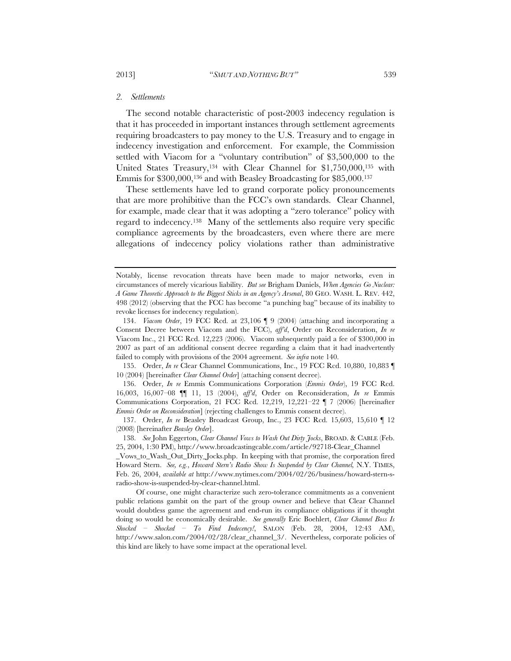#### *2. Settlements*

The second notable characteristic of post-2003 indecency regulation is that it has proceeded in important instances through settlement agreements requiring broadcasters to pay money to the U.S. Treasury and to engage in indecency investigation and enforcement. For example, the Commission settled with Viacom for a "voluntary contribution" of \$3,500,000 to the United States Treasury,134 with Clear Channel for \$1,750,000,135 with Emmis for \$300,000,136 and with Beasley Broadcasting for \$85,000.137

These settlements have led to grand corporate policy pronouncements that are more prohibitive than the FCC's own standards. Clear Channel, for example, made clear that it was adopting a "zero tolerance" policy with regard to indecency.138 Many of the settlements also require very specific compliance agreements by the broadcasters, even where there are mere allegations of indecency policy violations rather than administrative

 135. Order, *In re* Clear Channel Communications, Inc., 19 FCC Rcd. 10,880, 10,883 ¶ 10 (2004) [hereinafter *Clear Channel Order*] (attaching consent decree).

 136. Order, *In re* Emmis Communications Corporation (*Emmis Order*), 19 FCC Rcd. 16,003, 16,007–08 ¶¶ 11, 13 (2004), *aff'd*, Order on Reconsideration, *In re* Emmis Communications Corporation, 21 FCC Rcd. 12,219, 12,221–22 ¶ 7 (2006) [hereinafter *Emmis Order on Reconsideration*] (rejecting challenges to Emmis consent decree).

 137. Order, *In re* Beasley Broadcast Group, Inc., 23 FCC Rcd. 15,603, 15,610 ¶ 12 (2008) [hereinafter *Beasley Order*].

 138. *See* John Eggerton, *Clear Channel Vows to Wash Out Dirty Jocks*, BROAD. & CABLE (Feb. 25, 2004, 1:30 PM), http://www.broadcastingcable.com/article/92718-Clear\_Channel

Vows to Wash Out Dirty Jocks.php. In keeping with that promise, the corporation fired Howard Stern. *See, e.g.*, *Howard Stern's Radio Show Is Suspended by Clear Channel,* N.Y. TIMES, Feb. 26, 2004, *available at* http://www.nytimes.com/2004/02/26/business/howard-stern-sradio-show-is-suspended-by-clear-channel.html.

Of course, one might characterize such zero-tolerance commitments as a convenient public relations gambit on the part of the group owner and believe that Clear Channel would doubtless game the agreement and end-run its compliance obligations if it thought doing so would be economically desirable. *See generally* Eric Boehlert, *Clear Channel Boss Is Shocked* – *Shocked – To Find Indecency!*, SALON (Feb. 28, 2004, 12:43 AM), http://www.salon.com/2004/02/28/clear\_channel\_3/. Nevertheless, corporate policies of this kind are likely to have some impact at the operational level.

Notably, license revocation threats have been made to major networks, even in circumstances of merely vicarious liability. *But see* Brigham Daniels, *When Agencies Go Nuclear: A Game Theoretic Approach to the Biggest Sticks in an Agency's Arsenal*, 80 GEO. WASH. L. REV. 442, 498 (2012) (observing that the FCC has become "a punching bag" because of its inability to revoke licenses for indecency regulation).

 <sup>134.</sup> *Viacom Order*, 19 FCC Rcd. at 23,106 ¶ 9 (2004) (attaching and incorporating a Consent Decree between Viacom and the FCC), *aff'd*, Order on Reconsideration, *In re*  Viacom Inc., 21 FCC Rcd. 12,223 (2006). Viacom subsequently paid a fee of \$300,000 in 2007 as part of an additional consent decree regarding a claim that it had inadvertently failed to comply with provisions of the 2004 agreement. *See infra* note 140.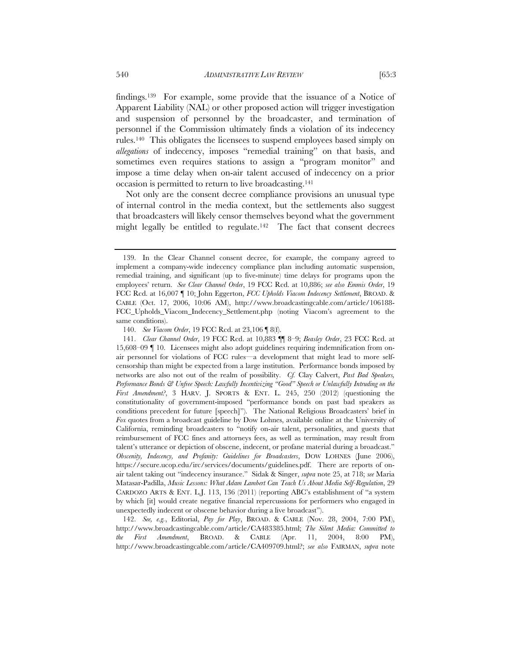findings.139 For example, some provide that the issuance of a Notice of Apparent Liability (NAL) or other proposed action will trigger investigation and suspension of personnel by the broadcaster, and termination of personnel if the Commission ultimately finds a violation of its indecency rules.140 This obligates the licensees to suspend employees based simply on *allegations* of indecency, imposes "remedial training" on that basis, and sometimes even requires stations to assign a "program monitor" and impose a time delay when on-air talent accused of indecency on a prior occasion is permitted to return to live broadcasting.141

Not only are the consent decree compliance provisions an unusual type of internal control in the media context, but the settlements also suggest that broadcasters will likely censor themselves beyond what the government might legally be entitled to regulate.<sup>142</sup> The fact that consent decrees

 142. *See, e.g.*, Editorial, *Pay for Play*, BROAD. & CABLE (Nov. 28, 2004, 7:00 PM), http://www.broadcastingcable.com/article/CA483385.html; *The Silent Media: Committed to the First Amendment*, BROAD. & CABLE (Apr. 11, 2004, 8:00 PM), http://www.broadcastingcable.com/article/CA409709.html?; *see also* FAIRMAN, *supra* note

 <sup>139.</sup> In the Clear Channel consent decree, for example, the company agreed to implement a company-wide indecency compliance plan including automatic suspension, remedial training, and significant (up to five-minute) time delays for programs upon the employees' return. *See Clear Channel Order*, 19 FCC Rcd. at 10,886; *see also Emmis Order*, 19 FCC Rcd. at 16,007 ¶ 10; John Eggerton, *FCC Upholds Viacom Indecency Settlement*, BROAD. & CABLE (Oct. 17, 2006, 10:06 AM), http://www.broadcastingcable.com/article/106188- FCC\_Upholds\_Viacom\_Indecency\_Settlement.php (noting Viacom's agreement to the same conditions).

 <sup>140.</sup> *See Viacom Order*, 19 FCC Rcd. at 23,106 ¶ 8(f).

 <sup>141.</sup> *Clear Channel Order*, 19 FCC Rcd. at 10,883 ¶¶ 8–9; *Beasley Order*, 23 FCC Rcd. at 15,608–09 ¶ 10. Licensees might also adopt guidelines requiring indemnification from onair personnel for violations of FCC rules—a development that might lead to more selfcensorship than might be expected from a large institution. Performance bonds imposed by networks are also not out of the realm of possibility. *Cf.* Clay Calvert, *Past Bad Speakers, Performance Bonds & Unfree Speech: Lawfully Incentivizing "Good" Speech or Unlawfully Intruding on the First Amendment?*, 3 HARV. J. SPORTS & ENT. L. 245, 250 (2012) (questioning the constitutionality of government-imposed "performance bonds on past bad speakers as conditions precedent for future [speech]"). The National Religious Broadcasters' brief in *Fox* quotes from a broadcast guideline by Dow Lohnes, available online at the University of California, reminding broadcasters to "notify on-air talent, personalities, and guests that reimbursement of FCC fines and attorneys fees, as well as termination, may result from talent's utterance or depiction of obscene, indecent, or profane material during a broadcast." *Obscenity, Indecency, and Profanity: Guidelines for Broadcasters*, DOW LOHNES (June 2006), https://secure.ucop.edu/irc/services/documents/guidelines.pdf. There are reports of onair talent taking out "indecency insurance." Sidak & Singer, *supra* note 25, at 718; *see* Maria Matasar-Padilla, *Music Lessons: What Adam Lambert Can Teach Us About Media Self-Regulation*, 29 CARDOZO ARTS & ENT. L.J. 113, 136 (2011) (reporting ABC's establishment of "a system by which [it] would create negative financial repercussions for performers who engaged in unexpectedly indecent or obscene behavior during a live broadcast").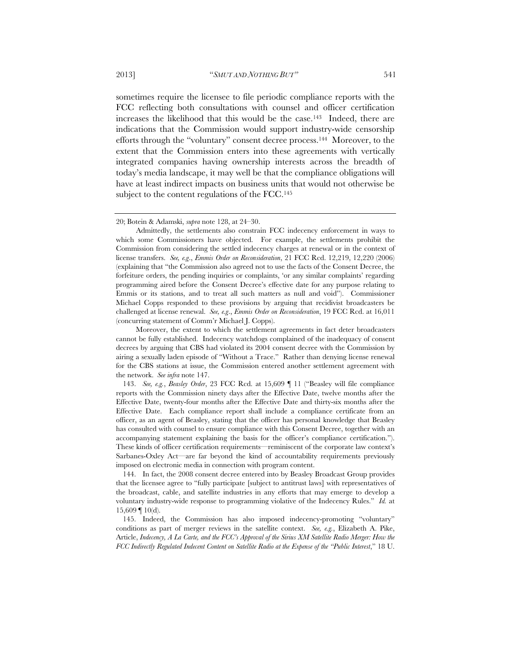sometimes require the licensee to file periodic compliance reports with the FCC reflecting both consultations with counsel and officer certification increases the likelihood that this would be the case.143 Indeed, there are indications that the Commission would support industry-wide censorship efforts through the "voluntary" consent decree process.144 Moreover, to the

extent that the Commission enters into these agreements with vertically integrated companies having ownership interests across the breadth of today's media landscape, it may well be that the compliance obligations will have at least indirect impacts on business units that would not otherwise be subject to the content regulations of the FCC.<sup>145</sup>

<sup>20;</sup> Botein & Adamski, *supra* note 128, at 24–30.

Admittedly, the settlements also constrain FCC indecency enforcement in ways to which some Commissioners have objected. For example, the settlements prohibit the Commission from considering the settled indecency charges at renewal or in the context of license transfers. *See, e.g*., *Emmis Order on Reconsideration*, 21 FCC Rcd. 12,219, 12,220 (2006) (explaining that "the Commission also agreed not to use the facts of the Consent Decree, the forfeiture orders, the pending inquiries or complaints, 'or any similar complaints' regarding programming aired before the Consent Decree's effective date for any purpose relating to Emmis or its stations, and to treat all such matters as null and void"). Commissioner Michael Copps responded to these provisions by arguing that recidivist broadcasters be challenged at license renewal. *See, e.g*., *Emmis Order on Reconsideration*, 19 FCC Rcd. at 16,011 (concurring statement of Comm'r Michael J. Copps).

Moreover, the extent to which the settlement agreements in fact deter broadcasters cannot be fully established. Indecency watchdogs complained of the inadequacy of consent decrees by arguing that CBS had violated its 2004 consent decree with the Commission by airing a sexually laden episode of "Without a Trace." Rather than denying license renewal for the CBS stations at issue, the Commission entered another settlement agreement with the network. *See infra* note 147.

 <sup>143.</sup> *See, e.g.*, *Beasley Order*, 23 FCC Rcd. at 15,609 ¶ 11 ("Beasley will file compliance reports with the Commission ninety days after the Effective Date, twelve months after the Effective Date, twenty-four months after the Effective Date and thirty-six months after the Effective Date. Each compliance report shall include a compliance certificate from an officer, as an agent of Beasley, stating that the officer has personal knowledge that Beasley has consulted with counsel to ensure compliance with this Consent Decree, together with an accompanying statement explaining the basis for the officer's compliance certification."). These kinds of officer certification requirements—reminiscent of the corporate law context's Sarbanes-Oxley Act—are far beyond the kind of accountability requirements previously imposed on electronic media in connection with program content.

 <sup>144.</sup> In fact, the 2008 consent decree entered into by Beasley Broadcast Group provides that the licensee agree to "fully participate [subject to antitrust laws] with representatives of the broadcast, cable, and satellite industries in any efforts that may emerge to develop a voluntary industry-wide response to programming violative of the Indecency Rules." *Id.* at  $15,609 \text{ } \text{\degree} 10(d)$ .

 <sup>145.</sup> Indeed, the Commission has also imposed indecency-promoting "voluntary" conditions as part of merger reviews in the satellite context. *See, e.g.*, Elizabeth A. Pike, Article, *Indecency, A La Carte, and the FCC's Approval of the Sirius XM Satellite Radio Merger: How the FCC Indirectly Regulated Indecent Content on Satellite Radio at the Expense of the "Public Interest*," 18 U.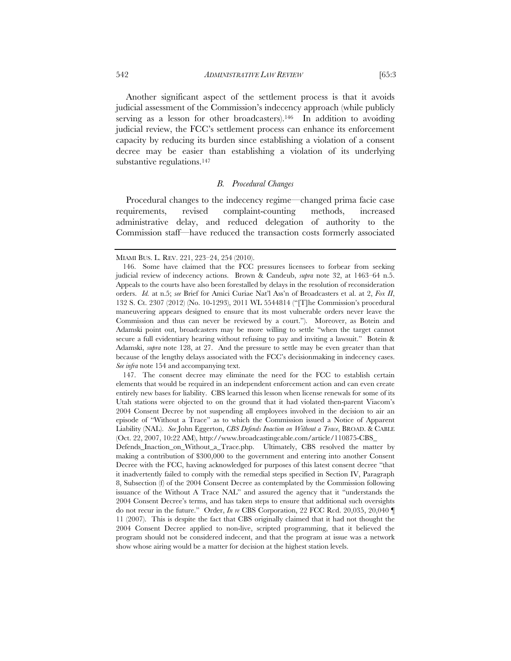Another significant aspect of the settlement process is that it avoids judicial assessment of the Commission's indecency approach (while publicly serving as a lesson for other broadcasters).<sup>146</sup> In addition to avoiding judicial review, the FCC's settlement process can enhance its enforcement capacity by reducing its burden since establishing a violation of a consent decree may be easier than establishing a violation of its underlying substantive regulations.<sup>147</sup>

#### *B. Procedural Changes*

Procedural changes to the indecency regime—changed prima facie case requirements, revised complaint-counting methods, increased administrative delay, and reduced delegation of authority to the Commission staff—have reduced the transaction costs formerly associated

 147. The consent decree may eliminate the need for the FCC to establish certain elements that would be required in an independent enforcement action and can even create entirely new bases for liability. CBS learned this lesson when license renewals for some of its Utah stations were objected to on the ground that it had violated then-parent Viacom's 2004 Consent Decree by not suspending all employees involved in the decision to air an episode of "Without a Trace" as to which the Commission issued a Notice of Apparent Liability (NAL). *See* John Eggerton, *CBS Defends Inaction on Without a Trace*, BROAD. & CABLE (Oct. 22, 2007, 10:22 AM), http://www.broadcastingcable.com/article/110875-CBS\_

Defends\_Inaction\_on\_Without\_a\_Trace.php. Ultimately, CBS resolved the matter by making a contribution of \$300,000 to the government and entering into another Consent Decree with the FCC, having acknowledged for purposes of this latest consent decree "that it inadvertently failed to comply with the remedial steps specified in Section IV, Paragraph 8, Subsection (f) of the 2004 Consent Decree as contemplated by the Commission following issuance of the Without A Trace NAL" and assured the agency that it "understands the 2004 Consent Decree's terms, and has taken steps to ensure that additional such oversights do not recur in the future." Order, *In re* CBS Corporation, 22 FCC Rcd. 20,035, 20,040 ¶ 11 (2007). This is despite the fact that CBS originally claimed that it had not thought the 2004 Consent Decree applied to non-live, scripted programming, that it believed the program should not be considered indecent, and that the program at issue was a network show whose airing would be a matter for decision at the highest station levels.

MIAMI BUS. L. REV. 221, 223–24, 254 (2010).

 <sup>146.</sup> Some have claimed that the FCC pressures licensees to forbear from seeking judicial review of indecency actions. Brown & Candeub, *supra* note 32, at 1463–64 n.5. Appeals to the courts have also been forestalled by delays in the resolution of reconsideration orders. *Id.* at n.5; *see* Brief for Amici Curiae Nat'l Ass'n of Broadcasters et al. at 2, *Fox II*, 132 S. Ct. 2307 (2012) (No. 10-1293), 2011 WL 5544814 ("[T]he Commission's procedural maneuvering appears designed to ensure that its most vulnerable orders never leave the Commission and thus can never be reviewed by a court."). Moreover, as Botein and Adamski point out, broadcasters may be more willing to settle "when the target cannot secure a full evidentiary hearing without refusing to pay and inviting a lawsuit." Botein & Adamski, *supra* note 128, at 27. And the pressure to settle may be even greater than that because of the lengthy delays associated with the FCC's decisionmaking in indecency cases. *See infra* note 154 and accompanying text.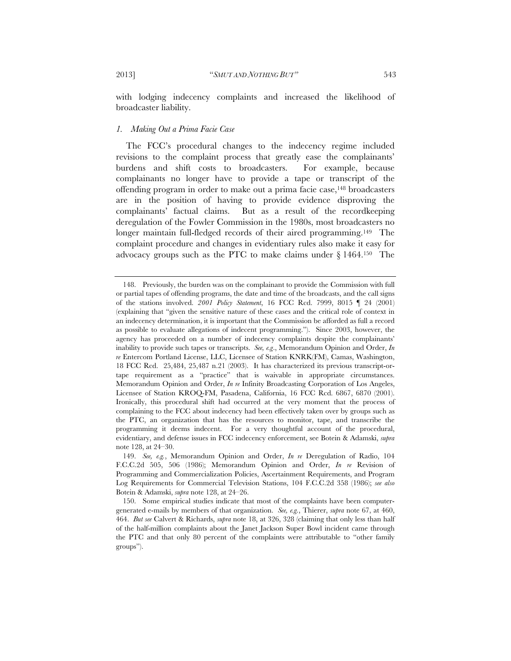with lodging indecency complaints and increased the likelihood of broadcaster liability.

#### *1. Making Out a Prima Facie Case*

The FCC's procedural changes to the indecency regime included revisions to the complaint process that greatly ease the complainants' burdens and shift costs to broadcasters. For example, because complainants no longer have to provide a tape or transcript of the offending program in order to make out a prima facie case,148 broadcasters are in the position of having to provide evidence disproving the complainants' factual claims. But as a result of the recordkeeping deregulation of the Fowler Commission in the 1980s, most broadcasters no longer maintain full-fledged records of their aired programming.<sup>149</sup> The complaint procedure and changes in evidentiary rules also make it easy for advocacy groups such as the PTC to make claims under § 1464.150 The

 <sup>148.</sup> Previously, the burden was on the complainant to provide the Commission with full or partial tapes of offending programs, the date and time of the broadcasts, and the call signs of the stations involved. *2001 Policy Statement*, 16 FCC Rcd. 7999, 8015 ¶ 24 (2001) (explaining that "given the sensitive nature of these cases and the critical role of context in an indecency determination, it is important that the Commission be afforded as full a record as possible to evaluate allegations of indecent programming."). Since 2003, however, the agency has proceeded on a number of indecency complaints despite the complainants' inability to provide such tapes or transcripts. *See, e.g*., Memorandum Opinion and Order, *In re* Entercom Portland License, LLC, Licensee of Station KNRK(FM), Camas, Washington, 18 FCC Rcd. 25,484, 25,487 n.21 (2003). It has characterized its previous transcript-ortape requirement as a "practice" that is waivable in appropriate circumstances. Memorandum Opinion and Order, *In re* Infinity Broadcasting Corporation of Los Angeles, Licensee of Station KROQ-FM, Pasadena, California, 16 FCC Rcd. 6867, 6870 (2001). Ironically, this procedural shift had occurred at the very moment that the process of complaining to the FCC about indecency had been effectively taken over by groups such as the PTC, an organization that has the resources to monitor, tape, and transcribe the programming it deems indecent. For a very thoughtful account of the procedural, evidentiary, and defense issues in FCC indecency enforcement, see Botein & Adamski, *supra*  note 128, at 24–30.

 <sup>149.</sup> *See, e.g.*, Memorandum Opinion and Order, *In re* Deregulation of Radio, 104 F.C.C.2d 505, 506 (1986); Memorandum Opinion and Order, *In re* Revision of Programming and Commercialization Policies, Ascertainment Requirements, and Program Log Requirements for Commercial Television Stations, 104 F.C.C.2d 358 (1986); *see also* Botein & Adamski, *supra* note 128, at 24–26.

 <sup>150.</sup> Some empirical studies indicate that most of the complaints have been computergenerated e-mails by members of that organization. *See, e.g.*, Thierer, *supra* note 67, at 460, 464. *But see* Calvert & Richards, *supra* note 18, at 326, 328 (claiming that only less than half of the half-million complaints about the Janet Jackson Super Bowl incident came through the PTC and that only 80 percent of the complaints were attributable to "other family groups").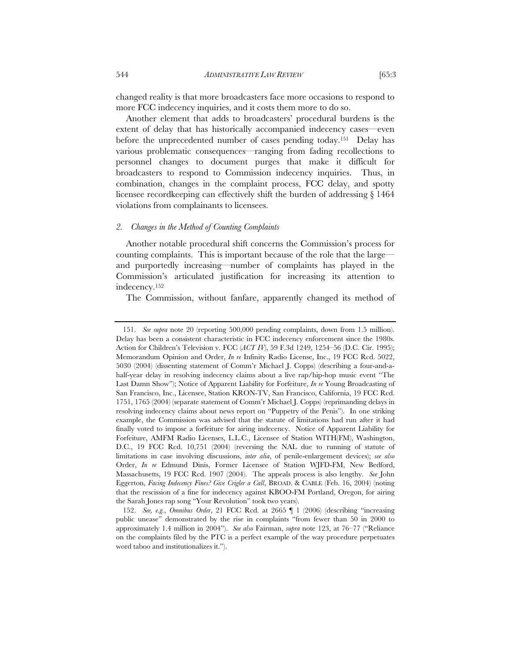changed reality is that more broadcasters face more occasions to respond to more FCC indecency inquiries, and it costs them more to do so.

Another element that adds to broadcasters' procedural burdens is the extent of delay that has historically accompanied indecency cases—even before the unprecedented number of cases pending today.151 Delay has various problematic consequences—ranging from fading recollections to personnel changes to document purges that make it difficult for broadcasters to respond to Commission indecency inquiries. Thus, in combination, changes in the complaint process, FCC delay, and spotty licensee recordkeeping can effectively shift the burden of addressing § 1464 violations from complainants to licensees.

#### *2. Changes in the Method of Counting Complaints*

Another notable procedural shift concerns the Commission's process for counting complaints. This is important because of the role that the large and purportedly increasing—number of complaints has played in the Commission's articulated justification for increasing its attention to indecency.152

The Commission, without fanfare, apparently changed its method of

 <sup>151.</sup> *See supra* note 20 (reporting 500,000 pending complaints, down from 1.5 million). Delay has been a consistent characteristic in FCC indecency enforcement since the 1980s. Action for Children's Television v. FCC (*ACT IV*), 59 F.3d 1249, 1254–56 (D.C. Cir. 1995); Memorandum Opinion and Order, *In re* Infinity Radio License, Inc., 19 FCC Rcd. 5022, 5030 (2004) (dissenting statement of Comm'r Michael J. Copps) (describing a four-and-ahalf-year delay in resolving indecency claims about a live rap/hip-hop music event "The Last Damn Show"); Notice of Apparent Liability for Forfeiture, *In re* Young Broadcasting of San Francisco, Inc., Licensee, Station KRON-TV, San Francisco, California, 19 FCC Rcd. 1751, 1765 (2004) (separate statement of Comm'r Michael J. Copps) (reprimanding delays in resolving indecency claims about news report on "Puppetry of the Penis"). In one striking example, the Commission was advised that the statute of limitations had run after it had finally voted to impose a forfeiture for airing indecency. Notice of Apparent Liability for Forfeiture, AMFM Radio Licenses, L.L.C., Licensee of Station WITH(FM), Washington, D.C., 19 FCC Rcd. 10,751 (2004) (reversing the NAL due to running of statute of limitations in case involving discussions, *inter alia*, of penile-enlargement devices); *see also* Order, *In re* Edmund Dinis, Former Licensee of Station WJFD-FM, New Bedford, Massachusetts, 19 FCC Rcd. 1907 (2004). The appeals process is also lengthy. *See* John Eggerton, *Facing Indecency Fines? Give Crigler a Call*, BROAD. & CABLE (Feb. 16, 2004) (noting that the rescission of a fine for indecency against KBOO-FM Portland, Oregon, for airing the Sarah Jones rap song "Your Revolution" took two years).

 <sup>152.</sup> *See, e.g.*, *Omnibus Order*, 21 FCC Rcd. at 2665 ¶ 1 (2006) (describing "increasing public unease" demonstrated by the rise in complaints "from fewer than 50 in 2000 to approximately 1.4 million in 2004"). *See also* Fairman, *supra* note 123, at 76–77 ("Reliance on the complaints filed by the PTC is a perfect example of the way procedure perpetuates word taboo and institutionalizes it.").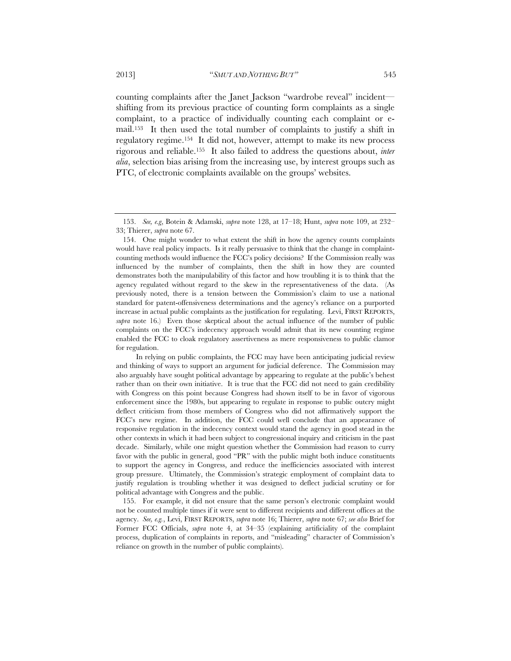counting complaints after the Janet Jackson "wardrobe reveal" incident shifting from its previous practice of counting form complaints as a single complaint, to a practice of individually counting each complaint or email.153 It then used the total number of complaints to justify a shift in regulatory regime.154 It did not, however, attempt to make its new process rigorous and reliable.155 It also failed to address the questions about, *inter alia*, selection bias arising from the increasing use, by interest groups such as PTC, of electronic complaints available on the groups' websites.

 <sup>153.</sup> *See, e.g*, Botein & Adamski, *supra* note 128, at 17–18; Hunt, *supra* note 109, at 232– 33; Thierer, *supra* note 67.

 <sup>154.</sup> One might wonder to what extent the shift in how the agency counts complaints would have real policy impacts. Is it really persuasive to think that the change in complaintcounting methods would influence the FCC's policy decisions? If the Commission really was influenced by the number of complaints, then the shift in how they are counted demonstrates both the manipulability of this factor and how troubling it is to think that the agency regulated without regard to the skew in the representativeness of the data. (As previously noted, there is a tension between the Commission's claim to use a national standard for patent-offensiveness determinations and the agency's reliance on a purported increase in actual public complaints as the justification for regulating. Levi, FIRST REPORTS, *supra* note 16.) Even those skeptical about the actual influence of the number of public complaints on the FCC's indecency approach would admit that its new counting regime enabled the FCC to cloak regulatory assertiveness as mere responsiveness to public clamor for regulation.

In relying on public complaints, the FCC may have been anticipating judicial review and thinking of ways to support an argument for judicial deference. The Commission may also arguably have sought political advantage by appearing to regulate at the public's behest rather than on their own initiative. It is true that the FCC did not need to gain credibility with Congress on this point because Congress had shown itself to be in favor of vigorous enforcement since the 1980s, but appearing to regulate in response to public outcry might deflect criticism from those members of Congress who did not affirmatively support the FCC's new regime. In addition, the FCC could well conclude that an appearance of responsive regulation in the indecency context would stand the agency in good stead in the other contexts in which it had been subject to congressional inquiry and criticism in the past decade. Similarly, while one might question whether the Commission had reason to curry favor with the public in general, good "PR" with the public might both induce constituents to support the agency in Congress, and reduce the inefficiencies associated with interest group pressure. Ultimately, the Commission's strategic employment of complaint data to justify regulation is troubling whether it was designed to deflect judicial scrutiny or for political advantage with Congress and the public.

 <sup>155.</sup> For example, it did not ensure that the same person's electronic complaint would not be counted multiple times if it were sent to different recipients and different offices at the agency. *See, e.g.*, Levi, FIRST REPORTS, *supra* note 16; Thierer, *supra* note 67; *see also* Brief for Former FCC Officials, *supra* note 4, at 34–35 (explaining artificiality of the complaint process, duplication of complaints in reports, and "misleading" character of Commission's reliance on growth in the number of public complaints).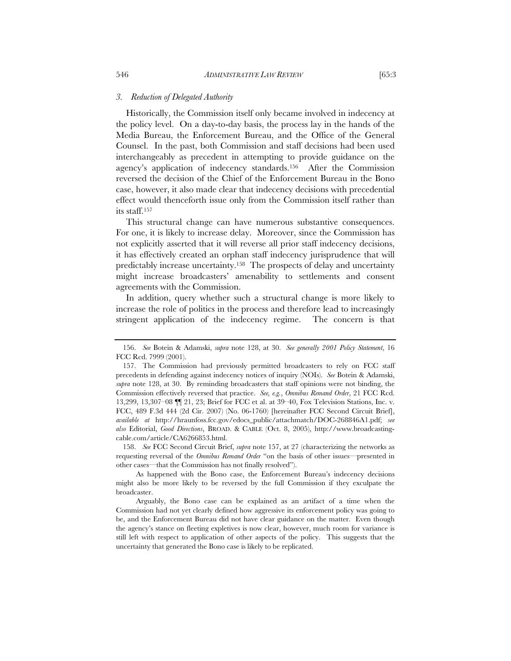#### *3. Reduction of Delegated Authority*

Historically, the Commission itself only became involved in indecency at the policy level. On a day-to-day basis, the process lay in the hands of the Media Bureau, the Enforcement Bureau, and the Office of the General Counsel. In the past, both Commission and staff decisions had been used interchangeably as precedent in attempting to provide guidance on the agency's application of indecency standards.156 After the Commission reversed the decision of the Chief of the Enforcement Bureau in the Bono case, however, it also made clear that indecency decisions with precedential effect would thenceforth issue only from the Commission itself rather than its staff.157

This structural change can have numerous substantive consequences. For one, it is likely to increase delay. Moreover, since the Commission has not explicitly asserted that it will reverse all prior staff indecency decisions, it has effectively created an orphan staff indecency jurisprudence that will predictably increase uncertainty.158 The prospects of delay and uncertainty might increase broadcasters' amenability to settlements and consent agreements with the Commission.

In addition, query whether such a structural change is more likely to increase the role of politics in the process and therefore lead to increasingly stringent application of the indecency regime. The concern is that

 158. *See* FCC Second Circuit Brief, *supra* note 157, at 27 (characterizing the networks as requesting reversal of the *Omnibus Remand Order* "on the basis of other issues—presented in other cases—that the Commission has not finally resolved").

 <sup>156.</sup> *See* Botein & Adamski, *supra* note 128, at 30. *See generally 2001 Policy Statement*, 16 FCC Rcd. 7999 (2001).

 <sup>157.</sup> The Commission had previously permitted broadcasters to rely on FCC staff precedents in defending against indecency notices of inquiry (NOIs). *See* Botein & Adamski, *supra* note 128, at 30. By reminding broadcasters that staff opinions were not binding, the Commission effectively reversed that practice. *See, e.g.*, *Omnibus Remand Order*, 21 FCC Rcd. 13,299, 13,307–08 ¶¶ 21, 23; Brief for FCC et al. at 39–40, Fox Television Stations, Inc. v. FCC, 489 F.3d 444 (2d Cir. 2007) (No. 06-1760) [hereinafter FCC Second Circuit Brief], *available at* http://hraunfoss.fcc.gov/edocs\_public/attachmatch/DOC-268846A1.pdf; *see also* Editorial, *Good Directions*, BROAD. & CABLE (Oct. 8, 2005), http://www.broadcastingcable.com/article/CA6266853.html.

As happened with the Bono case, the Enforcement Bureau's indecency decisions might also be more likely to be reversed by the full Commission if they exculpate the broadcaster.

Arguably, the Bono case can be explained as an artifact of a time when the Commission had not yet clearly defined how aggressive its enforcement policy was going to be, and the Enforcement Bureau did not have clear guidance on the matter. Even though the agency's stance on fleeting expletives is now clear, however, much room for variance is still left with respect to application of other aspects of the policy. This suggests that the uncertainty that generated the Bono case is likely to be replicated.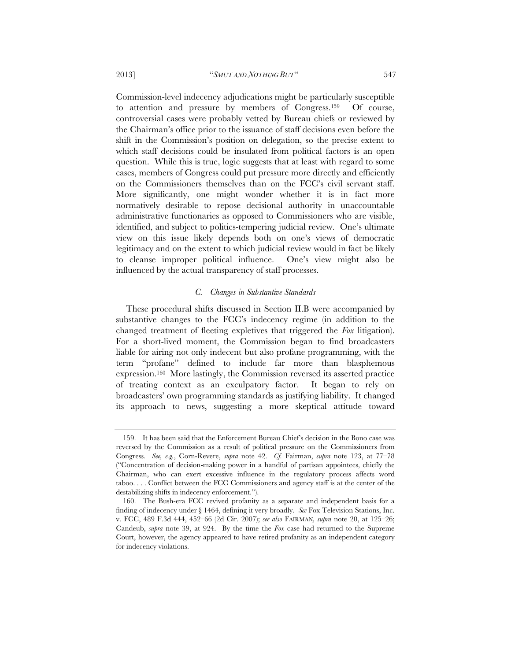Commission-level indecency adjudications might be particularly susceptible to attention and pressure by members of Congress.159 Of course, controversial cases were probably vetted by Bureau chiefs or reviewed by the Chairman's office prior to the issuance of staff decisions even before the shift in the Commission's position on delegation, so the precise extent to which staff decisions could be insulated from political factors is an open question. While this is true, logic suggests that at least with regard to some cases, members of Congress could put pressure more directly and efficiently on the Commissioners themselves than on the FCC's civil servant staff. More significantly, one might wonder whether it is in fact more normatively desirable to repose decisional authority in unaccountable administrative functionaries as opposed to Commissioners who are visible, identified, and subject to politics-tempering judicial review. One's ultimate view on this issue likely depends both on one's views of democratic legitimacy and on the extent to which judicial review would in fact be likely to cleanse improper political influence. One's view might also be influenced by the actual transparency of staff processes.

#### *C. Changes in Substantive Standards*

These procedural shifts discussed in Section II.B were accompanied by substantive changes to the FCC's indecency regime (in addition to the changed treatment of fleeting expletives that triggered the *Fox* litigation). For a short-lived moment, the Commission began to find broadcasters liable for airing not only indecent but also profane programming, with the term "profane" defined to include far more than blasphemous expression.160 More lastingly, the Commission reversed its asserted practice of treating context as an exculpatory factor. It began to rely on broadcasters' own programming standards as justifying liability. It changed its approach to news, suggesting a more skeptical attitude toward

 <sup>159.</sup> It has been said that the Enforcement Bureau Chief's decision in the Bono case was reversed by the Commission as a result of political pressure on the Commissioners from Congress. *See, e.g.*, Corn-Revere, *supra* note 42. *Cf.* Fairman, *supra* note 123, at 77–78 ("Concentration of decision-making power in a handful of partisan appointees, chiefly the Chairman, who can exert excessive influence in the regulatory process affects word taboo. . . . Conflict between the FCC Commissioners and agency staff is at the center of the destabilizing shifts in indecency enforcement.").

 <sup>160.</sup> The Bush-era FCC revived profanity as a separate and independent basis for a finding of indecency under § 1464, defining it very broadly. *See* Fox Television Stations, Inc. v. FCC, 489 F.3d 444, 452–66 (2d Cir. 2007); *see also* FAIRMAN*, supra* note 20, at 125–26; Candeub, *supra* note 39, at 924. By the time the *Fox* case had returned to the Supreme Court, however, the agency appeared to have retired profanity as an independent category for indecency violations.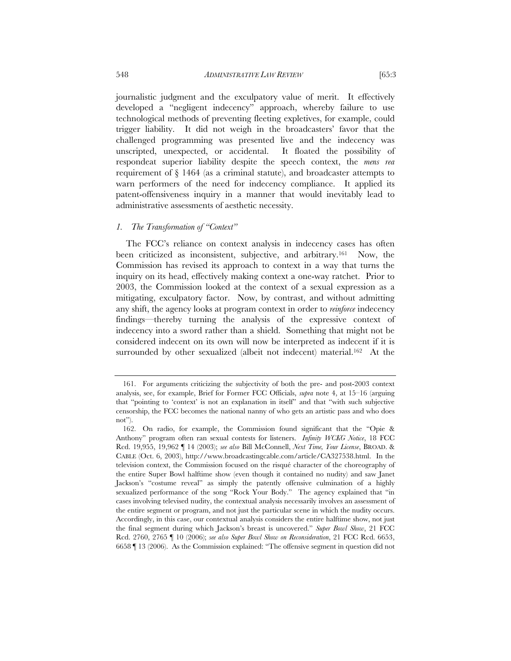journalistic judgment and the exculpatory value of merit. It effectively developed a "negligent indecency" approach, whereby failure to use technological methods of preventing fleeting expletives, for example, could trigger liability. It did not weigh in the broadcasters' favor that the challenged programming was presented live and the indecency was unscripted, unexpected, or accidental. It floated the possibility of respondeat superior liability despite the speech context, the *mens rea* requirement of  $\S$  1464 (as a criminal statute), and broadcaster attempts to warn performers of the need for indecency compliance. It applied its

patent-offensiveness inquiry in a manner that would inevitably lead to

#### *1. The Transformation of "Context"*

administrative assessments of aesthetic necessity.

The FCC's reliance on context analysis in indecency cases has often been criticized as inconsistent, subjective, and arbitrary.161 Now, the Commission has revised its approach to context in a way that turns the inquiry on its head, effectively making context a one-way ratchet. Prior to 2003, the Commission looked at the context of a sexual expression as a mitigating, exculpatory factor. Now, by contrast, and without admitting any shift, the agency looks at program context in order to *reinforce* indecency findings—thereby turning the analysis of the expressive context of indecency into a sword rather than a shield. Something that might not be considered indecent on its own will now be interpreted as indecent if it is surrounded by other sexualized (albeit not indecent) material.<sup>162</sup> At the

 <sup>161.</sup> For arguments criticizing the subjectivity of both the pre- and post-2003 context analysis, see, for example, Brief for Former FCC Officials, *supra* note 4, at 15–16 (arguing that "pointing to 'context' is not an explanation in itself" and that "with such subjective censorship, the FCC becomes the national nanny of who gets an artistic pass and who does not").

 <sup>162.</sup> On radio, for example, the Commission found significant that the "Opie & Anthony" program often ran sexual contests for listeners. *Infinity WCKG Notice*, 18 FCC Rcd. 19,955, 19,962 ¶ 14 (2003); *see also* Bill McConnell, *Next Time, Your License*, BROAD. & CABLE (Oct. 6, 2003), http://www.broadcastingcable.com/article/CA327538.html. In the television context, the Commission focused on the risqué character of the choreography of the entire Super Bowl halftime show (even though it contained no nudity) and saw Janet Jackson's "costume reveal" as simply the patently offensive culmination of a highly sexualized performance of the song "Rock Your Body." The agency explained that "in cases involving televised nudity, the contextual analysis necessarily involves an assessment of the entire segment or program, and not just the particular scene in which the nudity occurs. Accordingly, in this case, our contextual analysis considers the entire halftime show, not just the final segment during which Jackson's breast is uncovered." *Super Bowl Show*, 21 FCC Rcd. 2760, 2765 ¶ 10 (2006); *see also Super Bowl Show on Reconsideration*, 21 FCC Rcd. 6653, 6658 ¶ 13 (2006). As the Commission explained: "The offensive segment in question did not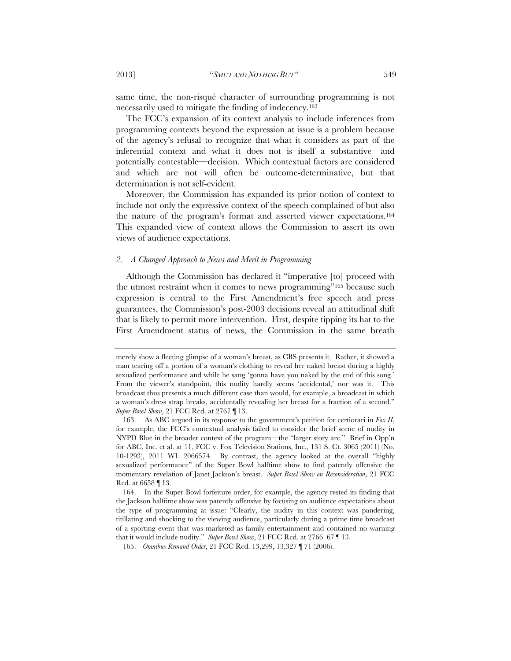same time, the non-risqué character of surrounding programming is not necessarily used to mitigate the finding of indecency.<sup>163</sup>

The FCC's expansion of its context analysis to include inferences from programming contexts beyond the expression at issue is a problem because of the agency's refusal to recognize that what it considers as part of the inferential context and what it does not is itself a substantive—and potentially contestable—decision. Which contextual factors are considered and which are not will often be outcome-determinative, but that determination is not self-evident.

Moreover, the Commission has expanded its prior notion of context to include not only the expressive context of the speech complained of but also the nature of the program's format and asserted viewer expectations.164 This expanded view of context allows the Commission to assert its own views of audience expectations.

### *2. A Changed Approach to News and Merit in Programming*

Although the Commission has declared it "imperative [to] proceed with the utmost restraint when it comes to news programming"165 because such expression is central to the First Amendment's free speech and press guarantees, the Commission's post-2003 decisions reveal an attitudinal shift that is likely to permit more intervention. First, despite tipping its hat to the First Amendment status of news, the Commission in the same breath

merely show a fleeting glimpse of a woman's breast, as CBS presents it. Rather, it showed a man tearing off a portion of a woman's clothing to reveal her naked breast during a highly sexualized performance and while he sang 'gonna have you naked by the end of this song.' From the viewer's standpoint, this nudity hardly seems 'accidental,' nor was it. This broadcast thus presents a much different case than would, for example, a broadcast in which a woman's dress strap breaks, accidentally revealing her breast for a fraction of a second." *Super Bowl Show*, 21 FCC Rcd. at 2767 ¶ 13.

 <sup>163.</sup> As ABC argued in its response to the government's petition for certiorari in *Fox II*, for example, the FCC's contextual analysis failed to consider the brief scene of nudity in NYPD Blue in the broader context of the program—the "larger story arc." Brief in Opp'n for ABC, Inc. et al. at 11, FCC v. Fox Television Stations, Inc., 131 S. Ct. 3065 (2011) (No. 10-1293), 2011 WL 2066574. By contrast, the agency looked at the overall "highly sexualized performance" of the Super Bowl halftime show to find patently offensive the momentary revelation of Janet Jackson's breast. *Super Bowl Show on Reconsideration*, 21 FCC Rcd. at 6658 ¶ 13.

 <sup>164.</sup> In the Super Bowl forfeiture order, for example, the agency rested its finding that the Jackson halftime show was patently offensive by focusing on audience expectations about the type of programming at issue: "Clearly, the nudity in this context was pandering, titillating and shocking to the viewing audience, particularly during a prime time broadcast of a sporting event that was marketed as family entertainment and contained no warning that it would include nudity." *Super Bowl Show*, 21 FCC Rcd. at 2766–67 ¶ 13.

 <sup>165.</sup> *Omnibus Remand Order*, 21 FCC Rcd. 13,299, 13,327 ¶ 71 (2006).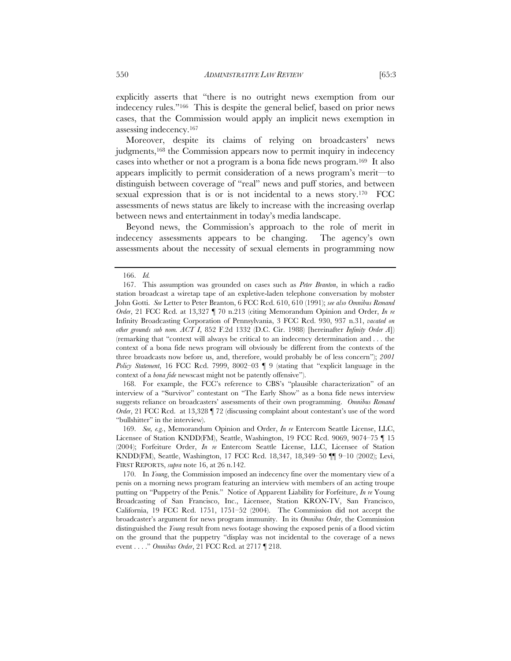explicitly asserts that "there is no outright news exemption from our indecency rules."166 This is despite the general belief, based on prior news cases, that the Commission would apply an implicit news exemption in assessing indecency.167

Moreover, despite its claims of relying on broadcasters' news judgments,<sup>168</sup> the Commission appears now to permit inquiry in indecency cases into whether or not a program is a bona fide news program.169 It also appears implicitly to permit consideration of a news program's merit—to distinguish between coverage of "real" news and puff stories, and between sexual expression that is or is not incidental to a news story.170 FCC assessments of news status are likely to increase with the increasing overlap between news and entertainment in today's media landscape.

Beyond news, the Commission's approach to the role of merit in indecency assessments appears to be changing. The agency's own assessments about the necessity of sexual elements in programming now

 168. For example, the FCC's reference to CBS's "plausible characterization" of an interview of a "Survivor" contestant on "The Early Show" as a bona fide news interview suggests reliance on broadcasters' assessments of their own programming. *Omnibus Remand Order*, 21 FCC Rcd. at 13,328 | 72 (discussing complaint about contestant's use of the word "bullshitter" in the interview).

 169. *See, e.g.*, Memorandum Opinion and Order, *In re* Entercom Seattle License, LLC, Licensee of Station KNDD(FM), Seattle, Washington, 19 FCC Rcd. 9069, 9074–75 ¶ 15 (2004); Forfeiture Order, *In re* Entercom Seattle License, LLC, Licensee of Station KNDD(FM), Seattle, Washington, 17 FCC Rcd. 18,347, 18,349–50 ¶¶ 9–10 (2002); Levi, FIRST REPORTS, *supra* note 16, at 26 n.142.

 <sup>166.</sup> *Id.*

 <sup>167.</sup> This assumption was grounded on cases such as *Peter Branton*, in which a radio station broadcast a wiretap tape of an expletive-laden telephone conversation by mobster John Gotti. *See* Letter to Peter Branton, 6 FCC Rcd. 610, 610 (1991); *see also Omnibus Remand Order*, 21 FCC Rcd. at 13,327 ¶ 70 n.213 (citing Memorandum Opinion and Order, *In re*  Infinity Broadcasting Corporation of Pennsylvania, 3 FCC Rcd. 930, 937 n.31, *vacated on other grounds sub nom. ACT I*, 852 F.2d 1332 (D.C. Cir. 1988) [hereinafter *Infinity Order A*]) (remarking that "context will always be critical to an indecency determination and . . . the context of a bona fide news program will obviously be different from the contexts of the three broadcasts now before us, and, therefore, would probably be of less concern"); *2001 Policy Statement*, 16 FCC Rcd. 7999, 8002–03 ¶ 9 (stating that "explicit language in the context of a *bona fide* newscast might not be patently offensive").

 <sup>170.</sup> In *Young*, the Commission imposed an indecency fine over the momentary view of a penis on a morning news program featuring an interview with members of an acting troupe putting on "Puppetry of the Penis." Notice of Apparent Liability for Forfeiture, *In re* Young Broadcasting of San Francisco, Inc., Licensee, Station KRON-TV, San Francisco, California, 19 FCC Rcd. 1751, 1751–52 (2004). The Commission did not accept the broadcaster's argument for news program immunity. In its *Omnibus Order*, the Commission distinguished the *Young* result from news footage showing the exposed penis of a flood victim on the ground that the puppetry "display was not incidental to the coverage of a news event . . . ." *Omnibus Order*, 21 FCC Rcd. at 2717 ¶ 218.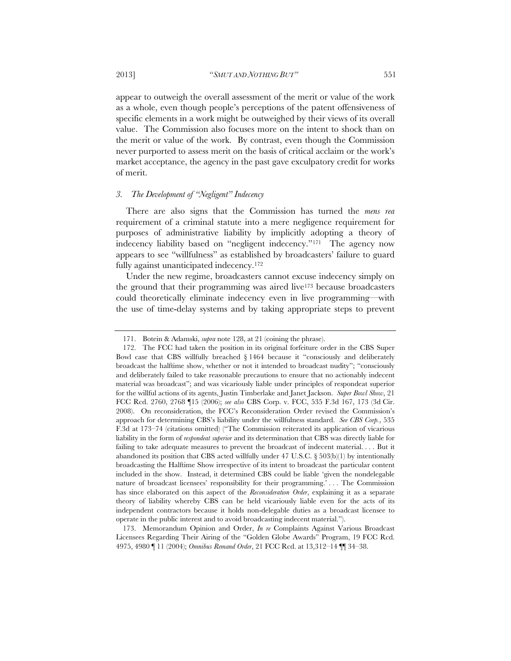2013] "*SMUT AND NOTHING BUT"* 551

appear to outweigh the overall assessment of the merit or value of the work as a whole, even though people's perceptions of the patent offensiveness of specific elements in a work might be outweighed by their views of its overall value. The Commission also focuses more on the intent to shock than on the merit or value of the work. By contrast, even though the Commission never purported to assess merit on the basis of critical acclaim or the work's market acceptance, the agency in the past gave exculpatory credit for works of merit.

# *3. The Development of "Negligent" Indecency*

There are also signs that the Commission has turned the *mens rea* requirement of a criminal statute into a mere negligence requirement for purposes of administrative liability by implicitly adopting a theory of indecency liability based on "negligent indecency."171 The agency now appears to see "willfulness" as established by broadcasters' failure to guard fully against unanticipated indecency.172

Under the new regime, broadcasters cannot excuse indecency simply on the ground that their programming was aired live173 because broadcasters could theoretically eliminate indecency even in live programming—with the use of time-delay systems and by taking appropriate steps to prevent

 173. Memorandum Opinion and Order, *In re* Complaints Against Various Broadcast Licensees Regarding Their Airing of the "Golden Globe Awards" Program, 19 FCC Rcd. 4975, 4980 ¶ 11 (2004); *Omnibus Remand Order*, 21 FCC Rcd. at 13,312–14 ¶¶ 34–38.

 <sup>171.</sup> Botein & Adamski, *supra* note 128, at 21 (coining the phrase).

 <sup>172.</sup> The FCC had taken the position in its original forfeiture order in the CBS Super Bowl case that CBS willfully breached  $\S 1464$  because it "consciously and deliberately broadcast the halftime show, whether or not it intended to broadcast nudity"; "consciously and deliberately failed to take reasonable precautions to ensure that no actionably indecent material was broadcast"; and was vicariously liable under principles of respondeat superior for the willful actions of its agents, Justin Timberlake and Janet Jackson. *Super Bowl Show*, 21 FCC Rcd. 2760, 2768 ¶15 (2006); *see also* CBS Corp. v. FCC, 535 F.3d 167, 173 (3d Cir. 2008). On reconsideration, the FCC's Reconsideration Order revised the Commission's approach for determining CBS's liability under the willfulness standard. *See CBS Corp.*, 535 F.3d at 173–74 (citations omitted) ("The Commission reiterated its application of vicarious liability in the form of *respondeat superior* and its determination that CBS was directly liable for failing to take adequate measures to prevent the broadcast of indecent material. . . . But it abandoned its position that CBS acted willfully under 47 U.S.C.  $\S$  503(b)(1) by intentionally broadcasting the Halftime Show irrespective of its intent to broadcast the particular content included in the show. Instead, it determined CBS could be liable 'given the nondelegable nature of broadcast licensees' responsibility for their programming.' . . . The Commission has since elaborated on this aspect of the *Reconsideration Order*, explaining it as a separate theory of liability whereby CBS can be held vicariously liable even for the acts of its independent contractors because it holds non-delegable duties as a broadcast licensee to operate in the public interest and to avoid broadcasting indecent material.").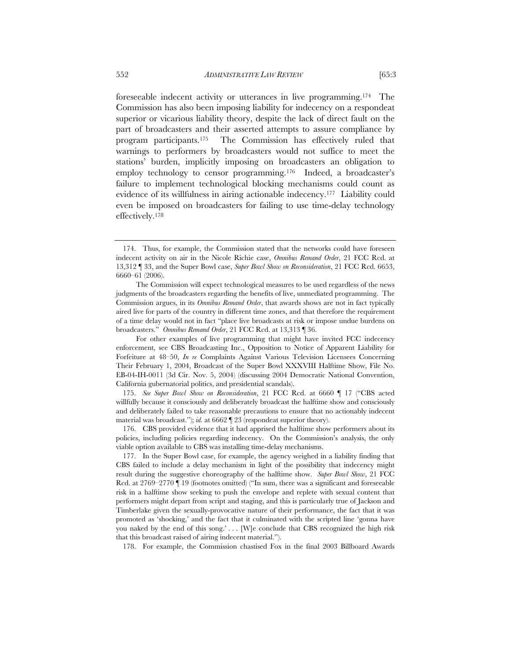foreseeable indecent activity or utterances in live programming.174 The Commission has also been imposing liability for indecency on a respondeat superior or vicarious liability theory, despite the lack of direct fault on the part of broadcasters and their asserted attempts to assure compliance by program participants.175 The Commission has effectively ruled that warnings to performers by broadcasters would not suffice to meet the stations' burden, implicitly imposing on broadcasters an obligation to employ technology to censor programming.<sup>176</sup> Indeed, a broadcaster's failure to implement technological blocking mechanisms could count as evidence of its willfulness in airing actionable indecency.177 Liability could even be imposed on broadcasters for failing to use time-delay technology effectively.178

For other examples of live programming that might have invited FCC indecency enforcement, see CBS Broadcasting Inc., Opposition to Notice of Apparent Liability for Forfeiture at 48–50, *In re* Complaints Against Various Television Licensees Concerning Their February 1, 2004, Broadcast of the Super Bowl XXXVIII Halftime Show, File No. EB-04-IH-0011 (3d Cir. Nov. 5, 2004) (discussing 2004 Democratic National Convention, California gubernatorial politics, and presidential scandals).

 175. *See Super Bowl Show on Reconsideration*, 21 FCC Rcd. at 6660 ¶ 17 ("CBS acted willfully because it consciously and deliberately broadcast the halftime show and consciously and deliberately failed to take reasonable precautions to ensure that no actionably indecent material was broadcast."); *id.* at 6662 ¶ 23 (respondeat superior theory).

 176. CBS provided evidence that it had apprised the halftime show performers about its policies, including policies regarding indecency. On the Commission's analysis, the only viable option available to CBS was installing time-delay mechanisms.

 177. In the Super Bowl case, for example, the agency weighed in a liability finding that CBS failed to include a delay mechanism in light of the possibility that indecency might result during the suggestive choreography of the halftime show. *Super Bowl Show*, 21 FCC Rcd. at 2769–2770 ¶ 19 (footnotes omitted) ("In sum, there was a significant and foreseeable risk in a halftime show seeking to push the envelope and replete with sexual content that performers might depart from script and staging, and this is particularly true of Jackson and Timberlake given the sexually-provocative nature of their performance, the fact that it was promoted as 'shocking,' and the fact that it culminated with the scripted line 'gonna have you naked by the end of this song.' . . . [W]e conclude that CBS recognized the high risk that this broadcast raised of airing indecent material.").

178. For example, the Commission chastised Fox in the final 2003 Billboard Awards

 <sup>174.</sup> Thus, for example, the Commission stated that the networks could have foreseen indecent activity on air in the Nicole Richie case, *Omnibus Remand Order*, 21 FCC Rcd. at 13,312 ¶ 33, and the Super Bowl case, *Super Bowl Show on Reconsideration*, 21 FCC Rcd. 6653, 6660–61 (2006).

The Commission will expect technological measures to be used regardless of the news judgments of the broadcasters regarding the benefits of live, unmediated programming. The Commission argues, in its *Omnibus Remand Order*, that awards shows are not in fact typically aired live for parts of the country in different time zones, and that therefore the requirement of a time delay would not in fact "place live broadcasts at risk or impose undue burdens on broadcasters." *Omnibus Remand Order*, 21 FCC Rcd. at 13,313 ¶ 36.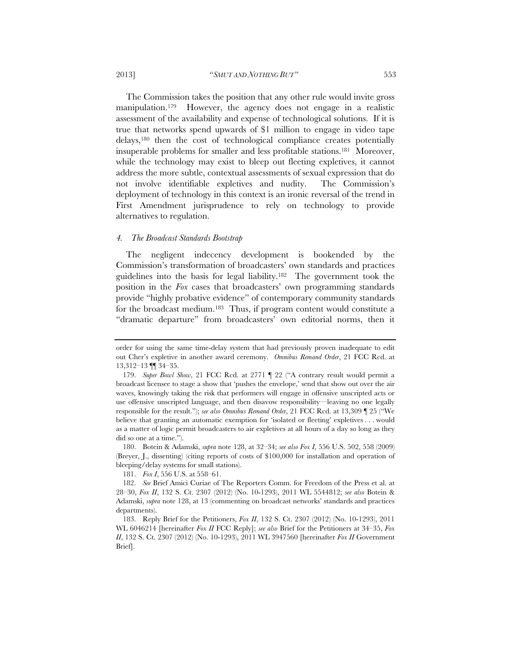The Commission takes the position that any other rule would invite gross manipulation.179 However, the agency does not engage in a realistic assessment of the availability and expense of technological solutions. If it is true that networks spend upwards of \$1 million to engage in video tape delays,180 then the cost of technological compliance creates potentially insuperable problems for smaller and less profitable stations.181 Moreover, while the technology may exist to bleep out fleeting expletives, it cannot address the more subtle, contextual assessments of sexual expression that do not involve identifiable expletives and nudity. The Commission's deployment of technology in this context is an ironic reversal of the trend in

First Amendment jurisprudence to rely on technology to provide

## *4. The Broadcast Standards Bootstrap*

alternatives to regulation.

The negligent indecency development is bookended by the Commission's transformation of broadcasters' own standards and practices guidelines into the basis for legal liability.182 The government took the position in the *Fox* cases that broadcasters' own programming standards provide "highly probative evidence" of contemporary community standards for the broadcast medium.183 Thus, if program content would constitute a "dramatic departure" from broadcasters' own editorial norms, then it

 180. Botein & Adamski, *supra* note 128, at 32–34; *see also Fox I*, 556 U.S. 502, 558 (2009) (Breyer, J., dissenting) (citing reports of costs of \$100,000 for installation and operation of bleeping/delay systems for small stations).

181. *Fox I*, 556 U.S. at 558–61.

order for using the same time-delay system that had previously proven inadequate to edit out Cher's expletive in another award ceremony. *Omnibus Remand Order*, 21 FCC Rcd. at 13,312–13 ¶¶ 34–35.

 <sup>179.</sup> *Super Bowl Show*, 21 FCC Rcd. at 2771 ¶ 22 ("A contrary result would permit a broadcast licensee to stage a show that 'pushes the envelope,' send that show out over the air waves, knowingly taking the risk that performers will engage in offensive unscripted acts or use offensive unscripted language, and then disavow responsibility—leaving no one legally responsible for the result."); *see also Omnibus Remand Order*, 21 FCC Rcd. at 13,309 ¶ 25 ("We believe that granting an automatic exemption for 'isolated or fleeting' expletives . . . would as a matter of logic permit broadcasters to air expletives at all hours of a day so long as they did so one at a time.").

 <sup>182.</sup> *See* Brief Amici Curiae of The Reporters Comm. for Freedom of the Press et al. at 28–30, *Fox II*, 132 S. Ct. 2307 (2012) (No. 10-1293), 2011 WL 5544812; *see also* Botein & Adamski, *supra* note 128, at 13 (commenting on broadcast networks' standards and practices departments).

 <sup>183.</sup> Reply Brief for the Petitioners, *Fox II*, 132 S. Ct. 2307 (2012) (No. 10-1293), 2011 WL 6046214 [hereinafter *Fox II* FCC Reply]; *see also* Brief for the Petitioners at 34–35, *Fox II*, 132 S. Ct. 2307 (2012) (No. 10-1293), 2011 WL 3947560 [hereinafter *Fox II* Government Brief].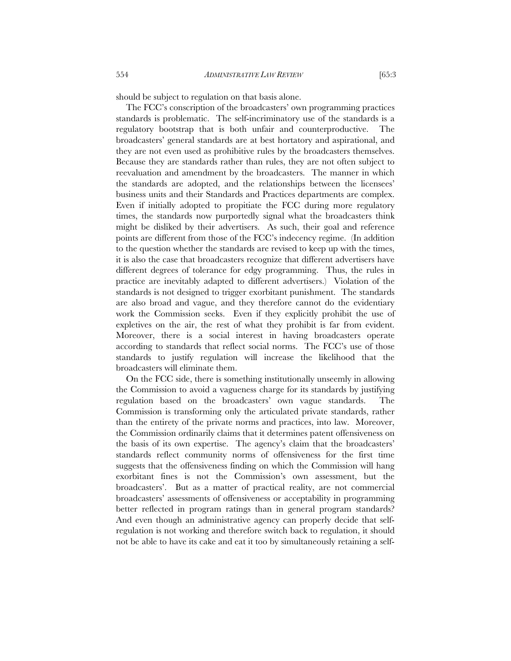should be subject to regulation on that basis alone.

The FCC's conscription of the broadcasters' own programming practices standards is problematic. The self-incriminatory use of the standards is a regulatory bootstrap that is both unfair and counterproductive. The broadcasters' general standards are at best hortatory and aspirational, and they are not even used as prohibitive rules by the broadcasters themselves. Because they are standards rather than rules, they are not often subject to reevaluation and amendment by the broadcasters. The manner in which the standards are adopted, and the relationships between the licensees' business units and their Standards and Practices departments are complex. Even if initially adopted to propitiate the FCC during more regulatory times, the standards now purportedly signal what the broadcasters think might be disliked by their advertisers. As such, their goal and reference points are different from those of the FCC's indecency regime. (In addition to the question whether the standards are revised to keep up with the times, it is also the case that broadcasters recognize that different advertisers have different degrees of tolerance for edgy programming. Thus, the rules in practice are inevitably adapted to different advertisers.) Violation of the standards is not designed to trigger exorbitant punishment. The standards are also broad and vague, and they therefore cannot do the evidentiary work the Commission seeks. Even if they explicitly prohibit the use of expletives on the air, the rest of what they prohibit is far from evident. Moreover, there is a social interest in having broadcasters operate according to standards that reflect social norms. The FCC's use of those standards to justify regulation will increase the likelihood that the broadcasters will eliminate them.

On the FCC side, there is something institutionally unseemly in allowing the Commission to avoid a vagueness charge for its standards by justifying regulation based on the broadcasters' own vague standards. The Commission is transforming only the articulated private standards, rather than the entirety of the private norms and practices, into law. Moreover, the Commission ordinarily claims that it determines patent offensiveness on the basis of its own expertise. The agency's claim that the broadcasters' standards reflect community norms of offensiveness for the first time suggests that the offensiveness finding on which the Commission will hang exorbitant fines is not the Commission's own assessment, but the broadcasters'. But as a matter of practical reality, are not commercial broadcasters' assessments of offensiveness or acceptability in programming better reflected in program ratings than in general program standards? And even though an administrative agency can properly decide that selfregulation is not working and therefore switch back to regulation, it should not be able to have its cake and eat it too by simultaneously retaining a self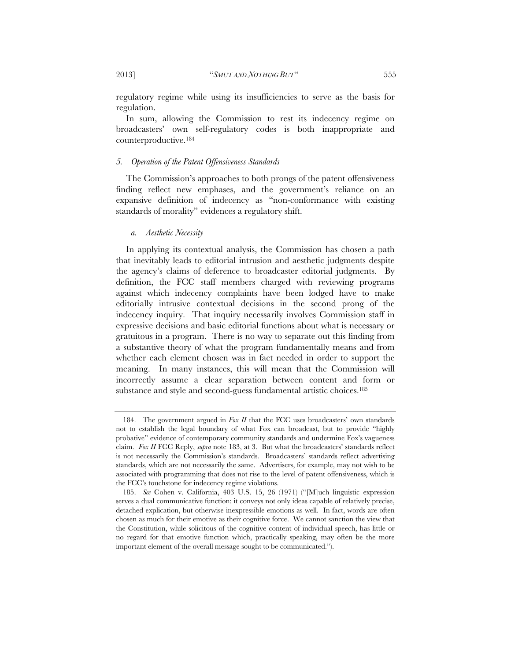regulatory regime while using its insufficiencies to serve as the basis for regulation.

In sum, allowing the Commission to rest its indecency regime on broadcasters' own self-regulatory codes is both inappropriate and counterproductive.184

# *5. Operation of the Patent Offensiveness Standards*

The Commission's approaches to both prongs of the patent offensiveness finding reflect new emphases, and the government's reliance on an expansive definition of indecency as "non-conformance with existing standards of morality" evidences a regulatory shift.

## *a. Aesthetic Necessity*

In applying its contextual analysis, the Commission has chosen a path that inevitably leads to editorial intrusion and aesthetic judgments despite the agency's claims of deference to broadcaster editorial judgments. By definition, the FCC staff members charged with reviewing programs against which indecency complaints have been lodged have to make editorially intrusive contextual decisions in the second prong of the indecency inquiry. That inquiry necessarily involves Commission staff in expressive decisions and basic editorial functions about what is necessary or gratuitous in a program. There is no way to separate out this finding from a substantive theory of what the program fundamentally means and from whether each element chosen was in fact needed in order to support the meaning. In many instances, this will mean that the Commission will incorrectly assume a clear separation between content and form or substance and style and second-guess fundamental artistic choices.<sup>185</sup>

 <sup>184.</sup> The government argued in *Fox II* that the FCC uses broadcasters' own standards not to establish the legal boundary of what Fox can broadcast, but to provide "highly probative" evidence of contemporary community standards and undermine Fox's vagueness claim. *Fox II* FCC Reply, *supra* note 183, at 3. But what the broadcasters' standards reflect is not necessarily the Commission's standards. Broadcasters' standards reflect advertising standards, which are not necessarily the same. Advertisers, for example, may not wish to be associated with programming that does not rise to the level of patent offensiveness, which is the FCC's touchstone for indecency regime violations.

 <sup>185.</sup> *See* Cohen v. California, 403 U.S. 15, 26 (1971) ("[M]uch linguistic expression serves a dual communicative function: it conveys not only ideas capable of relatively precise, detached explication, but otherwise inexpressible emotions as well. In fact, words are often chosen as much for their emotive as their cognitive force. We cannot sanction the view that the Constitution, while solicitous of the cognitive content of individual speech, has little or no regard for that emotive function which, practically speaking, may often be the more important element of the overall message sought to be communicated.").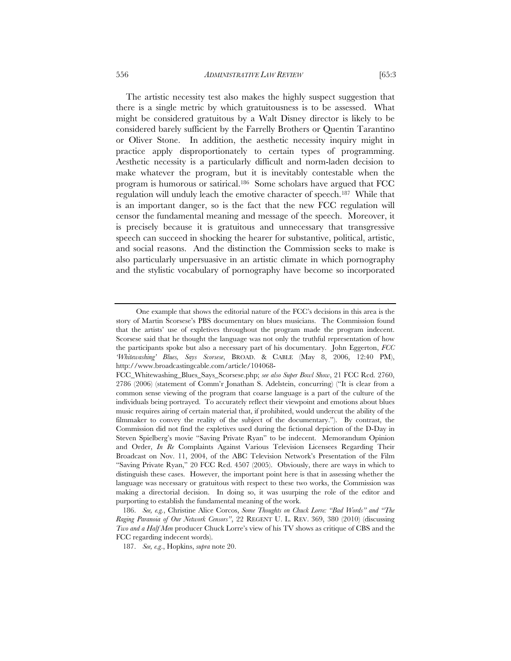The artistic necessity test also makes the highly suspect suggestion that there is a single metric by which gratuitousness is to be assessed. What might be considered gratuitous by a Walt Disney director is likely to be considered barely sufficient by the Farrelly Brothers or Quentin Tarantino or Oliver Stone. In addition, the aesthetic necessity inquiry might in practice apply disproportionately to certain types of programming. Aesthetic necessity is a particularly difficult and norm-laden decision to make whatever the program, but it is inevitably contestable when the program is humorous or satirical.186 Some scholars have argued that FCC regulation will unduly leach the emotive character of speech.187 While that is an important danger, so is the fact that the new FCC regulation will censor the fundamental meaning and message of the speech. Moreover, it is precisely because it is gratuitous and unnecessary that transgressive speech can succeed in shocking the hearer for substantive, political, artistic, and social reasons. And the distinction the Commission seeks to make is also particularly unpersuasive in an artistic climate in which pornography and the stylistic vocabulary of pornography have become so incorporated

One example that shows the editorial nature of the FCC's decisions in this area is the story of Martin Scorsese's PBS documentary on blues musicians. The Commission found that the artists' use of expletives throughout the program made the program indecent. Scorsese said that he thought the language was not only the truthful representation of how the participants spoke but also a necessary part of his documentary. John Eggerton, *FCC 'Whitewashing' Blues, Says Scorsese*, BROAD. & CABLE (May 8, 2006, 12:40 PM), http://www.broadcastingcable.com/article/104068-

FCC\_Whitewashing\_Blues\_Says\_Scorsese.php; *see also Super Bowl Show*, 21 FCC Rcd. 2760, 2786 (2006) (statement of Comm'r Jonathan S. Adelstein, concurring) ("It is clear from a common sense viewing of the program that coarse language is a part of the culture of the individuals being portrayed. To accurately reflect their viewpoint and emotions about blues music requires airing of certain material that, if prohibited, would undercut the ability of the filmmaker to convey the reality of the subject of the documentary."). By contrast, the Commission did not find the expletives used during the fictional depiction of the D-Day in Steven Spielberg's movie "Saving Private Ryan" to be indecent. Memorandum Opinion and Order, *In Re* Complaints Against Various Television Licensees Regarding Their Broadcast on Nov. 11, 2004, of the ABC Television Network's Presentation of the Film "Saving Private Ryan," 20 FCC Rcd. 4507 (2005). Obviously, there are ways in which to distinguish these cases. However, the important point here is that in assessing whether the language was necessary or gratuitous with respect to these two works, the Commission was making a directorial decision. In doing so, it was usurping the role of the editor and purporting to establish the fundamental meaning of the work.

 <sup>186.</sup> *See, e.g.*, Christine Alice Corcos, *Some Thoughts on Chuck Lorre: "Bad Words" and "The Raging Paranoia of Our Network Censors"*, 22 REGENT U. L. REV. 369, 380 (2010) (discussing *Two and a Half Men* producer Chuck Lorre's view of his TV shows as critique of CBS and the FCC regarding indecent words).

 <sup>187.</sup> *See, e.g*., Hopkins, *supra* note 20.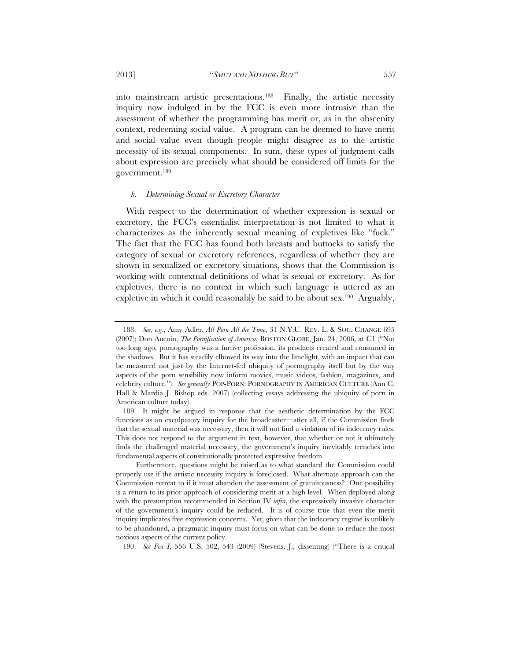2013] "*SMUT AND NOTHING BUT"* 557

into mainstream artistic presentations.188 Finally, the artistic necessity inquiry now indulged in by the FCC is even more intrusive than the assessment of whether the programming has merit or, as in the obscenity context, redeeming social value. A program can be deemed to have merit and social value even though people might disagree as to the artistic necessity of its sexual components. In sum, these types of judgment calls about expression are precisely what should be considered off limits for the government.189

#### *b. Determining Sexual or Excretory Character*

With respect to the determination of whether expression is sexual or excretory, the FCC's essentialist interpretation is not limited to what it characterizes as the inherently sexual meaning of expletives like "fuck." The fact that the FCC has found both breasts and buttocks to satisfy the category of sexual or excretory references, regardless of whether they are shown in sexualized or excretory situations, shows that the Commission is working with contextual definitions of what is sexual or excretory. As for expletives, there is no context in which such language is uttered as an expletive in which it could reasonably be said to be about sex.190 Arguably,

190. *See Fox I*, 556 U.S. 502, 543 (2009) (Stevens, J., dissenting) ("There is a critical

 <sup>188.</sup> *See, e.g.*, Amy Adler, *All Porn All the Time*, 31 N.Y.U. REV. L. & SOC. CHANGE 695 (2007); Don Aucoin, *The Pornification of America*, BOSTON GLOBE, Jan. 24, 2006, at C1 ("Not too long ago, pornography was a furtive profession, its products created and consumed in the shadows. But it has steadily elbowed its way into the limelight, with an impact that can be measured not just by the Internet-fed ubiquity of pornography itself but by the way aspects of the porn sensibility now inform movies, music videos, fashion, magazines, and celebrity culture."). *See generally* POP-PORN: PORNOGRAPHY IN AMERICAN CULTURE (Ann C. Hall & Mardia J. Bishop eds. 2007) (collecting essays addressing the ubiquity of porn in American culture today).

 <sup>189.</sup> It might be argued in response that the aesthetic determination by the FCC functions as an exculpatory inquiry for the broadcaster—after all, if the Commission finds that the sexual material was necessary, then it will not find a violation of its indecency rules. This does not respond to the argument in text, however, that whether or not it ultimately finds the challenged material necessary, the government's inquiry inevitably trenches into fundamental aspects of constitutionally protected expressive freedom.

Furthermore, questions might be raised as to what standard the Commission could properly use if the artistic necessity inquiry is foreclosed. What alternate approach can the Commission retreat to if it must abandon the assessment of gratuitousness? One possibility is a return to its prior approach of considering merit at a high level. When deployed along with the presumption recommended in Section IV *infra*, the expressively invasive character of the government's inquiry could be reduced. It is of course true that even the merit inquiry implicates free expression concerns. Yet, given that the indecency regime is unlikely to be abandoned, a pragmatic inquiry must focus on what can be done to reduce the most noxious aspects of the current policy.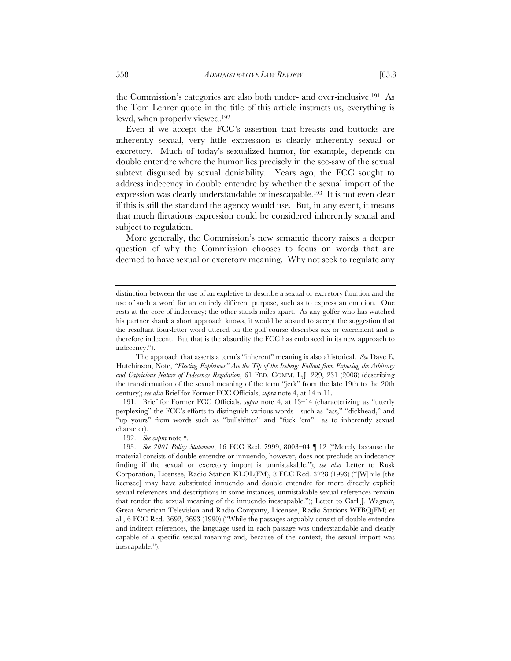the Commission's categories are also both under- and over-inclusive.191 As the Tom Lehrer quote in the title of this article instructs us, everything is lewd, when properly viewed.192

Even if we accept the FCC's assertion that breasts and buttocks are inherently sexual, very little expression is clearly inherently sexual or excretory. Much of today's sexualized humor, for example, depends on double entendre where the humor lies precisely in the see-saw of the sexual subtext disguised by sexual deniability. Years ago, the FCC sought to address indecency in double entendre by whether the sexual import of the expression was clearly understandable or inescapable.193 It is not even clear if this is still the standard the agency would use. But, in any event, it means that much flirtatious expression could be considered inherently sexual and subject to regulation.

More generally, the Commission's new semantic theory raises a deeper question of why the Commission chooses to focus on words that are deemed to have sexual or excretory meaning. Why not seek to regulate any

The approach that asserts a term's "inherent" meaning is also ahistorical. *See* Dave E. Hutchinson, Note, *"Fleeting Expletives" Are the Tip of the Iceberg: Fallout from Exposing the Arbitrary and Capricious Nature of Indecency Regulation*, 61 FED. COMM. L.J. 229, 231 (2008) (describing the transformation of the sexual meaning of the term "jerk" from the late 19th to the 20th century); *see also* Brief for Former FCC Officials, *supra* note 4, at 14 n.11.

 191. Brief for Former FCC Officials, *supra* note 4, at 13–14 (characterizing as "utterly perplexing" the FCC's efforts to distinguish various words—such as "ass," "dickhead," and "up yours" from words such as "bullshitter" and "fuck 'em"—as to inherently sexual character).

192. *See supra* note \*.

distinction between the use of an expletive to describe a sexual or excretory function and the use of such a word for an entirely different purpose, such as to express an emotion. One rests at the core of indecency; the other stands miles apart. As any golfer who has watched his partner shank a short approach knows, it would be absurd to accept the suggestion that the resultant four-letter word uttered on the golf course describes sex or excrement and is therefore indecent. But that is the absurdity the FCC has embraced in its new approach to indecency.").

 <sup>193.</sup> *See 2001 Policy Statement*, 16 FCC Rcd. 7999, 8003–04 ¶ 12 ("Merely because the material consists of double entendre or innuendo, however, does not preclude an indecency finding if the sexual or excretory import is unmistakable."); *see also* Letter to Rusk Corporation, Licensee, Radio Station KLOL(FM), 8 FCC Rcd. 3228 (1993) ("[W]hile [the licensee] may have substituted innuendo and double entendre for more directly explicit sexual references and descriptions in some instances, unmistakable sexual references remain that render the sexual meaning of the innuendo inescapable."); Letter to Carl J. Wagner, Great American Television and Radio Company, Licensee, Radio Stations WFBQ(FM) et al., 6 FCC Rcd. 3692, 3693 (1990) ("While the passages arguably consist of double entendre and indirect references, the language used in each passage was understandable and clearly capable of a specific sexual meaning and, because of the context, the sexual import was inescapable.").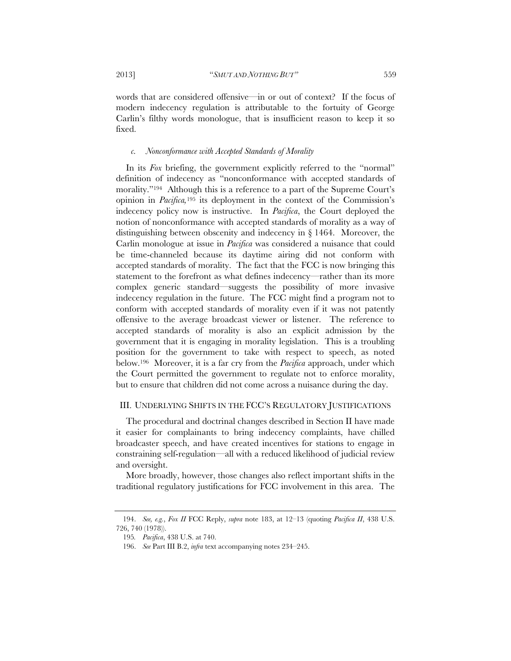words that are considered offensive—in or out of context? If the focus of modern indecency regulation is attributable to the fortuity of George Carlin's filthy words monologue, that is insufficient reason to keep it so fixed.

#### *c. Nonconformance with Accepted Standards of Morality*

In its *Fox* briefing, the government explicitly referred to the "normal" definition of indecency as "nonconformance with accepted standards of morality."194 Although this is a reference to a part of the Supreme Court's opinion in *Pacifica,*195 its deployment in the context of the Commission's indecency policy now is instructive. In *Pacifica*, the Court deployed the notion of nonconformance with accepted standards of morality as a way of distinguishing between obscenity and indecency in § 1464. Moreover, the Carlin monologue at issue in *Pacifica* was considered a nuisance that could be time-channeled because its daytime airing did not conform with accepted standards of morality. The fact that the FCC is now bringing this statement to the forefront as what defines indecency—rather than its more complex generic standard—suggests the possibility of more invasive indecency regulation in the future. The FCC might find a program not to conform with accepted standards of morality even if it was not patently offensive to the average broadcast viewer or listener. The reference to accepted standards of morality is also an explicit admission by the government that it is engaging in morality legislation. This is a troubling position for the government to take with respect to speech, as noted below.196 Moreover, it is a far cry from the *Pacifica* approach, under which the Court permitted the government to regulate not to enforce morality, but to ensure that children did not come across a nuisance during the day.

#### III. UNDERLYING SHIFTS IN THE FCC'S REGULATORY JUSTIFICATIONS

The procedural and doctrinal changes described in Section II have made it easier for complainants to bring indecency complaints, have chilled broadcaster speech, and have created incentives for stations to engage in constraining self-regulation—all with a reduced likelihood of judicial review and oversight.

More broadly, however, those changes also reflect important shifts in the traditional regulatory justifications for FCC involvement in this area. The

 <sup>194.</sup> *See, e.g.*, *Fox II* FCC Reply, *supra* note 183, at 12–13 (quoting *Pacifica II*, 438 U.S. 726, 740 (1978)).

<sup>195</sup>*. Pacifica*, 438 U.S. at 740.

 <sup>196.</sup> *See* Part III B.2, *infra* text accompanying notes 234–245.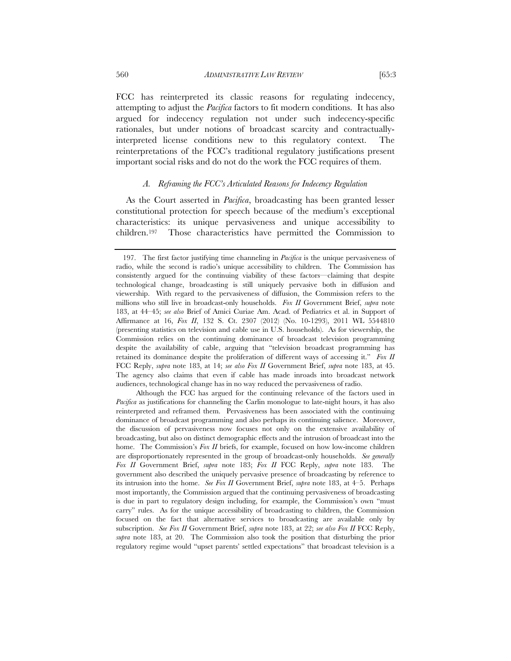FCC has reinterpreted its classic reasons for regulating indecency, attempting to adjust the *Pacifica* factors to fit modern conditions. It has also argued for indecency regulation not under such indecency-specific rationales, but under notions of broadcast scarcity and contractuallyinterpreted license conditions new to this regulatory context. The reinterpretations of the FCC's traditional regulatory justifications present important social risks and do not do the work the FCC requires of them.

## *A. Reframing the FCC's Articulated Reasons for Indecency Regulation*

As the Court asserted in *Pacifica*, broadcasting has been granted lesser constitutional protection for speech because of the medium's exceptional characteristics: its unique pervasiveness and unique accessibility to children.197 Those characteristics have permitted the Commission to

Although the FCC has argued for the continuing relevance of the factors used in *Pacifica* as justifications for channeling the Carlin monologue to late-night hours, it has also reinterpreted and reframed them. Pervasiveness has been associated with the continuing dominance of broadcast programming and also perhaps its continuing salience. Moreover, the discussion of pervasiveness now focuses not only on the extensive availability of broadcasting, but also on distinct demographic effects and the intrusion of broadcast into the home. The Commission's *Fox II* briefs, for example, focused on how low-income children are disproportionately represented in the group of broadcast-only households. *See generally Fox II* Government Brief, *supra* note 183; *Fox II* FCC Reply, *supra* note 183. The government also described the uniquely pervasive presence of broadcasting by reference to its intrusion into the home. *See Fox II* Government Brief, *supra* note 183, at 4–5. Perhaps most importantly, the Commission argued that the continuing pervasiveness of broadcasting is due in part to regulatory design including, for example, the Commission's own "must carry" rules. As for the unique accessibility of broadcasting to children, the Commission focused on the fact that alternative services to broadcasting are available only by subscription. *See Fox II* Government Brief, *supra* note 183, at 22; *see also Fox II* FCC Reply, *supra* note 183, at 20. The Commission also took the position that disturbing the prior regulatory regime would "upset parents' settled expectations" that broadcast television is a

 <sup>197.</sup> The first factor justifying time channeling in *Pacifica* is the unique pervasiveness of radio, while the second is radio's unique accessibility to children. The Commission has consistently argued for the continuing viability of these factors—claiming that despite technological change, broadcasting is still uniquely pervasive both in diffusion and viewership. With regard to the pervasiveness of diffusion, the Commission refers to the millions who still live in broadcast-only households. *Fox II* Government Brief, *supra* note 183, at 44–45; *see also* Brief of Amici Curiae Am. Acad. of Pediatrics et al. in Support of Affirmance at 16, *Fox II*, 132 S. Ct. 2307 (2012) (No. 10-1293), 2011 WL 5544810 (presenting statistics on television and cable use in U.S. households). As for viewership, the Commission relies on the continuing dominance of broadcast television programming despite the availability of cable, arguing that "television broadcast programming has retained its dominance despite the proliferation of different ways of accessing it." *Fox II* FCC Reply, *supra* note 183, at 14; *see also Fox II* Government Brief, *supra* note 183, at 45. The agency also claims that even if cable has made inroads into broadcast network audiences, technological change has in no way reduced the pervasiveness of radio.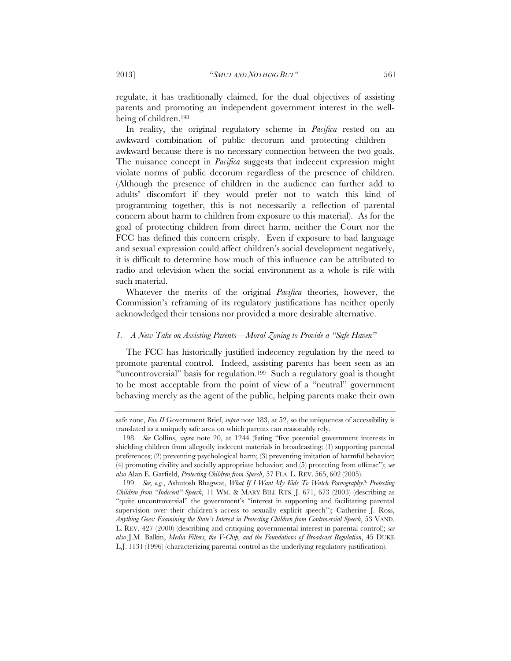regulate, it has traditionally claimed, for the dual objectives of assisting parents and promoting an independent government interest in the wellbeing of children.198

In reality, the original regulatory scheme in *Pacifica* rested on an awkward combination of public decorum and protecting children awkward because there is no necessary connection between the two goals. The nuisance concept in *Pacifica* suggests that indecent expression might violate norms of public decorum regardless of the presence of children. (Although the presence of children in the audience can further add to adults' discomfort if they would prefer not to watch this kind of programming together, this is not necessarily a reflection of parental concern about harm to children from exposure to this material). As for the goal of protecting children from direct harm, neither the Court nor the FCC has defined this concern crisply. Even if exposure to bad language and sexual expression could affect children's social development negatively, it is difficult to determine how much of this influence can be attributed to radio and television when the social environment as a whole is rife with such material.

Whatever the merits of the original *Pacifica* theories, however, the Commission's reframing of its regulatory justifications has neither openly acknowledged their tensions nor provided a more desirable alternative.

# *1. A New Take on Assisting Parents—Moral Zoning to Provide a "Safe Haven"*

The FCC has historically justified indecency regulation by the need to promote parental control. Indeed, assisting parents has been seen as an "uncontroversial" basis for regulation.199 Such a regulatory goal is thought to be most acceptable from the point of view of a "neutral" government behaving merely as the agent of the public, helping parents make their own

safe zone, *Fox II* Government Brief, *supra* note 183, at 52, so the uniqueness of accessibility is translated as a uniquely safe area on which parents can reasonably rely.

 <sup>198.</sup> *See* Collins, *supra* note 20, at 1244 (listing "five potential government interests in shielding children from allegedly indecent materials in broadcasting: (1) supporting parental preferences; (2) preventing psychological harm; (3) preventing imitation of harmful behavior; (4) promoting civility and socially appropriate behavior; and (5) protecting from offense"); *see also* Alan E. Garfield, *Protecting Children from Speech*, 57 FLA. L. REV. 565, 602 (2005).

 <sup>199.</sup> *See, e.g.*, Ashutosh Bhagwat, *What If I Want My Kids To Watch Pornography?: Protecting Children from "Indecent" Speech*, 11 WM. & MARY BILL RTS. J. 671, 673 (2003) (describing as "quite uncontroversial" the government's "interest in supporting and facilitating parental supervision over their children's access to sexually explicit speech"); Catherine J. Ross, *Anything Goes: Examining the State's Interest in Protecting Children from Controversial Speech*, 53 VAND. L. REV. 427 (2000) (describing and critiquing governmental interest in parental control); *see also* J.M. Balkin, *Media Filters, the V-Chip, and the Foundations of Broadcast Regulation*, 45 DUKE L.J. 1131 (1996) (characterizing parental control as the underlying regulatory justification).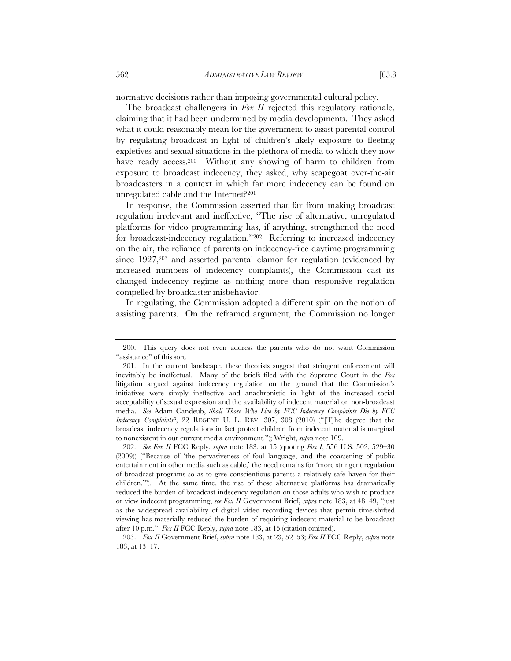normative decisions rather than imposing governmental cultural policy.

The broadcast challengers in *Fox II* rejected this regulatory rationale, claiming that it had been undermined by media developments. They asked what it could reasonably mean for the government to assist parental control by regulating broadcast in light of children's likely exposure to fleeting expletives and sexual situations in the plethora of media to which they now have ready access.<sup>200</sup> Without any showing of harm to children from exposure to broadcast indecency, they asked, why scapegoat over-the-air broadcasters in a context in which far more indecency can be found on unregulated cable and the Internet?201

In response, the Commission asserted that far from making broadcast regulation irrelevant and ineffective, "The rise of alternative, unregulated platforms for video programming has, if anything, strengthened the need for broadcast-indecency regulation."202 Referring to increased indecency on the air, the reliance of parents on indecency-free daytime programming since 1927,<sup>203</sup> and asserted parental clamor for regulation (evidenced by increased numbers of indecency complaints), the Commission cast its changed indecency regime as nothing more than responsive regulation compelled by broadcaster misbehavior.

In regulating, the Commission adopted a different spin on the notion of assisting parents. On the reframed argument, the Commission no longer

 <sup>200.</sup> This query does not even address the parents who do not want Commission "assistance" of this sort.

 <sup>201.</sup> In the current landscape, these theorists suggest that stringent enforcement will inevitably be ineffectual. Many of the briefs filed with the Supreme Court in the *Fox* litigation argued against indecency regulation on the ground that the Commission's initiatives were simply ineffective and anachronistic in light of the increased social acceptability of sexual expression and the availability of indecent material on non-broadcast media. *See* Adam Candeub, *Shall Those Who Live by FCC Indecency Complaints Die by FCC Indecency Complaints?*, 22 REGENT U. L. REV. 307, 308 (2010) ("[T]he degree that the broadcast indecency regulations in fact protect children from indecent material is marginal to nonexistent in our current media environment."); Wright, *supra* note 109.

 <sup>202.</sup> *See Fox II* FCC Reply, *supra* note 183, at 15 (quoting *Fox I*, 556 U.S. 502, 529–30 (2009)) ("Because of 'the pervasiveness of foul language, and the coarsening of public entertainment in other media such as cable,' the need remains for 'more stringent regulation of broadcast programs so as to give conscientious parents a relatively safe haven for their children.'"). At the same time, the rise of those alternative platforms has dramatically reduced the burden of broadcast indecency regulation on those adults who wish to produce or view indecent programming, *see Fox II* Government Brief, *supra* note 183, at 48–49, "just as the widespread availability of digital video recording devices that permit time-shifted viewing has materially reduced the burden of requiring indecent material to be broadcast after 10 p.m." *Fox II* FCC Reply, *supra* note 183, at 15 (citation omitted).

 <sup>203.</sup> *Fox II* Government Brief, *supra* note 183, at 23, 52–53; *Fox II* FCC Reply, *supra* note 183, at 13–17.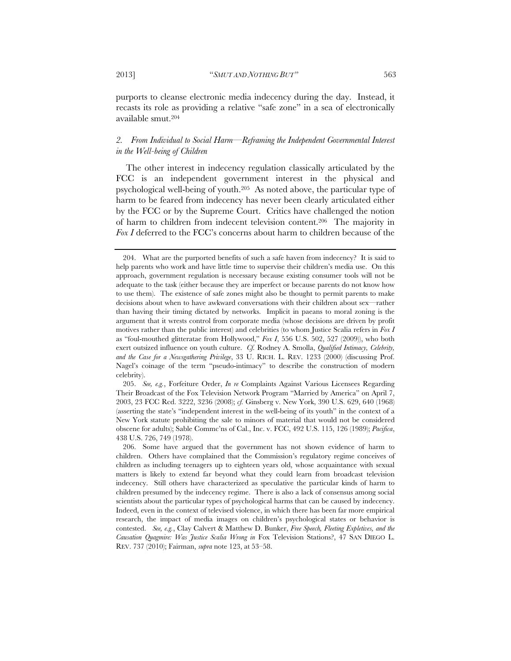purports to cleanse electronic media indecency during the day. Instead, it recasts its role as providing a relative "safe zone" in a sea of electronically available smut.204

# 2. From Individual to Social Harm—Reframing the Independent Governmental Interest *in the Well-being of Children*

The other interest in indecency regulation classically articulated by the FCC is an independent government interest in the physical and psychological well-being of youth.205 As noted above, the particular type of harm to be feared from indecency has never been clearly articulated either by the FCC or by the Supreme Court. Critics have challenged the notion of harm to children from indecent television content.206 The majority in *Fox I* deferred to the FCC's concerns about harm to children because of the

 205. *See, e.g.*, Forfeiture Order, *In re* Complaints Against Various Licensees Regarding Their Broadcast of the Fox Television Network Program "Married by America" on April 7, 2003, 23 FCC Rcd. 3222, 3236 (2008); *cf.* Ginsberg v. New York, 390 U.S. 629, 640 (1968) (asserting the state's "independent interest in the well-being of its youth" in the context of a New York statute prohibiting the sale to minors of material that would not be considered obscene for adults); Sable Commc'ns of Cal., Inc. v. FCC, 492 U.S. 115, 126 (1989); *Pacifica*, 438 U.S. 726, 749 (1978).

 <sup>204.</sup> What are the purported benefits of such a safe haven from indecency? It is said to help parents who work and have little time to supervise their children's media use. On this approach, government regulation is necessary because existing consumer tools will not be adequate to the task (either because they are imperfect or because parents do not know how to use them). The existence of safe zones might also be thought to permit parents to make decisions about when to have awkward conversations with their children about sex—rather than having their timing dictated by networks. Implicit in paeans to moral zoning is the argument that it wrests control from corporate media (whose decisions are driven by profit motives rather than the public interest) and celebrities (to whom Justice Scalia refers in *Fox I* as "foul-mouthed glitteratae from Hollywood," *Fox I*, 556 U.S. 502, 527 (2009)), who both exert outsized influence on youth culture. *Cf.* Rodney A. Smolla, *Qualified Intimacy, Celebrity, and the Case for a Newsgathering Privilege*, 33 U. RICH. L. REV. 1233 (2000) (discussing Prof. Nagel's coinage of the term "pseudo-intimacy" to describe the construction of modern celebrity).

 <sup>206.</sup> Some have argued that the government has not shown evidence of harm to children. Others have complained that the Commission's regulatory regime conceives of children as including teenagers up to eighteen years old, whose acquaintance with sexual matters is likely to extend far beyond what they could learn from broadcast television indecency. Still others have characterized as speculative the particular kinds of harm to children presumed by the indecency regime. There is also a lack of consensus among social scientists about the particular types of psychological harms that can be caused by indecency. Indeed, even in the context of televised violence, in which there has been far more empirical research, the impact of media images on children's psychological states or behavior is contested. *See, e.g.*, Clay Calvert & Matthew D. Bunker, *Free Speech, Fleeting Expletives, and the Causation Quagmire: Was Justice Scalia Wrong in* Fox Television Stations?, 47 SAN DIEGO L. REV. 737 (2010); Fairman, *supra* note 123, at 53–58.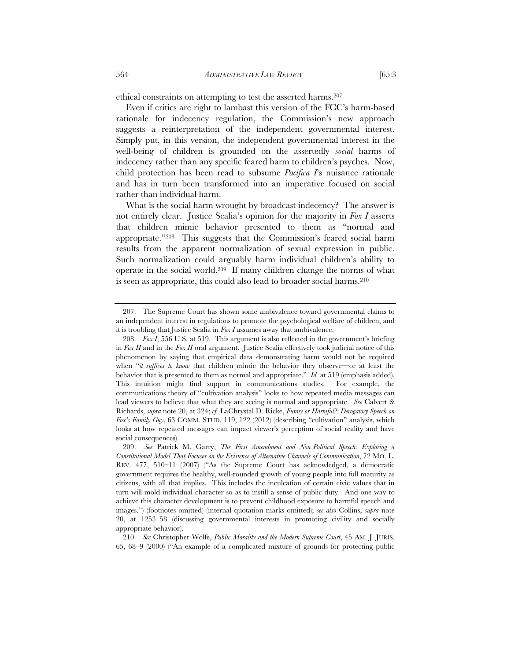ethical constraints on attempting to test the asserted harms.207

Even if critics are right to lambast this version of the FCC's harm-based rationale for indecency regulation, the Commission's new approach suggests a reinterpretation of the independent governmental interest. Simply put, in this version, the independent governmental interest in the well-being of children is grounded on the assertedly *social* harms of indecency rather than any specific feared harm to children's psyches. Now, child protection has been read to subsume *Pacifica I*'s nuisance rationale and has in turn been transformed into an imperative focused on social rather than individual harm.

What is the social harm wrought by broadcast indecency? The answer is not entirely clear. Justice Scalia's opinion for the majority in *Fox I* asserts that children mimic behavior presented to them as "normal and appropriate."208 This suggests that the Commission's feared social harm results from the apparent normalization of sexual expression in public. Such normalization could arguably harm individual children's ability to operate in the social world.209 If many children change the norms of what is seen as appropriate, this could also lead to broader social harms.<sup>210</sup>

 <sup>207.</sup> The Supreme Court has shown some ambivalence toward governmental claims to an independent interest in regulations to promote the psychological welfare of children, and it is troubling that Justice Scalia in *Fox I* assumes away that ambivalence.

 <sup>208.</sup> *Fox I*, 556 U.S. at 519. This argument is also reflected in the government's briefing in *Fox II* and in the *Fox II* oral argument. Justice Scalia effectively took judicial notice of this phenomenon by saying that empirical data demonstrating harm would not be required when "*it suffices to know* that children mimic the behavior they observe—or at least the behavior that is presented to them as normal and appropriate." *Id.* at 519 (emphasis added). This intuition might find support in communications studies. For example, the communications theory of "cultivation analysis" looks to how repeated media messages can lead viewers to believe that what they are seeing is normal and appropriate. *See* Calvert & Richards, *supra* note 20, at 324; *cf.* LaChrystal D. Ricke, *Funny or Harmful?: Derogatory Speech on Fox's Family Guy*, 63 COMM. STUD. 119, 122 (2012) (describing "cultivation" analysis, which looks at how repeated messages can impact viewer's perception of social reality and have social consequences).

 <sup>209.</sup> *See* Patrick M. Garry, *The First Amendment and Non-Political Speech: Exploring a Constitutional Model That Focuses on the Existence of Alternative Channels of Communication*, 72 MO. L. REV. 477, 510–11 (2007) ("As the Supreme Court has acknowledged, a democratic government requires the healthy, well-rounded growth of young people into full maturity as citizens, with all that implies. This includes the inculcation of certain civic values that in turn will mold individual character so as to instill a sense of public duty. And one way to achieve this character development is to prevent childhood exposure to harmful speech and images.") (footnotes omitted) (internal quotation marks omitted); *see also* Collins, *supra* note 20, at 1253–58 (discussing governmental interests in promoting civility and socially appropriate behavior).

 <sup>210.</sup> *See* Christopher Wolfe, *Public Morality and the Modern Supreme Court*, 45 AM. J. JURIS. 65, 68–9 (2000) ("An example of a complicated mixture of grounds for protecting public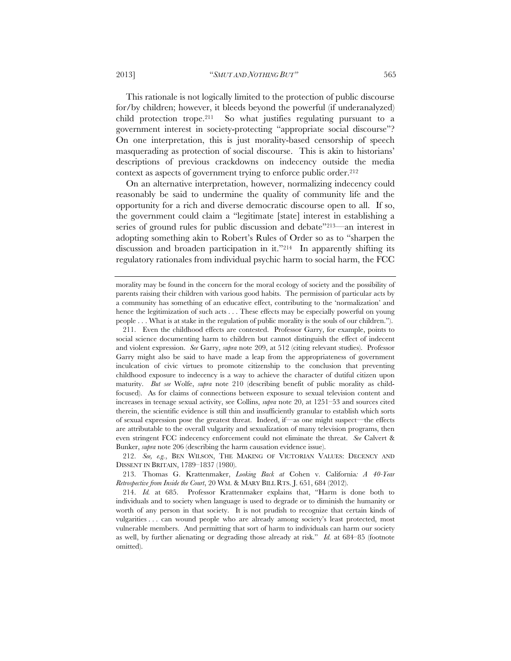This rationale is not logically limited to the protection of public discourse for/by children; however, it bleeds beyond the powerful (if underanalyzed) child protection trope.<sup>211</sup> So what justifies regulating pursuant to a government interest in society-protecting "appropriate social discourse"? On one interpretation, this is just morality-based censorship of speech masquerading as protection of social discourse. This is akin to historians' descriptions of previous crackdowns on indecency outside the media context as aspects of government trying to enforce public order.<sup>212</sup>

On an alternative interpretation, however, normalizing indecency could reasonably be said to undermine the quality of community life and the opportunity for a rich and diverse democratic discourse open to all. If so, the government could claim a "legitimate [state] interest in establishing a series of ground rules for public discussion and debate"213—an interest in adopting something akin to Robert's Rules of Order so as to "sharpen the discussion and broaden participation in it."214 In apparently shifting its regulatory rationales from individual psychic harm to social harm, the FCC

morality may be found in the concern for the moral ecology of society and the possibility of parents raising their children with various good habits. The permission of particular acts by a community has something of an educative effect, contributing to the 'normalization' and hence the legitimization of such acts . . . These effects may be especially powerful on young people . . . What is at stake in the regulation of public morality is the souls of our children.").

 <sup>211.</sup> Even the childhood effects are contested. Professor Garry, for example, points to social science documenting harm to children but cannot distinguish the effect of indecent and violent expression. *See* Garry, *supra* note 209, at 512 (citing relevant studies). Professor Garry might also be said to have made a leap from the appropriateness of government inculcation of civic virtues to promote citizenship to the conclusion that preventing childhood exposure to indecency is a way to achieve the character of dutiful citizen upon maturity. *But see* Wolfe, *supra* note 210 (describing benefit of public morality as childfocused). As for claims of connections between exposure to sexual television content and increases in teenage sexual activity, see Collins, *supra* note 20, at 1251–53 and sources cited therein, the scientific evidence is still thin and insufficiently granular to establish which sorts of sexual expression pose the greatest threat. Indeed, if—as one might suspect—the effects are attributable to the overall vulgarity and sexualization of many television programs, then even stringent FCC indecency enforcement could not eliminate the threat. *See* Calvert & Bunker, *supra* note 206 (describing the harm causation evidence issue).

 <sup>212.</sup> *See, e.g.*, BEN WILSON, THE MAKING OF VICTORIAN VALUES: DECENCY AND DISSENT IN BRITAIN, 1789–1837 (1980).

 <sup>213.</sup> Thomas G. Krattenmaker, *Looking Back at* Cohen v. California*: A 40-Year Retrospective from Inside the Court*, 20 WM. & MARY BILL RTS. J. 651, 684 (2012).

 <sup>214.</sup> *Id.* at 685. Professor Krattenmaker explains that, "Harm is done both to individuals and to society when language is used to degrade or to diminish the humanity or worth of any person in that society. It is not prudish to recognize that certain kinds of vulgarities . . . can wound people who are already among society's least protected, most vulnerable members. And permitting that sort of harm to individuals can harm our society as well, by further alienating or degrading those already at risk." *Id.* at 684–85 (footnote omitted).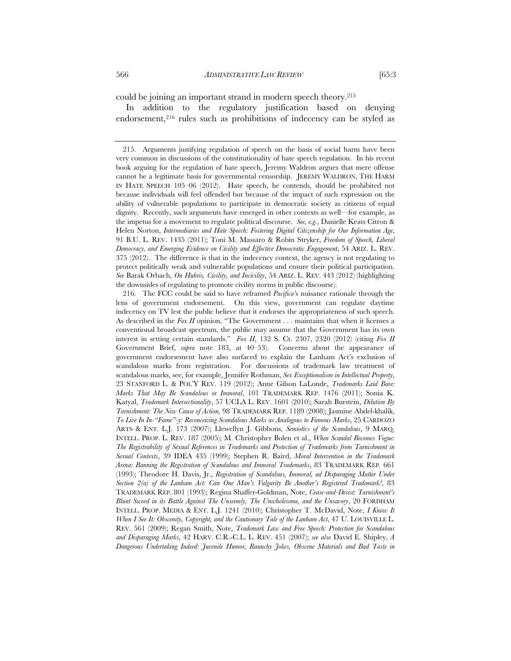could be joining an important strand in modern speech theory.215

In addition to the regulatory justification based on denying endorsement,<sup>216</sup> rules such as prohibitions of indecency can be styled as

 216. The FCC could be said to have reframed *Pacifica'*s nuisance rationale through the lens of government endorsement. On this view, government can regulate daytime indecency on TV lest the public believe that it endorses the appropriateness of such speech. As described in the *Fox II* opinion, "The Government . . . maintains that when it licenses a conventional broadcast spectrum, the public may assume that the Government has its own interest in setting certain standards." *Fox II*, 132 S. Ct. 2307, 2320 (2012) (citing *Fox II*  Government Brief, *supra* note 183, at 40–53). Concerns about the appearance of government endorsement have also surfaced to explain the Lanham Act's exclusion of scandalous marks from registration. For discussions of trademark law treatment of scandalous marks, see, for example, Jennifer Rothman, *Sex Exceptionalism in Intellectual Property*, 23 STANFORD L. & POL'Y REV. 119 (2012); Anne Gilson LaLonde, *Trademarks Laid Bare: Marks That May Be Scandalous or Immoral*, 101 TRADEMARK REP. 1476 (2011); Sonia K. Katyal, *Trademark Intersectionality*, 57 UCLA L. REV. 1601 (2010); Sarah Burstein, *Dilution By Tarnishment: The New Cause of Action,* 98 TRADEMARK REP. 1189 (2008); Jasmine Abdel-khalik, *To Live In In-"Fame"-y: Reconceiving Scandalous Marks as Analogous to Famous Marks*, 25 CARDOZO ARTS & ENT. L.J. 173 (2007); Llewellyn J. Gibbons, *Semiotics of the Scandalous*, 9 MARQ. INTELL. PROP. L. REV. 187 (2005); M. Christopher Bolen et al., *When Scandal Becomes Vogue: The Registrability of Sexual References in Trademarks and Protection of Trademarks from Tarnishment in Sexual Contexts*, 39 IDEA 435 (1999); Stephen R. Baird, *Moral Intervention in the Trademark Arena: Banning the Registration of Scandalous and Immoral Trademarks*, 83 TRADEMARK REP. 661 (1993); Theodore H. Davis, Jr., *Registration of Scandalous, Immoral, ad Disparaging Matter Under Section 2(a) of the Lanham Act: Can One Man's Vulgarity Be Another's Registered Trademark?*, 83 TRADEMARK REP. 801 (1993); Regina Shaffer-Goldman, Note, *Cease-and-Desist: Tarnishment's Blunt Sword in its Battle Against The Unseemly, The Unwholesome, and the Unsavory*, 20 FORDHAM INTELL. PROP. MEDIA & ENT. L.J. 1241 (2010); Christopher T. McDavid, Note, *I Know It When I See It: Obscenity, Copyright, and the Cautionary Tale of the Lanham Act*, 47 U. LOUISVILLE L. REV. 561 (2009); Regan Smith, Note, *Trademark Law and Free Speech: Protection for Scandalous and Disparaging Marks*, 42 HARV. C.R.-C.L. L. REV. 451 (2007); *see also* David E. Shipley, *A Dangerous Undertaking Indeed: Juvenile Humor, Raunchy Jokes, Obscene Materials and Bad Taste in* 

 <sup>215.</sup> Arguments justifying regulation of speech on the basis of social harm have been very common in discussions of the constitutionality of hate speech regulation. In his recent book arguing for the regulation of hate speech, Jeremy Waldron argues that mere offense cannot be a legitimate basis for governmental censorship. JEREMY WALDRON, THE HARM IN HATE SPEECH 105–06 (2012). Hate speech, he contends, should be prohibited not because individuals will feel offended but because of the impact of such expression on the ability of vulnerable populations to participate in democratic society as citizens of equal dignity. Recently, such arguments have emerged in other contexts as well—for example, as the impetus for a movement to regulate political discourse. *See, e.g.*, Danielle Keats Citron & Helen Norton, *Intermediaries and Hate Speech: Fostering Digital Citizenship for Our Information Age*, 91 B.U. L. REV. 1435 (2011); Toni M. Massaro & Robin Stryker, *Freedom of Speech, Liberal Democracy, and Emerging Evidence on Civility and Effective Democratic Engagement*, 54 ARIZ. L. REV. 375 (2012). The difference is that in the indecency context, the agency is not regulating to protect politically weak and vulnerable populations and ensure their political participation. *See* Barak Orbach, *On Hubris, Civility, and Incivility*, 54 ARIZ. L. REV. 443 (2012) (highlighting the downsides of regulating to promote civility norms in public discourse).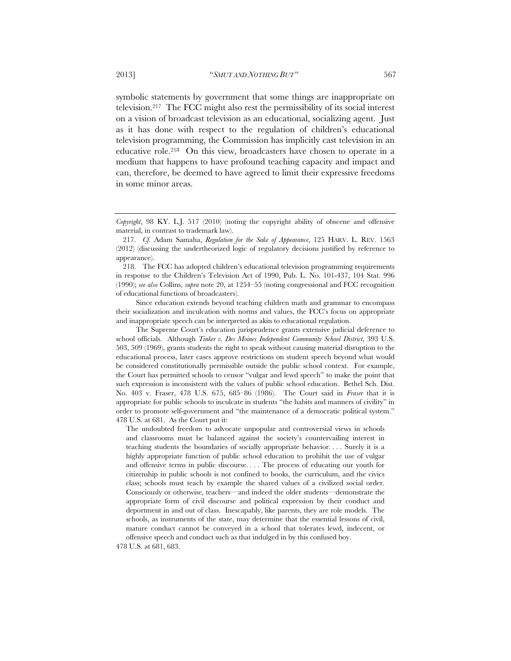symbolic statements by government that some things are inappropriate on television.217 The FCC might also rest the permissibility of its social interest on a vision of broadcast television as an educational, socializing agent. Just as it has done with respect to the regulation of children's educational television programming, the Commission has implicitly cast television in an educative role.218 On this view, broadcasters have chosen to operate in a medium that happens to have profound teaching capacity and impact and can, therefore, be deemed to have agreed to limit their expressive freedoms in some minor areas.

Since education extends beyond teaching children math and grammar to encompass their socialization and inculcation with norms and values, the FCC's focus on appropriate and inappropriate speech can be interpreted as akin to educational regulation.

The Supreme Court's education jurisprudence grants extensive judicial deference to school officials. Although *Tinker v. Des Moines Independent Community School District*, 393 U.S. 503, 509 (1969), grants students the right to speak without causing material disruption to the educational process, later cases approve restrictions on student speech beyond what would be considered constitutionally permissible outside the public school context. For example, the Court has permitted schools to censor "vulgar and lewd speech" to make the point that such expression is inconsistent with the values of public school education. Bethel Sch. Dist. No. 403 v. Fraser, 478 U.S. 675, 685–86 (1986). The Court said in *Fraser* that it is appropriate for public schools to inculcate in students "the habits and manners of civility" in order to promote self-government and "the maintenance of a democratic political system." 478 U.S. at 681. As the Court put it:

The undoubted freedom to advocate unpopular and controversial views in schools and classrooms must be balanced against the society's countervailing interest in teaching students the boundaries of socially appropriate behavior. . . . Surely it is a highly appropriate function of public school education to prohibit the use of vulgar and offensive terms in public discourse. . . . The process of educating our youth for citizenship in public schools is not confined to books, the curriculum, and the civics class; schools must teach by example the shared values of a civilized social order. Consciously or otherwise, teachers—and indeed the older students—demonstrate the appropriate form of civil discourse and political expression by their conduct and deportment in and out of class. Inescapably, like parents, they are role models. The schools, as instruments of the state, may determine that the essential lessons of civil, mature conduct cannot be conveyed in a school that tolerates lewd, indecent, or offensive speech and conduct such as that indulged in by this confused boy.

478 U.S. at 681, 683.

*Copyright*, 98 KY. L.J. 517 (2010) (noting the copyright ability of obscene and offensive material, in contrast to trademark law).

 <sup>217.</sup> *Cf.* Adam Samaha, *Regulation for the Sake of Appearance*, 125 HARV. L. REV. 1563 (2012) (discussing the undertheorized logic of regulatory decisions justified by reference to appearance).

 <sup>218.</sup> The FCC has adopted children's educational television programming requirements in response to the Children's Television Act of 1990, Pub. L. No. 101-437, 104 Stat. 996 (1990); *see also* Collins, *supra* note 20, at 1254–55 (noting congressional and FCC recognition of educational functions of broadcasters).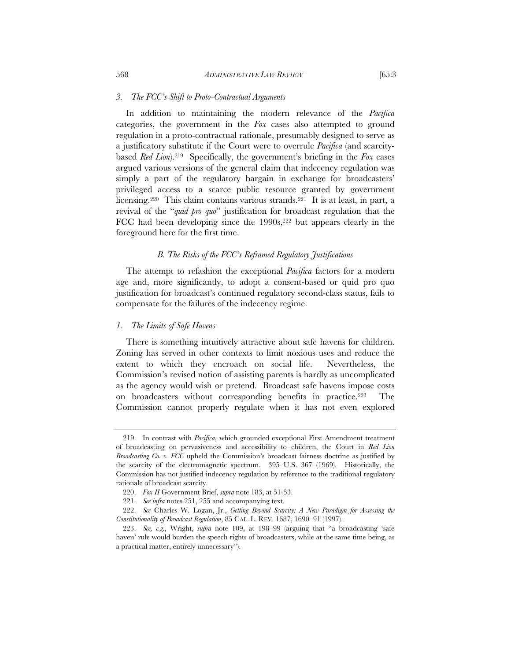In addition to maintaining the modern relevance of the *Pacifica* categories, the government in the *Fox* cases also attempted to ground regulation in a proto-contractual rationale, presumably designed to serve as a justificatory substitute if the Court were to overrule *Pacifica* (and scarcitybased *Red Lion*).219 Specifically, the government's briefing in the *Fox* cases argued various versions of the general claim that indecency regulation was simply a part of the regulatory bargain in exchange for broadcasters' privileged access to a scarce public resource granted by government licensing.<sup>220</sup> This claim contains various strands.<sup>221</sup> It is at least, in part, a revival of the "*quid pro quo*" justification for broadcast regulation that the FCC had been developing since the 1990s,<sup>222</sup> but appears clearly in the foreground here for the first time.

#### *B. The Risks of the FCC's Reframed Regulatory Justifications*

The attempt to refashion the exceptional *Pacifica* factors for a modern age and, more significantly, to adopt a consent-based or quid pro quo justification for broadcast's continued regulatory second-class status, fails to compensate for the failures of the indecency regime.

## *1. The Limits of Safe Havens*

There is something intuitively attractive about safe havens for children. Zoning has served in other contexts to limit noxious uses and reduce the extent to which they encroach on social life. Nevertheless, the Commission's revised notion of assisting parents is hardly as uncomplicated as the agency would wish or pretend. Broadcast safe havens impose costs on broadcasters without corresponding benefits in practice.223 The Commission cannot properly regulate when it has not even explored

 <sup>219.</sup> In contrast with *Pacifica*, which grounded exceptional First Amendment treatment of broadcasting on pervasiveness and accessibility to children, the Court in *Red Lion Broadcasting Co. v. FCC* upheld the Commission's broadcast fairness doctrine as justified by the scarcity of the electromagnetic spectrum. 395 U.S. 367 (1969). Historically, the Commission has not justified indecency regulation by reference to the traditional regulatory rationale of broadcast scarcity.

 <sup>220.</sup> *Fox II* Government Brief, *supra* note 183, at 51-53.

 <sup>221.</sup> *See infra* notes 251, 255 and accompanying text.

 <sup>222.</sup> *See* Charles W. Logan, Jr., *Getting Beyond Scarcity: A New Paradigm for Assessing the Constitutionality of Broadcast Regulation*, 85 CAL. L. REV. 1687, 1690–91 (1997).

 <sup>223.</sup> *See, e.g.*, Wright, *supra* note 109, at 198–99 (arguing that "a broadcasting 'safe haven' rule would burden the speech rights of broadcasters, while at the same time being, as a practical matter, entirely unnecessary").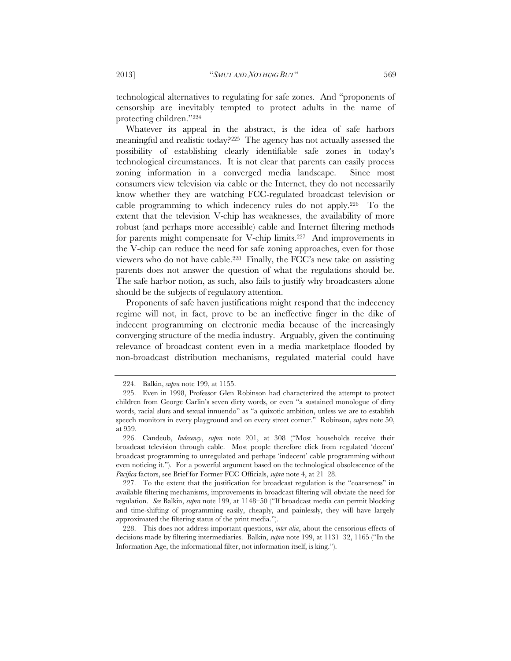technological alternatives to regulating for safe zones. And "proponents of censorship are inevitably tempted to protect adults in the name of protecting children."224

Whatever its appeal in the abstract, is the idea of safe harbors meaningful and realistic today?225 The agency has not actually assessed the possibility of establishing clearly identifiable safe zones in today's technological circumstances. It is not clear that parents can easily process zoning information in a converged media landscape. Since most consumers view television via cable or the Internet, they do not necessarily know whether they are watching FCC-regulated broadcast television or cable programming to which indecency rules do not apply.226 To the extent that the television V-chip has weaknesses, the availability of more robust (and perhaps more accessible) cable and Internet filtering methods for parents might compensate for V-chip limits.<sup>227</sup> And improvements in the V-chip can reduce the need for safe zoning approaches, even for those viewers who do not have cable.228 Finally, the FCC's new take on assisting parents does not answer the question of what the regulations should be. The safe harbor notion, as such, also fails to justify why broadcasters alone should be the subjects of regulatory attention.

Proponents of safe haven justifications might respond that the indecency regime will not, in fact, prove to be an ineffective finger in the dike of indecent programming on electronic media because of the increasingly converging structure of the media industry. Arguably, given the continuing relevance of broadcast content even in a media marketplace flooded by non-broadcast distribution mechanisms, regulated material could have

 228. This does not address important questions, *inter alia*, about the censorious effects of decisions made by filtering intermediaries. Balkin, *supra* note 199, at 1131–32, 1165 ("In the Information Age, the informational filter, not information itself, is king.").

 <sup>224.</sup> Balkin, *supra* note 199, at 1155.

 <sup>225.</sup> Even in 1998, Professor Glen Robinson had characterized the attempt to protect children from George Carlin's seven dirty words, or even "a sustained monologue of dirty words, racial slurs and sexual innuendo" as "a quixotic ambition, unless we are to establish speech monitors in every playground and on every street corner." Robinson, *supra* note 50, at 959.

 <sup>226.</sup> Candeub, *Indecency*, *supra* note 201, at 308 ("Most households receive their broadcast television through cable. Most people therefore click from regulated 'decent' broadcast programming to unregulated and perhaps 'indecent' cable programming without even noticing it."). For a powerful argument based on the technological obsolescence of the *Pacifica* factors, see Brief for Former FCC Officials, *supra* note 4, at 21–28.

 <sup>227.</sup> To the extent that the justification for broadcast regulation is the "coarseness" in available filtering mechanisms, improvements in broadcast filtering will obviate the need for regulation. *See* Balkin, *supra* note 199, at 1148–50 ("If broadcast media can permit blocking and time-shifting of programming easily, cheaply, and painlessly, they will have largely approximated the filtering status of the print media.").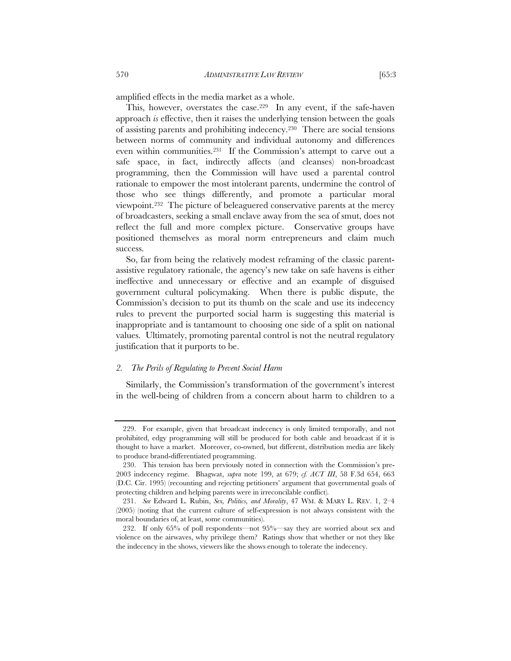amplified effects in the media market as a whole.

This, however, overstates the case.<sup>229</sup> In any event, if the safe-haven approach *is* effective, then it raises the underlying tension between the goals of assisting parents and prohibiting indecency.230 There are social tensions between norms of community and individual autonomy and differences even within communities.231 If the Commission's attempt to carve out a safe space, in fact, indirectly affects (and cleanses) non-broadcast programming, then the Commission will have used a parental control rationale to empower the most intolerant parents, undermine the control of those who see things differently, and promote a particular moral viewpoint.232 The picture of beleaguered conservative parents at the mercy of broadcasters, seeking a small enclave away from the sea of smut, does not reflect the full and more complex picture. Conservative groups have positioned themselves as moral norm entrepreneurs and claim much success.

So, far from being the relatively modest reframing of the classic parentassistive regulatory rationale, the agency's new take on safe havens is either ineffective and unnecessary or effective and an example of disguised government cultural policymaking. When there is public dispute, the Commission's decision to put its thumb on the scale and use its indecency rules to prevent the purported social harm is suggesting this material is inappropriate and is tantamount to choosing one side of a split on national values. Ultimately, promoting parental control is not the neutral regulatory justification that it purports to be.

# *2. The Perils of Regulating to Prevent Social Harm*

Similarly, the Commission's transformation of the government's interest in the well-being of children from a concern about harm to children to a

 <sup>229.</sup> For example, given that broadcast indecency is only limited temporally, and not prohibited, edgy programming will still be produced for both cable and broadcast if it is thought to have a market. Moreover, co-owned, but different, distribution media are likely to produce brand-differentiated programming.

 <sup>230.</sup> This tension has been previously noted in connection with the Commission's pre-2003 indecency regime. Bhagwat, *supra* note 199, at 679; *cf. ACT III*, 58 F.3d 654, 663 (D.C. Cir. 1995) (recounting and rejecting petitioners' argument that governmental goals of protecting children and helping parents were in irreconcilable conflict)*.*

 <sup>231.</sup> *See* Edward L. Rubin, *Sex, Politics, and Morality*, 47 WM. & MARY L. REV. 1, 2–4 (2005) (noting that the current culture of self-expression is not always consistent with the moral boundaries of, at least, some communities).

 <sup>232.</sup> If only 65% of poll respondents—not 95%—say they are worried about sex and violence on the airwaves, why privilege them? Ratings show that whether or not they like the indecency in the shows, viewers like the shows enough to tolerate the indecency.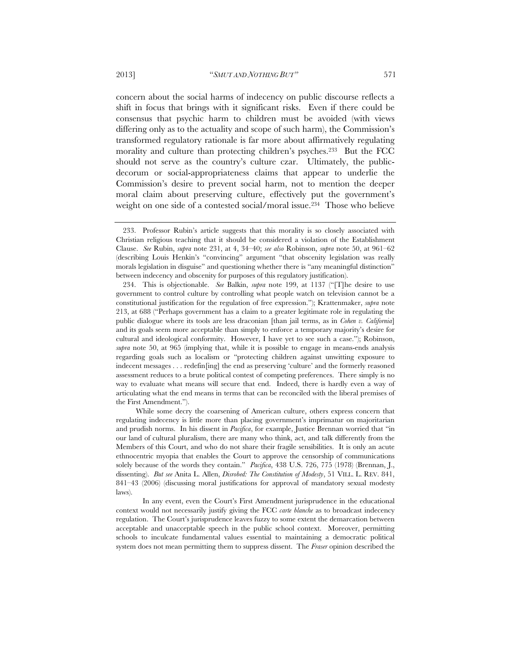concern about the social harms of indecency on public discourse reflects a shift in focus that brings with it significant risks. Even if there could be consensus that psychic harm to children must be avoided (with views differing only as to the actuality and scope of such harm), the Commission's transformed regulatory rationale is far more about affirmatively regulating morality and culture than protecting children's psyches.233 But the FCC should not serve as the country's culture czar. Ultimately, the publicdecorum or social-appropriateness claims that appear to underlie the Commission's desire to prevent social harm, not to mention the deeper moral claim about preserving culture, effectively put the government's weight on one side of a contested social/moral issue.234 Those who believe

While some decry the coarsening of American culture, others express concern that regulating indecency is little more than placing government's imprimatur on majoritarian and prudish norms. In his dissent in *Pacifica*, for example, Justice Brennan worried that "in our land of cultural pluralism, there are many who think, act, and talk differently from the Members of this Court, and who do not share their fragile sensibilities. It is only an acute ethnocentric myopia that enables the Court to approve the censorship of communications solely because of the words they contain." *Pacifica*, 438 U.S. 726, 775 (1978) (Brennan, J., dissenting). *But see* Anita L. Allen, *Disrobed: The Constitution of Modesty*, 51 VILL. L. REV. 841, 841–43 (2006) (discussing moral justifications for approval of mandatory sexual modesty laws).

 In any event, even the Court's First Amendment jurisprudence in the educational context would not necessarily justify giving the FCC *carte blanche* as to broadcast indecency regulation. The Court's jurisprudence leaves fuzzy to some extent the demarcation between acceptable and unacceptable speech in the public school context. Moreover, permitting schools to inculcate fundamental values essential to maintaining a democratic political system does not mean permitting them to suppress dissent. The *Fraser* opinion described the

 <sup>233.</sup> Professor Rubin's article suggests that this morality is so closely associated with Christian religious teaching that it should be considered a violation of the Establishment Clause. *See* Rubin, *supra* note 231, at 4, 34–40; *see also* Robinson, *supra* note 50, at 961–62 (describing Louis Henkin's "convincing" argument "that obscenity legislation was really morals legislation in disguise" and questioning whether there is "any meaningful distinction" between indecency and obscenity for purposes of this regulatory justification).

 <sup>234.</sup> This is objectionable. *See* Balkin, *supra* note 199, at 1137 ("[T]he desire to use government to control culture by controlling what people watch on television cannot be a constitutional justification for the regulation of free expression."); Krattenmaker, *supra* note 213, at 688 ("Perhaps government has a claim to a greater legitimate role in regulating the public dialogue where its tools are less draconian [than jail terms, as in *Cohen v. California*] and its goals seem more acceptable than simply to enforce a temporary majority's desire for cultural and ideological conformity. However, I have yet to see such a case."); Robinson, *supra* note 50, at 965 (implying that, while it is possible to engage in means-ends analysis regarding goals such as localism or "protecting children against unwitting exposure to indecent messages . . . redefin[ing] the end as preserving 'culture' and the formerly reasoned assessment reduces to a brute political contest of competing preferences. There simply is no way to evaluate what means will secure that end. Indeed, there is hardly even a way of articulating what the end means in terms that can be reconciled with the liberal premises of the First Amendment.").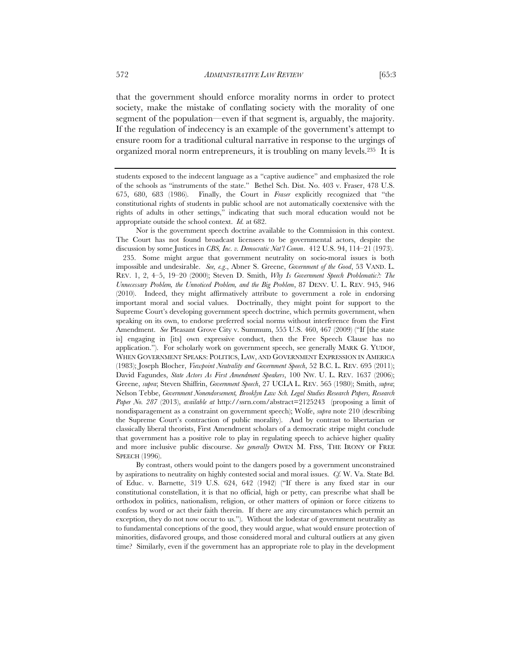that the government should enforce morality norms in order to protect society, make the mistake of conflating society with the morality of one segment of the population—even if that segment is, arguably, the majority. If the regulation of indecency is an example of the government's attempt to ensure room for a traditional cultural narrative in response to the urgings of organized moral norm entrepreneurs, it is troubling on many levels.235 It is

Nor is the government speech doctrine available to the Commission in this context. The Court has not found broadcast licensees to be governmental actors, despite the discussion by some Justices in *CBS, Inc. v. Democratic Nat'l Comm*. 412 U.S. 94, 114–21 (1973).

 235. Some might argue that government neutrality on socio-moral issues is both impossible and undesirable. *See, e.g*., Abner S. Greene, *Government of the Good*, 53 VAND. L. REV. 1, 2, 4–5, 19–20 (2000); Steven D. Smith, *Why Is Government Speech Problematic?: The Unnecessary Problem, the Unnoticed Problem, and the Big Problem*, 87 DENV. U. L. REV. 945, 946 (2010). Indeed, they might affirmatively attribute to government a role in endorsing important moral and social values. Doctrinally, they might point for support to the Supreme Court's developing government speech doctrine, which permits government, when speaking on its own, to endorse preferred social norms without interference from the First Amendment. *See* Pleasant Grove City v. Summum, 555 U.S. 460, 467 (2009) ("If [the state is] engaging in [its] own expressive conduct, then the Free Speech Clause has no application."). For scholarly work on government speech, see generally MARK G. YUDOF, WHEN GOVERNMENT SPEAKS: POLITICS, LAW, AND GOVERNMENT EXPRESSION IN AMERICA (1983); Joseph Blocher, *Viewpoint Neutrality and Government Speech*, 52 B.C. L. REV. 695 (2011); David Fagundes, *State Actors As First Amendment Speakers*, 100 NW. U. L. REV. 1637 (2006); Greene, *supra*; Steven Shiffrin, *Government Speech*, 27 UCLA L. REV. 565 (1980); Smith, *supra*; Nelson Tebbe, *Government Nonendorsement, Brooklyn Law Sch. Legal Studies Research Papers, Research Paper No. 287* (2013), *available at* http://ssrn.com/abstract=2125243 (proposing a limit of nondisparagement as a constraint on government speech); Wolfe, *supra* note 210 (describing the Supreme Court's contraction of public morality). And by contrast to libertarian or classically liberal theorists, First Amendment scholars of a democratic stripe might conclude that government has a positive role to play in regulating speech to achieve higher quality and more inclusive public discourse. *See generally* OWEN M. FISS, THE IRONY OF FREE SPEECH (1996).

By contrast, others would point to the dangers posed by a government unconstrained by aspirations to neutrality on highly contested social and moral issues. *Cf.* W. Va. State Bd. of Educ. v. Barnette, 319 U.S. 624, 642 (1942) ("If there is any fixed star in our constitutional constellation, it is that no official, high or petty, can prescribe what shall be orthodox in politics, nationalism, religion, or other matters of opinion or force citizens to confess by word or act their faith therein. If there are any circumstances which permit an exception, they do not now occur to us."). Without the lodestar of government neutrality as to fundamental conceptions of the good, they would argue, what would ensure protection of minorities, disfavored groups, and those considered moral and cultural outliers at any given time? Similarly, even if the government has an appropriate role to play in the development

students exposed to the indecent language as a "captive audience" and emphasized the role of the schools as "instruments of the state." Bethel Sch. Dist. No. 403 v. Fraser, 478 U.S. 675, 680, 683 (1986). Finally, the Court in *Fraser* explicitly recognized that "the constitutional rights of students in public school are not automatically coextensive with the rights of adults in other settings," indicating that such moral education would not be appropriate outside the school context. *Id.* at 682.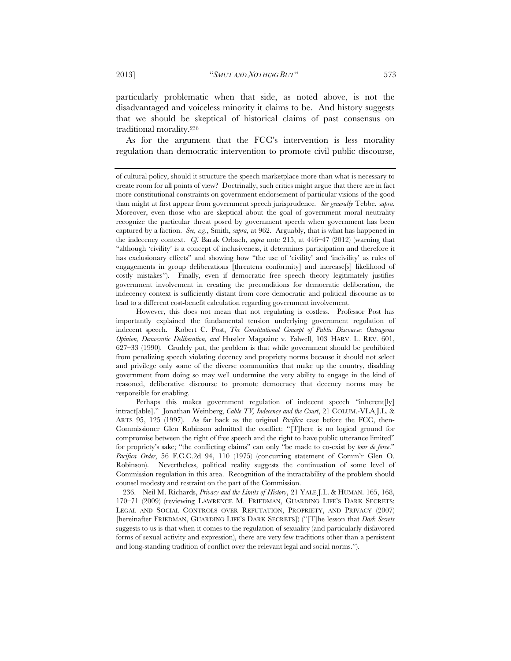particularly problematic when that side, as noted above, is not the disadvantaged and voiceless minority it claims to be. And history suggests that we should be skeptical of historical claims of past consensus on traditional morality.236

As for the argument that the FCC's intervention is less morality regulation than democratic intervention to promote civil public discourse,

However, this does not mean that not regulating is costless. Professor Post has importantly explained the fundamental tension underlying government regulation of indecent speech. Robert C. Post, *The Constitutional Concept of Public Discourse: Outrageous Opinion, Democratic Deliberation, and* Hustler Magazine v. Falwell, 103 HARV. L. REV. 601, 627–33 (1990). Crudely put, the problem is that while government should be prohibited from penalizing speech violating decency and propriety norms because it should not select and privilege only some of the diverse communities that make up the country, disabling government from doing so may well undermine the very ability to engage in the kind of reasoned, deliberative discourse to promote democracy that decency norms may be responsible for enabling.

Perhaps this makes government regulation of indecent speech "inherent[ly] intract[able]." Jonathan Weinberg, *Cable TV, Indecency and the Court*, 21 COLUM.-VLA J.L. & ARTS 95, 125 (1997). As far back as the original *Pacifica* case before the FCC, then-Commissioner Glen Robinson admitted the conflict: "[T]here is no logical ground for compromise between the right of free speech and the right to have public utterance limited" for propriety's sake; "the conflicting claims" can only "be made to co-exist by *tour de force*." *Pacifica Order*, 56 F.C.C.2d 94, 110 (1975) (concurring statement of Comm'r Glen O. Robinson). Nevertheless, political reality suggests the continuation of some level of Commission regulation in this area. Recognition of the intractability of the problem should counsel modesty and restraint on the part of the Commission.

 236. Neil M. Richards, *Privacy and the Limits of History*, 21 YALE J.L. & HUMAN. 165, 168, 170–71 (2009) (reviewing LAWRENCE M. FRIEDMAN, GUARDING LIFE'S DARK SECRETS: LEGAL AND SOCIAL CONTROLS OVER REPUTATION, PROPRIETY, AND PRIVACY (2007) [hereinafter FRIEDMAN, GUARDING LIFE'S DARK SECRETS]) ("[T]he lesson that *Dark Secrets* suggests to us is that when it comes to the regulation of sexuality (and particularly disfavored forms of sexual activity and expression), there are very few traditions other than a persistent and long-standing tradition of conflict over the relevant legal and social norms.").

of cultural policy, should it structure the speech marketplace more than what is necessary to create room for all points of view? Doctrinally, such critics might argue that there are in fact more constitutional constraints on government endorsement of particular visions of the good than might at first appear from government speech jurisprudence*. See generally* Tebbe, *supra.* Moreover, even those who are skeptical about the goal of government moral neutrality recognize the particular threat posed by government speech when government has been captured by a faction. *See, e.g*., Smith, *supra*, at 962. Arguably, that is what has happened in the indecency context. *Cf.* Barak Orbach, *supra* note 215, at 446–47 (2012) (warning that "although 'civility' is a concept of inclusiveness, it determines participation and therefore it has exclusionary effects" and showing how "the use of 'civility' and 'incivility' as rules of engagements in group deliberations [threatens conformity] and increase[s] likelihood of costly mistakes"). Finally, even if democratic free speech theory legitimately justifies government involvement in creating the preconditions for democratic deliberation, the indecency context is sufficiently distant from core democratic and political discourse as to lead to a different cost-benefit calculation regarding government involvement.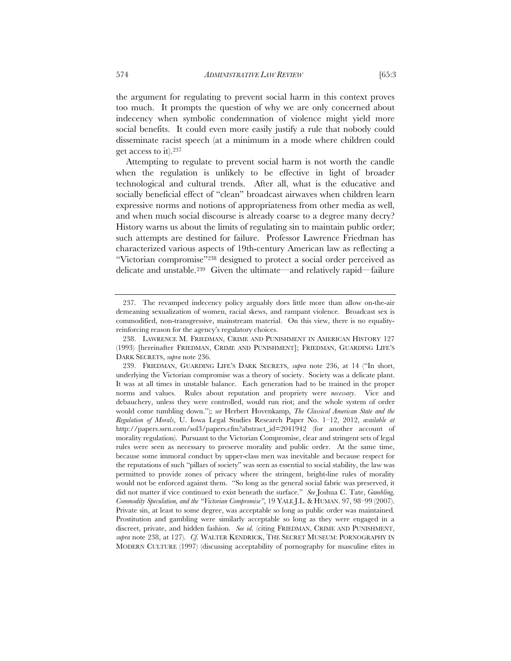the argument for regulating to prevent social harm in this context proves too much. It prompts the question of why we are only concerned about indecency when symbolic condemnation of violence might yield more social benefits. It could even more easily justify a rule that nobody could disseminate racist speech (at a minimum in a mode where children could get access to it).237

Attempting to regulate to prevent social harm is not worth the candle when the regulation is unlikely to be effective in light of broader technological and cultural trends. After all, what is the educative and socially beneficial effect of "clean" broadcast airwaves when children learn expressive norms and notions of appropriateness from other media as well, and when much social discourse is already coarse to a degree many decry? History warns us about the limits of regulating sin to maintain public order; such attempts are destined for failure. Professor Lawrence Friedman has characterized various aspects of 19th-century American law as reflecting a "Victorian compromise"238 designed to protect a social order perceived as delicate and unstable.239 Given the ultimate—and relatively rapid—failure

 <sup>237.</sup> The revamped indecency policy arguably does little more than allow on-the-air demeaning sexualization of women, racial skews, and rampant violence. Broadcast sex is commodified, non-transgressive, mainstream material. On this view, there is no equalityreinforcing reason for the agency's regulatory choices.

 <sup>238.</sup> LAWRENCE M. FRIEDMAN, CRIME AND PUNISHMENT IN AMERICAN HISTORY 127 (1993) [hereinafter FRIEDMAN, CRIME AND PUNISHMENT]; FRIEDMAN, GUARDING LIFE'S DARK SECRETS, *supra* note 236.

 <sup>239.</sup> FRIEDMAN, GUARDING LIFE'S DARK SECRETS, *supra* note 236, at 14 ("In short, underlying the Victorian compromise was a theory of society. Society was a delicate plant. It was at all times in unstable balance. Each generation had to be trained in the proper norms and values. Rules about reputation and propriety were *necessary*. Vice and debauchery, unless they were controlled, would run riot; and the whole system of order would come tumbling down."); *see* Herbert Hovenkamp, *The Classical American State and the Regulation of Morals*, U. Iowa Legal Studies Research Paper No. 1–12, 2012, *available at* http://papers.ssrn.com/sol3/papers.cfm?abstract\_id=2041942 (for another account of morality regulation). Pursuant to the Victorian Compromise, clear and stringent sets of legal rules were seen as necessary to preserve morality and public order. At the same time, because some immoral conduct by upper-class men was inevitable and because respect for the reputations of such "pillars of society" was seen as essential to social stability, the law was permitted to provide zones of privacy where the stringent, bright-line rules of morality would not be enforced against them. "So long as the general social fabric was preserved, it did not matter if vice continued to exist beneath the surface." *See* Joshua C. Tate, *Gambling, Commodity Speculation, and the "Victorian Compromise"*, 19 YALE J.L. & HUMAN. 97, 98–99 (2007). Private sin, at least to some degree, was acceptable so long as public order was maintained*.*  Prostitution and gambling were similarly acceptable so long as they were engaged in a discreet, private, and hidden fashion. *See id.* (citing FRIEDMAN, CRIME AND PUNISHMENT, *supra* note 238, at 127). *Cf.* WALTER KENDRICK, THE SECRET MUSEUM: PORNOGRAPHY IN MODERN CULTURE (1997) (discussing acceptability of pornography for masculine elites in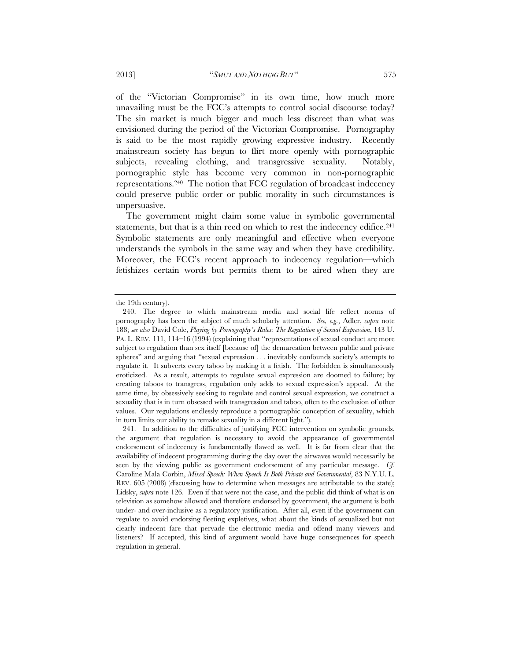of the "Victorian Compromise" in its own time, how much more unavailing must be the FCC's attempts to control social discourse today? The sin market is much bigger and much less discreet than what was envisioned during the period of the Victorian Compromise. Pornography is said to be the most rapidly growing expressive industry. Recently mainstream society has begun to flirt more openly with pornographic subjects, revealing clothing, and transgressive sexuality. Notably, pornographic style has become very common in non-pornographic representations.240 The notion that FCC regulation of broadcast indecency could preserve public order or public morality in such circumstances is unpersuasive.

The government might claim some value in symbolic governmental statements, but that is a thin reed on which to rest the indecency edifice.241 Symbolic statements are only meaningful and effective when everyone understands the symbols in the same way and when they have credibility. Moreover, the FCC's recent approach to indecency regulation—which fetishizes certain words but permits them to be aired when they are

the 19th century).

 <sup>240.</sup> The degree to which mainstream media and social life reflect norms of pornography has been the subject of much scholarly attention. *See, e.g.*, Adler, *supra* note 188; *see also* David Cole, *Playing by Pornography's Rules: The Regulation of Sexual Expression*, 143 U. PA. L. REV. 111, 114–16 (1994) (explaining that "representations of sexual conduct are more subject to regulation than sex itself [because of] the demarcation between public and private spheres" and arguing that "sexual expression . . . inevitably confounds society's attempts to regulate it. It subverts every taboo by making it a fetish. The forbidden is simultaneously eroticized. As a result, attempts to regulate sexual expression are doomed to failure; by creating taboos to transgress, regulation only adds to sexual expression's appeal. At the same time, by obsessively seeking to regulate and control sexual expression, we construct a sexuality that is in turn obsessed with transgression and taboo, often to the exclusion of other values. Our regulations endlessly reproduce a pornographic conception of sexuality, which in turn limits our ability to remake sexuality in a different light.").

 <sup>241.</sup> In addition to the difficulties of justifying FCC intervention on symbolic grounds, the argument that regulation is necessary to avoid the appearance of governmental endorsement of indecency is fundamentally flawed as well. It is far from clear that the availability of indecent programming during the day over the airwaves would necessarily be seen by the viewing public as government endorsement of any particular message. *Cf.* Caroline Mala Corbin, *Mixed Speech: When Speech Is Both Private and Governmental*, 83 N.Y.U. L. REV. 605 (2008) (discussing how to determine when messages are attributable to the state); Lidsky, *supra* note 126. Even if that were not the case, and the public did think of what is on television as somehow allowed and therefore endorsed by government, the argument is both under- and over-inclusive as a regulatory justification. After all, even if the government can regulate to avoid endorsing fleeting expletives, what about the kinds of sexualized but not clearly indecent fare that pervade the electronic media and offend many viewers and listeners? If accepted, this kind of argument would have huge consequences for speech regulation in general.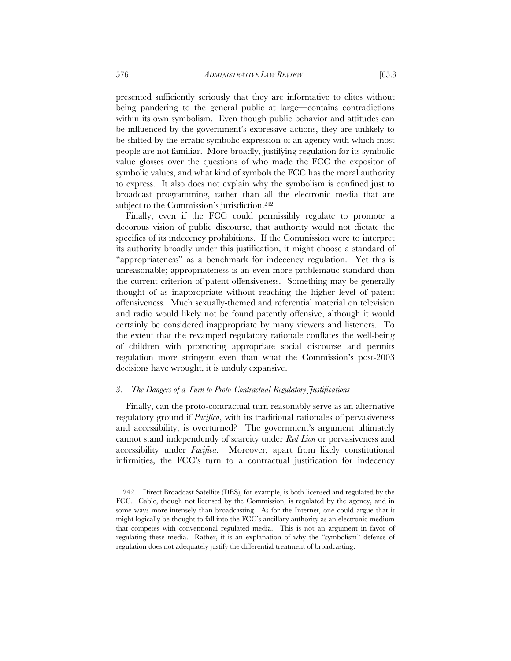presented sufficiently seriously that they are informative to elites without being pandering to the general public at large—contains contradictions within its own symbolism. Even though public behavior and attitudes can be influenced by the government's expressive actions, they are unlikely to be shifted by the erratic symbolic expression of an agency with which most people are not familiar. More broadly, justifying regulation for its symbolic value glosses over the questions of who made the FCC the expositor of symbolic values, and what kind of symbols the FCC has the moral authority to express. It also does not explain why the symbolism is confined just to broadcast programming, rather than all the electronic media that are subject to the Commission's jurisdiction.<sup>242</sup>

Finally, even if the FCC could permissibly regulate to promote a decorous vision of public discourse, that authority would not dictate the specifics of its indecency prohibitions. If the Commission were to interpret its authority broadly under this justification, it might choose a standard of "appropriateness" as a benchmark for indecency regulation. Yet this is unreasonable; appropriateness is an even more problematic standard than the current criterion of patent offensiveness. Something may be generally thought of as inappropriate without reaching the higher level of patent offensiveness. Much sexually-themed and referential material on television and radio would likely not be found patently offensive, although it would certainly be considered inappropriate by many viewers and listeners. To the extent that the revamped regulatory rationale conflates the well-being of children with promoting appropriate social discourse and permits regulation more stringent even than what the Commission's post-2003 decisions have wrought, it is unduly expansive.

## *3. The Dangers of a Turn to Proto-Contractual Regulatory Justifications*

Finally, can the proto-contractual turn reasonably serve as an alternative regulatory ground if *Pacifica*, with its traditional rationales of pervasiveness and accessibility, is overturned? The government's argument ultimately cannot stand independently of scarcity under *Red Lion* or pervasiveness and accessibility under *Pacifica*. Moreover, apart from likely constitutional infirmities, the FCC's turn to a contractual justification for indecency

 <sup>242.</sup> Direct Broadcast Satellite (DBS), for example, is both licensed and regulated by the FCC. Cable, though not licensed by the Commission, is regulated by the agency, and in some ways more intensely than broadcasting. As for the Internet, one could argue that it might logically be thought to fall into the FCC's ancillary authority as an electronic medium that competes with conventional regulated media. This is not an argument in favor of regulating these media. Rather, it is an explanation of why the "symbolism" defense of regulation does not adequately justify the differential treatment of broadcasting.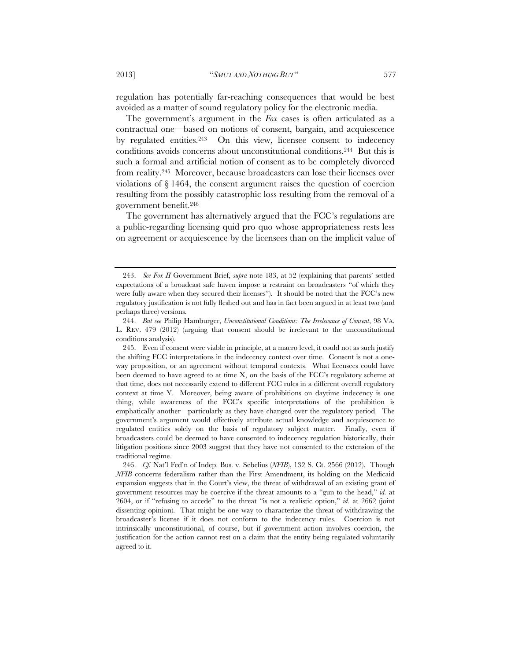regulation has potentially far-reaching consequences that would be best avoided as a matter of sound regulatory policy for the electronic media.

The government's argument in the *Fox* cases is often articulated as a contractual one—based on notions of consent, bargain, and acquiescence by regulated entities.<sup>243</sup> On this view, licensee consent to indecency conditions avoids concerns about unconstitutional conditions.244 But this is such a formal and artificial notion of consent as to be completely divorced from reality.245 Moreover, because broadcasters can lose their licenses over violations of § 1464, the consent argument raises the question of coercion resulting from the possibly catastrophic loss resulting from the removal of a government benefit.246

The government has alternatively argued that the FCC's regulations are a public-regarding licensing quid pro quo whose appropriateness rests less on agreement or acquiescence by the licensees than on the implicit value of

 <sup>243.</sup> *See Fox II* Government Brief, *supra* note 183, at 52 (explaining that parents' settled expectations of a broadcast safe haven impose a restraint on broadcasters "of which they were fully aware when they secured their licenses"). It should be noted that the FCC's new regulatory justification is not fully fleshed out and has in fact been argued in at least two (and perhaps three) versions.

 <sup>244.</sup> *But see* Philip Hamburger, *Unconstitutional Conditions: The Irrelevance of Consent*, 98 VA. L. REV. 479 (2012) (arguing that consent should be irrelevant to the unconstitutional conditions analysis).

 <sup>245.</sup> Even if consent were viable in principle, at a macro level, it could not as such justify the shifting FCC interpretations in the indecency context over time. Consent is not a oneway proposition, or an agreement without temporal contexts. What licensees could have been deemed to have agreed to at time X, on the basis of the FCC's regulatory scheme at that time, does not necessarily extend to different FCC rules in a different overall regulatory context at time Y. Moreover, being aware of prohibitions on daytime indecency is one thing, while awareness of the FCC's specific interpretations of the prohibition is emphatically another—particularly as they have changed over the regulatory period. The government's argument would effectively attribute actual knowledge and acquiescence to regulated entities solely on the basis of regulatory subject matter. Finally, even if broadcasters could be deemed to have consented to indecency regulation historically, their litigation positions since 2003 suggest that they have not consented to the extension of the traditional regime.

 <sup>246.</sup> *Cf.* Nat'l Fed'n of Indep. Bus. v. Sebelius (*NFIB*), 132 S. Ct. 2566 (2012). Though *NFIB* concerns federalism rather than the First Amendment, its holding on the Medicaid expansion suggests that in the Court's view, the threat of withdrawal of an existing grant of government resources may be coercive if the threat amounts to a "gun to the head," *id.* at 2604, or if "refusing to accede" to the threat "is not a realistic option," *id.* at 2662 (joint dissenting opinion). That might be one way to characterize the threat of withdrawing the broadcaster's license if it does not conform to the indecency rules. Coercion is not intrinsically unconstitutional, of course, but if government action involves coercion, the justification for the action cannot rest on a claim that the entity being regulated voluntarily agreed to it.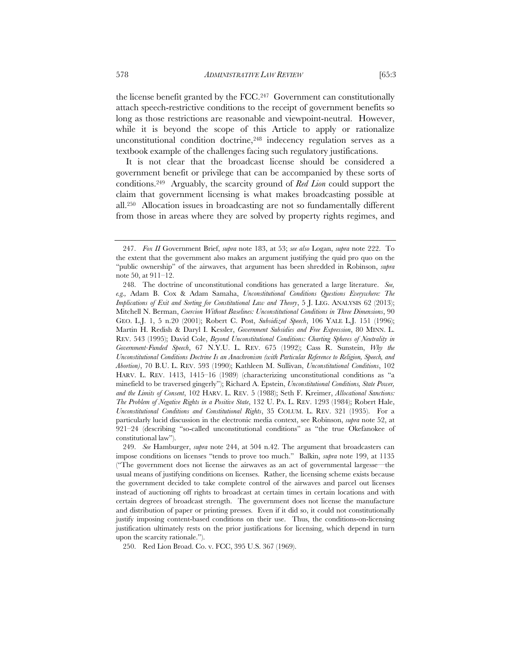the license benefit granted by the FCC.247 Government can constitutionally attach speech-restrictive conditions to the receipt of government benefits so long as those restrictions are reasonable and viewpoint-neutral. However, while it is beyond the scope of this Article to apply or rationalize unconstitutional condition doctrine,<sup>248</sup> indecency regulation serves as a textbook example of the challenges facing such regulatory justifications.

It is not clear that the broadcast license should be considered a government benefit or privilege that can be accompanied by these sorts of conditions.249 Arguably, the scarcity ground of *Red Lion* could support the claim that government licensing is what makes broadcasting possible at all.250 Allocation issues in broadcasting are not so fundamentally different from those in areas where they are solved by property rights regimes, and

250. Red Lion Broad. Co. v. FCC, 395 U.S. 367 (1969).

 <sup>247.</sup> *Fox II* Government Brief, *supra* note 183, at 53; *see also* Logan, *supra* note 222. To the extent that the government also makes an argument justifying the quid pro quo on the "public ownership" of the airwaves, that argument has been shredded in Robinson, *supra* note 50, at 911–12.

 <sup>248.</sup> The doctrine of unconstitutional conditions has generated a large literature. *See, e.g.,* Adam B. Cox & Adam Samaha, *Unconstitutional Conditions Questions Everywhere: The Implications of Exit and Sorting for Constitutional Law and Theory*, 5 J. LEG. ANALYSIS 62 (2013); Mitchell N. Berman, *Coercion Without Baselines: Unconstitutional Conditions in Three Dimensions*, 90 GEO. L.J. 1, 5 n.20 (2001); Robert C. Post, *Subsidized Speech*, 106 YALE L.J. 151 (1996); Martin H. Redish & Daryl I. Kessler, *Government Subsidies and Free Expression*, 80 MINN. L. REV. 543 (1995); David Cole, *Beyond Unconstitutional Conditions: Charting Spheres of Neutrality in Government-Funded Speech*, 67 N.Y.U. L. REV. 675 (1992); Cass R. Sunstein, *Why the Unconstitutional Conditions Doctrine Is an Anachronism (with Particular Reference to Religion, Speech, and Abortion)*, 70 B.U. L. REV. 593 (1990); Kathleen M. Sullivan, *Unconstitutional Conditions*, 102 HARV. L. REV. 1413, 1415–16 (1989) (characterizing unconstitutional conditions as "a minefield to be traversed gingerly"); Richard A. Epstein, *Unconstitutional Conditions, State Power, and the Limits of Consent*, 102 HARV. L. REV. 5 (1988); Seth F. Kreimer, *Allocational Sanctions: The Problem of Negative Rights in a Positive State*, 132 U. PA. L. REV. 1293 (1984); Robert Hale, *Unconstitutional Conditions and Constitutional Rights*, 35 COLUM. L. REV. 321 (1935). For a particularly lucid discussion in the electronic media context, see Robinson, *supra* note 52, at 921–24 (describing "so-called unconstitutional conditions" as "the true Okefanokee of constitutional law").

 <sup>249.</sup> *See* Hamburger, *supra* note 244, at 504 n.42. The argument that broadcasters can impose conditions on licenses "tends to prove too much." Balkin, *supra* note 199, at 1135 ("The government does not license the airwaves as an act of governmental largesse—the usual means of justifying conditions on licenses. Rather, the licensing scheme exists because the government decided to take complete control of the airwaves and parcel out licenses instead of auctioning off rights to broadcast at certain times in certain locations and with certain degrees of broadcast strength. The government does not license the manufacture and distribution of paper or printing presses. Even if it did so, it could not constitutionally justify imposing content-based conditions on their use. Thus, the conditions-on-licensing justification ultimately rests on the prior justifications for licensing, which depend in turn upon the scarcity rationale.").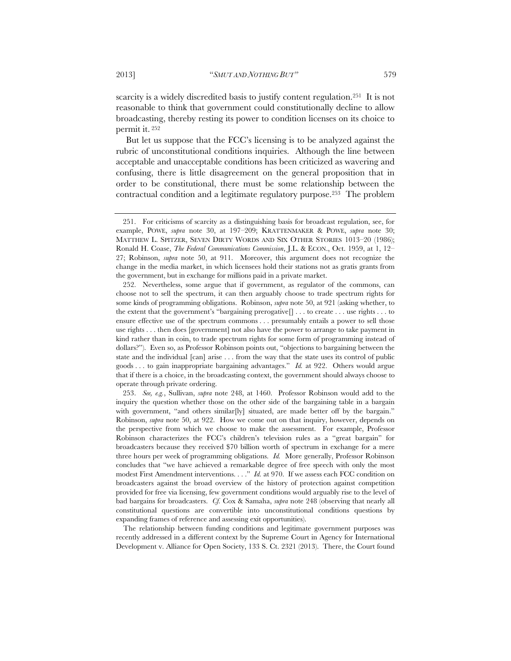scarcity is a widely discredited basis to justify content regulation.<sup>251</sup> It is not reasonable to think that government could constitutionally decline to allow broadcasting, thereby resting its power to condition licenses on its choice to permit it. 252

But let us suppose that the FCC's licensing is to be analyzed against the rubric of unconstitutional conditions inquiries. Although the line between acceptable and unacceptable conditions has been criticized as wavering and confusing, there is little disagreement on the general proposition that in order to be constitutional, there must be some relationship between the contractual condition and a legitimate regulatory purpose.253 The problem

 253. *See, e.g.*, Sullivan, *supra* note 248, at 1460. Professor Robinson would add to the inquiry the question whether those on the other side of the bargaining table in a bargain with government, "and others similar[ly] situated, are made better off by the bargain." Robinson, *supra* note 50, at 922. How we come out on that inquiry, however, depends on the perspective from which we choose to make the assessment. For example, Professor Robinson characterizes the FCC's children's television rules as a "great bargain" for broadcasters because they received \$70 billion worth of spectrum in exchange for a mere three hours per week of programming obligations. *Id.* More generally, Professor Robinson concludes that "we have achieved a remarkable degree of free speech with only the most modest First Amendment interventions. . . ." *Id.* at 970. If we assess each FCC condition on broadcasters against the broad overview of the history of protection against competition provided for free via licensing, few government conditions would arguably rise to the level of bad bargains for broadcasters. *Cf.* Cox & Samaha, *supra* note 248 (observing that nearly all constitutional questions are convertible into unconstitutional conditions questions by expanding frames of reference and assessing exit opportunities).

 The relationship between funding conditions and legitimate government purposes was recently addressed in a different context by the Supreme Court in Agency for International Development v. Alliance for Open Society, 133 S. Ct. 2321 (2013). There, the Court found

 <sup>251.</sup> For criticisms of scarcity as a distinguishing basis for broadcast regulation, see, for example, POWE, *supra* note 30, at 197–209; KRATTENMAKER & POWE, *supra* note 30; MATTHEW L. SPITZER, SEVEN DIRTY WORDS AND SIX OTHER STORIES 1013–20 (1986); Ronald H. Coase, *The Federal Communications Commission*, J.L. & ECON., Oct. 1959, at 1, 12– 27; Robinson, *supra* note 50, at 911. Moreover, this argument does not recognize the change in the media market, in which licensees hold their stations not as gratis grants from the government, but in exchange for millions paid in a private market.

 <sup>252.</sup> Nevertheless, some argue that if government, as regulator of the commons, can choose not to sell the spectrum, it can then arguably choose to trade spectrum rights for some kinds of programming obligations. Robinson, *supra* note 50, at 921 (asking whether, to the extent that the government's "bargaining prerogative[] . . . to create . . . use rights . . . to ensure effective use of the spectrum commons . . . presumably entails a power to sell those use rights . . . then does [government] not also have the power to arrange to take payment in kind rather than in coin, to trade spectrum rights for some form of programming instead of dollars?"). Even so, as Professor Robinson points out, "objections to bargaining between the state and the individual [can] arise . . . from the way that the state uses its control of public goods . . . to gain inappropriate bargaining advantages." *Id.* at 922. Others would argue that if there is a choice, in the broadcasting context, the government should always choose to operate through private ordering.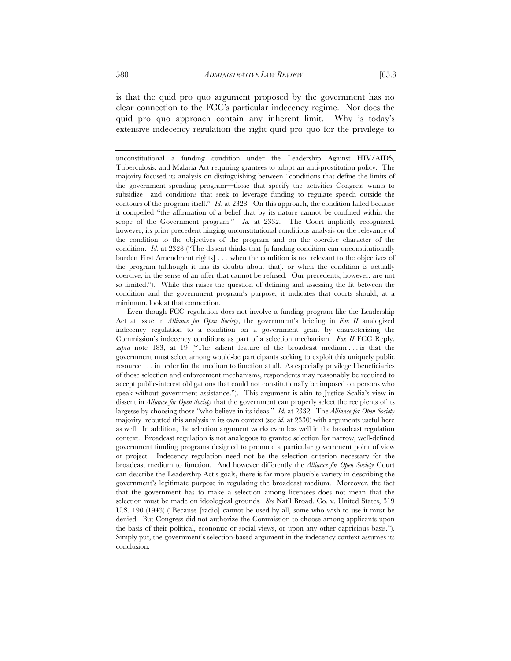is that the quid pro quo argument proposed by the government has no clear connection to the FCC's particular indecency regime. Nor does the quid pro quo approach contain any inherent limit. Why is today's extensive indecency regulation the right quid pro quo for the privilege to

unconstitutional a funding condition under the Leadership Against HIV/AIDS, Tuberculosis, and Malaria Act requiring grantees to adopt an anti-prostitution policy. The majority focused its analysis on distinguishing between "conditions that define the limits of the government spending program—those that specify the activities Congress wants to subsidize—and conditions that seek to leverage funding to regulate speech outside the contours of the program itself." *Id.* at 2328. On this approach, the condition failed because it compelled "the affirmation of a belief that by its nature cannot be confined within the scope of the Government program." *Id.* at 2332. The Court implicitly recognized, however, its prior precedent hinging unconstitutional conditions analysis on the relevance of the condition to the objectives of the program and on the coercive character of the condition. *Id.* at 2328 ("The dissent thinks that [a funding condition can unconstitutionally burden First Amendment rights] . . . when the condition is not relevant to the objectives of the program (although it has its doubts about that), or when the condition is actually coercive, in the sense of an offer that cannot be refused. Our precedents, however, are not so limited."). While this raises the question of defining and assessing the fit between the condition and the government program's purpose, it indicates that courts should, at a minimum, look at that connection.

Even though FCC regulation does not involve a funding program like the Leadership Act at issue in *Alliance for Open Society*, the government's briefing in *Fox II* analogized indecency regulation to a condition on a government grant by characterizing the Commission's indecency conditions as part of a selection mechanism. *Fox II* FCC Reply, supra note 183, at 19 ("The salient feature of the broadcast medium ... is that the government must select among would-be participants seeking to exploit this uniquely public resource . . . in order for the medium to function at all. As especially privileged beneficiaries of those selection and enforcement mechanisms, respondents may reasonably be required to accept public-interest obligations that could not constitutionally be imposed on persons who speak without government assistance."). This argument is akin to Justice Scalia's view in dissent in *Alliance for Open Society* that the government can properly select the recipients of its largesse by choosing those "who believe in its ideas." *Id.* at 2332. The *Alliance for Open Society* majority rebutted this analysis in its own context (see *id.* at 2330) with arguments useful here as well. In addition, the selection argument works even less well in the broadcast regulation context. Broadcast regulation is not analogous to grantee selection for narrow, well-defined government funding programs designed to promote a particular government point of view or project. Indecency regulation need not be the selection criterion necessary for the broadcast medium to function. And however differently the *Alliance for Open Society* Court can describe the Leadership Act's goals, there is far more plausible variety in describing the government's legitimate purpose in regulating the broadcast medium. Moreover, the fact that the government has to make a selection among licensees does not mean that the selection must be made on ideological grounds. *See* Nat'l Broad. Co. v. United States, 319 U.S. 190 (1943) ("Because [radio] cannot be used by all, some who wish to use it must be denied. But Congress did not authorize the Commission to choose among applicants upon the basis of their political, economic or social views, or upon any other capricious basis."). Simply put, the government's selection-based argument in the indecency context assumes its conclusion.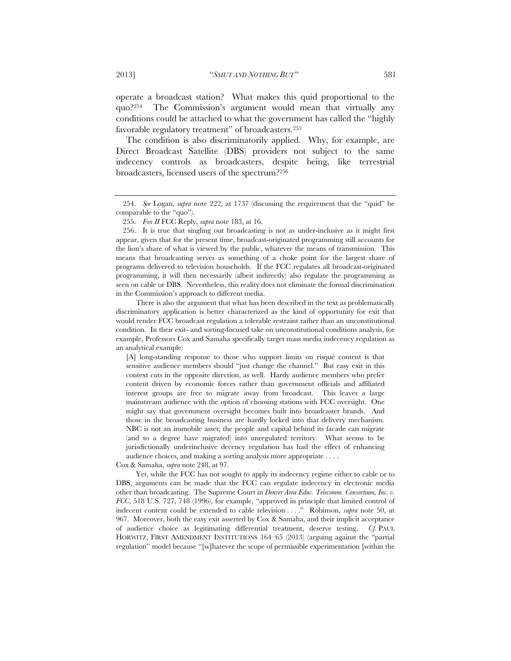operate a broadcast station? What makes this quid proportional to the quo?<sup>254</sup> The Commission's argument would mean that virtually any conditions could be attached to what the government has called the "highly favorable regulatory treatment" of broadcasters.255

The condition is also discriminatorily applied. Why, for example, are Direct Broadcast Satellite (DBS) providers not subject to the same indecency controls as broadcasters, despite being, like terrestrial broadcasters, licensed users of the spectrum?256

There is also the argument that what has been described in the text as problematically discriminatory application is better characterized as the kind of opportunity for exit that would render FCC broadcast regulation a tolerable restraint rather than an unconstitutional condition. In their exit- and sorting-focused take on unconstitutional conditions analysis, for example, Professors Cox and Samaha specifically target mass media indecency regulation as an analytical example:

[A] long-standing response to those who support limits on risqué content is that sensitive audience members should "just change the channel." But easy exit in this context cuts in the opposite direction, as well. Hardy audience members who prefer content driven by economic forces rather than government officials and affiliated interest groups are free to migrate away from broadcast. This leaves a large mainstream audience with the option of choosing stations with FCC oversight. One might say that government oversight becomes built into broadcaster brands. And those in the broadcasting business are hardly locked into that delivery mechanism. NBC is not an immobile asset; the people and capital behind its facade can migrate (and to a degree have migrated) into unregulated territory. What seems to be jurisdictionally underinclusive decency regulation has had the effect of enhancing audience choices, and making a sorting analysis more appropriate . . . .

Cox & Samaha, *supra* note 248, at 97.

Yet, while the FCC has not sought to apply its indecency regime either to cable or to DBS, arguments can be made that the FCC can regulate indecency in electronic media other than broadcasting. The Supreme Court in *Denver Area Educ. Telecomm. Consortium, Inc. v. FCC*, 518 U.S. 727, 748 (1996), for example, "approved in principle that limited control of indecent content could be extended to cable television . . . ." Robinson, *supra* note 50, at 967. Moreover, both the easy exit asserted by Cox & Samaha, and their implicit acceptance of audience choice as legitimating differential treatment, deserve testing. *Cf.* PAUL HORWITZ, FIRST AMENDMENT INSTITUTIONS 164–65 (2013) (arguing against the "partial regulation" model because "[w]hatever the scope of permissible experimentation [within the

 <sup>254.</sup> *See* Logan, *supra* note 222, at 1737 (discussing the requirement that the "quid" be comparable to the "quo").

 <sup>255.</sup> *Fox II* FCC Reply, *supra* note 183, at 16.

 <sup>256.</sup> It is true that singling out broadcasting is not as under-inclusive as it might first appear, given that for the present time, broadcast-originated programming still accounts for the lion's share of what is viewed by the public, whatever the means of transmission. This means that broadcasting serves as something of a choke point for the largest share of programs delivered to television households. If the FCC regulates all broadcast-originated programming, it will then necessarily (albeit indirectly) also regulate the programming as seen on cable or DBS. Nevertheless, this reality does not eliminate the formal discrimination in the Commission's approach to different media.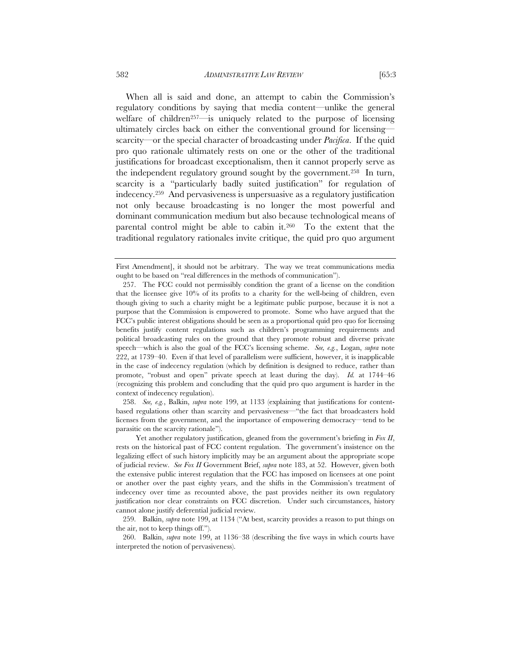When all is said and done, an attempt to cabin the Commission's regulatory conditions by saying that media content—unlike the general welfare of children<sup>257—is</sup> uniquely related to the purpose of licensing ultimately circles back on either the conventional ground for licensing scarcity—or the special character of broadcasting under *Pacifica*. If the quid pro quo rationale ultimately rests on one or the other of the traditional justifications for broadcast exceptionalism, then it cannot properly serve as

the independent regulatory ground sought by the government.258 In turn, scarcity is a "particularly badly suited justification" for regulation of indecency.259 And pervasiveness is unpersuasive as a regulatory justification not only because broadcasting is no longer the most powerful and dominant communication medium but also because technological means of parental control might be able to cabin it.260 To the extent that the traditional regulatory rationales invite critique, the quid pro quo argument

 258. *See, e.g.*, Balkin, *supra* note 199, at 1133 (explaining that justifications for contentbased regulations other than scarcity and pervasiveness—"the fact that broadcasters hold licenses from the government, and the importance of empowering democracy—tend to be parasitic on the scarcity rationale").

Yet another regulatory justification, gleaned from the government's briefing in *Fox II*, rests on the historical past of FCC content regulation. The government's insistence on the legalizing effect of such history implicitly may be an argument about the appropriate scope of judicial review. *See Fox II* Government Brief, *supra* note 183, at 52. However, given both the extensive public interest regulation that the FCC has imposed on licensees at one point or another over the past eighty years, and the shifts in the Commission's treatment of indecency over time as recounted above, the past provides neither its own regulatory justification nor clear constraints on FCC discretion. Under such circumstances, history cannot alone justify deferential judicial review.

 259. Balkin, *supra* note 199, at 1134 ("At best, scarcity provides a reason to put things on the air, not to keep things off.").

 260. Balkin, *supra* note 199, at 1136–38 (describing the five ways in which courts have interpreted the notion of pervasiveness).

First Amendment], it should not be arbitrary. The way we treat communications media ought to be based on "real differences in the methods of communication").

 <sup>257.</sup> The FCC could not permissibly condition the grant of a license on the condition that the licensee give 10% of its profits to a charity for the well-being of children, even though giving to such a charity might be a legitimate public purpose, because it is not a purpose that the Commission is empowered to promote. Some who have argued that the FCC's public interest obligations should be seen as a proportional quid pro quo for licensing benefits justify content regulations such as children's programming requirements and political broadcasting rules on the ground that they promote robust and diverse private speech—which is also the goal of the FCC's licensing scheme. *See, e.g.*, Logan, *supra* note 222, at 1739–40. Even if that level of parallelism were sufficient, however, it is inapplicable in the case of indecency regulation (which by definition is designed to reduce, rather than promote, "robust and open" private speech at least during the day). *Id.* at 1744–46 (recognizing this problem and concluding that the quid pro quo argument is harder in the context of indecency regulation).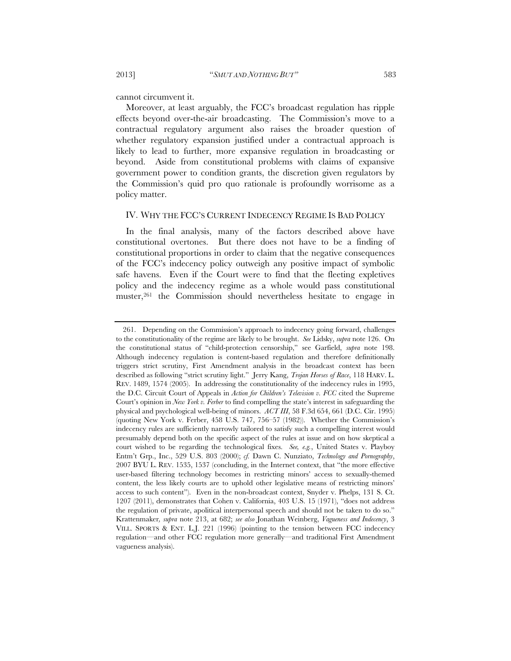cannot circumvent it.

Moreover, at least arguably, the FCC's broadcast regulation has ripple effects beyond over-the-air broadcasting. The Commission's move to a contractual regulatory argument also raises the broader question of whether regulatory expansion justified under a contractual approach is likely to lead to further, more expansive regulation in broadcasting or beyond. Aside from constitutional problems with claims of expansive government power to condition grants, the discretion given regulators by the Commission's quid pro quo rationale is profoundly worrisome as a policy matter.

## IV. WHY THE FCC'S CURRENT INDECENCY REGIME IS BAD POLICY

In the final analysis, many of the factors described above have constitutional overtones. But there does not have to be a finding of constitutional proportions in order to claim that the negative consequences of the FCC's indecency policy outweigh any positive impact of symbolic safe havens. Even if the Court were to find that the fleeting expletives policy and the indecency regime as a whole would pass constitutional muster,261 the Commission should nevertheless hesitate to engage in

 <sup>261.</sup> Depending on the Commission's approach to indecency going forward, challenges to the constitutionality of the regime are likely to be brought. *See* Lidsky, *supra* note 126. On the constitutional status of "child-protection censorship," see Garfield, *supra* note 198. Although indecency regulation is content-based regulation and therefore definitionally triggers strict scrutiny, First Amendment analysis in the broadcast context has been described as following "strict scrutiny light." Jerry Kang, *Trojan Horses of Race*, 118 HARV. L. REV. 1489, 1574 (2005). In addressing the constitutionality of the indecency rules in 1995, the D.C. Circuit Court of Appeals in *Action for Children's Television v. FCC* cited the Supreme Court's opinion in *New York v. Ferber* to find compelling the state's interest in safeguarding the physical and psychological well-being of minors. *ACT III*, 58 F.3d 654, 661 (D.C. Cir. 1995) (quoting New York v. Ferber, 458 U.S. 747, 756–57 (1982)). Whether the Commission's indecency rules are sufficiently narrowly tailored to satisfy such a compelling interest would presumably depend both on the specific aspect of the rules at issue and on how skeptical a court wished to be regarding the technological fixes. *See, e.g.*, United States v. Playboy Entm't Grp., Inc., 529 U.S. 803 (2000); *cf.* Dawn C. Nunziato, *Technology and Pornography*, 2007 BYU L. REV. 1535, 1537 (concluding, in the Internet context, that "the more effective user-based filtering technology becomes in restricting minors' access to sexually-themed content, the less likely courts are to uphold other legislative means of restricting minors' access to such content"). Even in the non-broadcast context, Snyder v. Phelps, 131 S. Ct. 1207 (2011), demonstrates that Cohen v. California, 403 U.S. 15 (1971), "does not address the regulation of private, apolitical interpersonal speech and should not be taken to do so." Krattenmaker*, supra* note 213, at 682; *see also* Jonathan Weinberg, *Vagueness and Indecency*, 3 VILL. SPORTS & ENT. L.J. 221 (1996) (pointing to the tension between FCC indecency regulation—and other FCC regulation more generally—and traditional First Amendment vagueness analysis).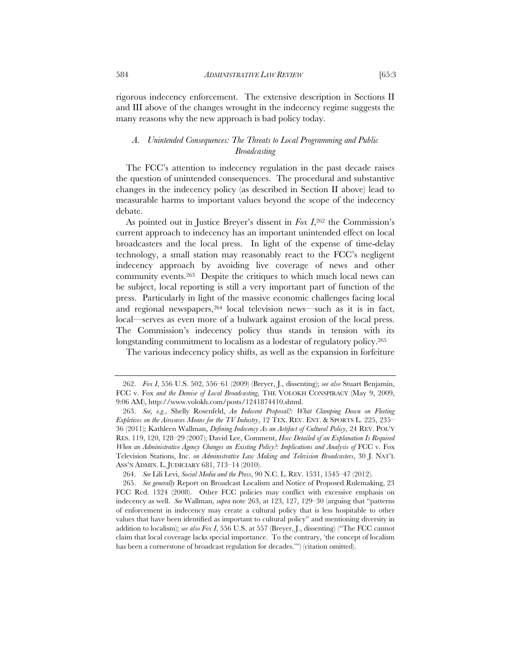rigorous indecency enforcement. The extensive description in Sections II and III above of the changes wrought in the indecency regime suggests the many reasons why the new approach is bad policy today.

# *A. Unintended Consequences: The Threats to Local Programming and Public Broadcasting*

The FCC's attention to indecency regulation in the past decade raises the question of unintended consequences. The procedural and substantive changes in the indecency policy (as described in Section II above) lead to measurable harms to important values beyond the scope of the indecency debate.

As pointed out in Justice Breyer's dissent in *Fox I*,262 the Commission's current approach to indecency has an important unintended effect on local broadcasters and the local press. In light of the expense of time-delay technology, a small station may reasonably react to the FCC's negligent indecency approach by avoiding live coverage of news and other community events.263 Despite the critiques to which much local news can be subject, local reporting is still a very important part of function of the press. Particularly in light of the massive economic challenges facing local and regional newspapers, 264 local television news—such as it is in fact, local—serves as even more of a bulwark against erosion of the local press. The Commission's indecency policy thus stands in tension with its longstanding commitment to localism as a lodestar of regulatory policy.265

The various indecency policy shifts, as well as the expansion in forfeiture

264. *See* Lili Levi, *Social Media and the Press*, 90 N.C. L. REV. 1531, 1545–47 (2012).

 <sup>262.</sup> *Fox I*, 556 U.S. 502, 556–61 (2009) (Breyer, J., dissenting); *see also* Stuart Benjamin, FCC v. Fox *and the Demise of Local Broadcasting*, THE VOLOKH CONSPIRACY (May 9, 2009, 9:06 AM), http://www.volokh.com/posts/1241874410.shtml.

 <sup>263.</sup> *See, e.g.*, Shelly Rosenfeld, *An Indecent Proposal?: What Clamping Down on Fleeting Expletives on the Airwaves Means for the TV Industry*, 12 TEX. REV. ENT. & SPORTS L. 225, 235– 36 (2011); Kathleen Wallman, *Defining Indecency As an Artifact of Cultural Policy*, 24 REV. POL'Y RES. 119, 120, 128–29 (2007); David Lee, Comment, *How Detailed of an Explanation Is Required When an Administrative Agency Changes an Existing Policy?: Implications and Analysis of FCC v. Fox* Television Stations, Inc. *on Administrative Law Making and Television Broadcasters*, 30 J. NAT'L ASS'N ADMIN. L. JUDICIARY 681, 713–14 (2010).

 <sup>265.</sup> *See generally* Report on Broadcast Localism and Notice of Proposed Rulemaking, 23 FCC Rcd. 1324 (2008). Other FCC policies may conflict with excessive emphasis on indecency as well. *See* Wallman, *supra* note 263, at 123, 127, 129–30 (arguing that "patterns of enforcement in indecency may create a cultural policy that is less hospitable to other values that have been identified as important to cultural policy" and mentioning diversity in addition to localism); *see also Fox I*, 556 U.S. at 557 (Breyer, J., dissenting) ("The FCC cannot claim that local coverage lacks special importance. To the contrary, 'the concept of localism has been a cornerstone of broadcast regulation for decades.'") (citation omitted).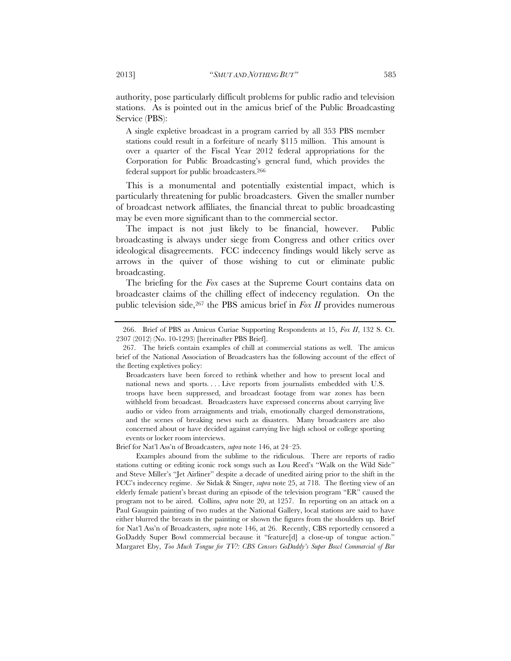authority, pose particularly difficult problems for public radio and television stations. As is pointed out in the amicus brief of the Public Broadcasting Service (PBS):

A single expletive broadcast in a program carried by all 353 PBS member stations could result in a forfeiture of nearly \$115 million. This amount is over a quarter of the Fiscal Year 2012 federal appropriations for the Corporation for Public Broadcasting's general fund, which provides the federal support for public broadcasters.266

This is a monumental and potentially existential impact, which is particularly threatening for public broadcasters. Given the smaller number of broadcast network affiliates, the financial threat to public broadcasting may be even more significant than to the commercial sector.

The impact is not just likely to be financial, however. Public broadcasting is always under siege from Congress and other critics over ideological disagreements. FCC indecency findings would likely serve as arrows in the quiver of those wishing to cut or eliminate public broadcasting.

The briefing for the *Fox* cases at the Supreme Court contains data on broadcaster claims of the chilling effect of indecency regulation. On the public television side,267 the PBS amicus brief in *Fox II* provides numerous

Brief for Nat'l Ass'n of Broadcasters, *supra* note 146, at 24–25.

Examples abound from the sublime to the ridiculous. There are reports of radio stations cutting or editing iconic rock songs such as Lou Reed's "Walk on the Wild Side" and Steve Miller's "Jet Airliner" despite a decade of unedited airing prior to the shift in the FCC's indecency regime. *See* Sidak & Singer, *supra* note 25, at 718. The fleeting view of an elderly female patient's breast during an episode of the television program "ER" caused the program not to be aired. Collins, *supra* note 20, at 1257. In reporting on an attack on a Paul Gauguin painting of two nudes at the National Gallery, local stations are said to have either blurred the breasts in the painting or shown the figures from the shoulders up. Brief for Nat'l Ass'n of Broadcasters, *supra* note 146, at 26. Recently, CBS reportedly censored a GoDaddy Super Bowl commercial because it "feature[d] a close-up of tongue action." Margaret Eby, *Too Much Tongue for TV?: CBS Censors GoDaddy's Super Bowl Commercial of Bar* 

 <sup>266.</sup> Brief of PBS as Amicus Curiae Supporting Respondents at 15, *Fox II*, 132 S. Ct. 2307 (2012) (No. 10-1293) [hereinafter PBS Brief].

 <sup>267.</sup> The briefs contain examples of chill at commercial stations as well. The amicus brief of the National Association of Broadcasters has the following account of the effect of the fleeting expletives policy:

Broadcasters have been forced to rethink whether and how to present local and national news and sports. . . . Live reports from journalists embedded with U.S. troops have been suppressed, and broadcast footage from war zones has been withheld from broadcast. Broadcasters have expressed concerns about carrying live audio or video from arraignments and trials, emotionally charged demonstrations, and the scenes of breaking news such as disasters. Many broadcasters are also concerned about or have decided against carrying live high school or college sporting events or locker room interviews.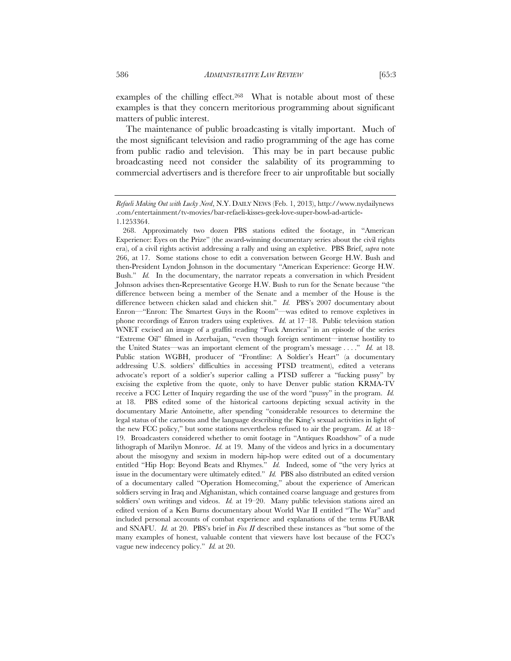examples of the chilling effect.268 What is notable about most of these examples is that they concern meritorious programming about significant matters of public interest.

The maintenance of public broadcasting is vitally important. Much of the most significant television and radio programming of the age has come from public radio and television. This may be in part because public broadcasting need not consider the salability of its programming to commercial advertisers and is therefore freer to air unprofitable but socially

*Refaeli Making Out with Lucky Nerd*, N.Y. DAILY NEWS (Feb. 1, 2013), http://www.nydailynews .com/entertainment/tv-movies/bar-refaeli-kisses-geek-love-super-bowl-ad-article-1.1253364.

 <sup>268.</sup> Approximately two dozen PBS stations edited the footage, in "American Experience: Eyes on the Prize" (the award-winning documentary series about the civil rights era), of a civil rights activist addressing a rally and using an expletive. PBS Brief, *supra* note 266, at 17. Some stations chose to edit a conversation between George H.W. Bush and then-President Lyndon Johnson in the documentary "American Experience: George H.W. Bush." *Id.* In the documentary, the narrator repeats a conversation in which President Johnson advises then-Representative George H.W. Bush to run for the Senate because "the difference between being a member of the Senate and a member of the House is the difference between chicken salad and chicken shit." *Id.* PBS's 2007 documentary about Enron—"Enron: The Smartest Guys in the Room"—was edited to remove expletives in phone recordings of Enron traders using expletives. *Id.* at 17–18. Public television station WNET excised an image of a graffiti reading "Fuck America" in an episode of the series "Extreme Oil" filmed in Azerbaijan, "even though foreign sentiment—intense hostility to the United States—was an important element of the program's message . . . ." *Id.* at 18. Public station WGBH, producer of "Frontline: A Soldier's Heart" (a documentary addressing U.S. soldiers' difficulties in accessing PTSD treatment), edited a veterans advocate's report of a soldier's superior calling a PTSD sufferer a "fucking pussy" by excising the expletive from the quote, only to have Denver public station KRMA-TV receive a FCC Letter of Inquiry regarding the use of the word "pussy" in the program. *Id.* at 18. PBS edited some of the historical cartoons depicting sexual activity in the documentary Marie Antoinette, after spending "considerable resources to determine the legal status of the cartoons and the language describing the King's sexual activities in light of the new FCC policy," but some stations nevertheless refused to air the program. *Id.* at 18– 19. Broadcasters considered whether to omit footage in "Antiques Roadshow" of a nude lithograph of Marilyn Monroe. *Id.* at 19. Many of the videos and lyrics in a documentary about the misogyny and sexism in modern hip-hop were edited out of a documentary entitled "Hip Hop: Beyond Beats and Rhymes." *Id.* Indeed, some of "the very lyrics at issue in the documentary were ultimately edited." *Id.* PBS also distributed an edited version of a documentary called "Operation Homecoming," about the experience of American soldiers serving in Iraq and Afghanistan, which contained coarse language and gestures from soldiers' own writings and videos. *Id.* at 19–20. Many public television stations aired an edited version of a Ken Burns documentary about World War II entitled "The War" and included personal accounts of combat experience and explanations of the terms FUBAR and SNAFU. *Id.* at 20. PBS's brief in *Fox II* described these instances as "but some of the many examples of honest, valuable content that viewers have lost because of the FCC's vague new indecency policy." *Id.* at 20.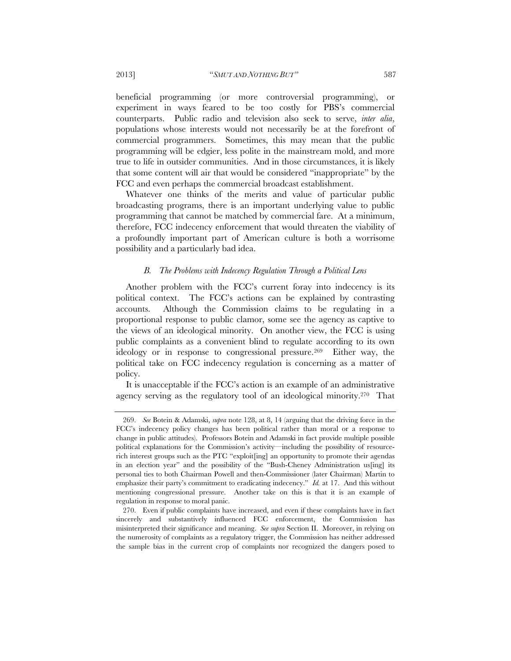beneficial programming (or more controversial programming), or experiment in ways feared to be too costly for PBS's commercial counterparts. Public radio and television also seek to serve, *inter alia*, populations whose interests would not necessarily be at the forefront of commercial programmers. Sometimes, this may mean that the public programming will be edgier, less polite in the mainstream mold, and more true to life in outsider communities. And in those circumstances, it is likely that some content will air that would be considered "inappropriate" by the FCC and even perhaps the commercial broadcast establishment.

Whatever one thinks of the merits and value of particular public broadcasting programs, there is an important underlying value to public programming that cannot be matched by commercial fare. At a minimum, therefore, FCC indecency enforcement that would threaten the viability of a profoundly important part of American culture is both a worrisome possibility and a particularly bad idea.

#### *B. The Problems with Indecency Regulation Through a Political Lens*

Another problem with the FCC's current foray into indecency is its political context. The FCC's actions can be explained by contrasting accounts. Although the Commission claims to be regulating in a proportional response to public clamor, some see the agency as captive to the views of an ideological minority. On another view, the FCC is using public complaints as a convenient blind to regulate according to its own ideology or in response to congressional pressure.269 Either way, the political take on FCC indecency regulation is concerning as a matter of policy.

It is unacceptable if the FCC's action is an example of an administrative agency serving as the regulatory tool of an ideological minority.270 That

 <sup>269.</sup> *See* Botein & Adamski, *supra* note 128, at 8, 14 (arguing that the driving force in the FCC's indecency policy changes has been political rather than moral or a response to change in public attitudes). Professors Botein and Adamski in fact provide multiple possible political explanations for the Commission's activity—including the possibility of resourcerich interest groups such as the PTC "exploit[ing] an opportunity to promote their agendas in an election year" and the possibility of the "Bush-Cheney Administration us[ing] its personal ties to both Chairman Powell and then-Commissioner (later Chairman) Martin to emphasize their party's commitment to eradicating indecency." *Id.* at 17. And this without mentioning congressional pressure. Another take on this is that it is an example of regulation in response to moral panic.

 <sup>270.</sup> Even if public complaints have increased, and even if these complaints have in fact sincerely and substantively influenced FCC enforcement, the Commission has misinterpreted their significance and meaning. *See supra* Section II. Moreover, in relying on the numerosity of complaints as a regulatory trigger, the Commission has neither addressed the sample bias in the current crop of complaints nor recognized the dangers posed to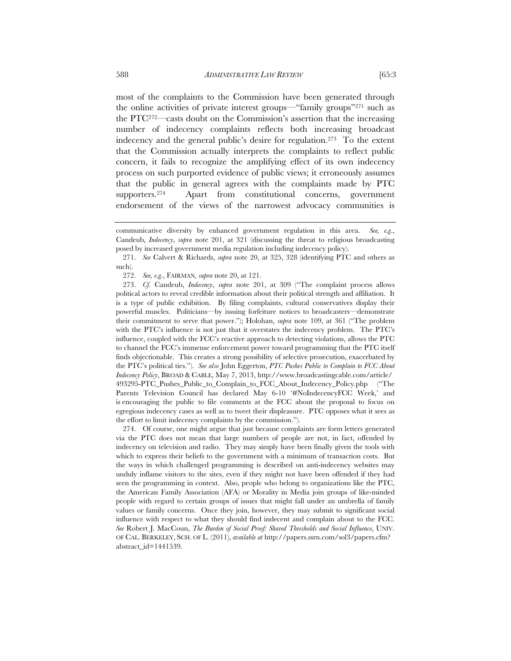most of the complaints to the Commission have been generated through the online activities of private interest groups—"family groups"271 such as the PTC272—casts doubt on the Commission's assertion that the increasing number of indecency complaints reflects both increasing broadcast indecency and the general public's desire for regulation.<sup>273</sup> To the extent that the Commission actually interprets the complaints to reflect public

concern, it fails to recognize the amplifying effect of its own indecency process on such purported evidence of public views; it erroneously assumes that the public in general agrees with the complaints made by PTC supporters.274 Apart from constitutional concerns, government endorsement of the views of the narrowest advocacy communities is

272. *See, e.g.*, FAIRMAN*, supra* note 20, at 121.

 273. *Cf.* Candeub, *Indecency*, *supra* note 201, at 309 ("The complaint process allows political actors to reveal credible information about their political strength and affiliation. It is a type of public exhibition. By filing complaints, cultural conservatives display their powerful muscles. Politicians—by issuing forfeiture notices to broadcasters—demonstrate their commitment to serve that power."); Holohan, *supra* note 109, at 361 ("The problem with the PTC's influence is not just that it overstates the indecency problem. The PTC's influence, coupled with the FCC's reactive approach to detecting violations, allows the PTC to channel the FCC's immense enforcement power toward programming that the PTC itself finds objectionable. This creates a strong possibility of selective prosecution, exacerbated by the PTC's political ties."). *See also* John Eggerton, *PTC Pushes Public to Complain to FCC About Indecency Policy*, BROAD & CABLE, May 7, 2013, http://www.broadcastingcable.com/article/ 493295-PTC\_Pushes\_Public\_to\_Complain\_to\_FCC\_About\_Indecency\_Policy.php ("The Parents Television Council has declared May 6-10 '#NoIndecencyFCC Week,' and is encouraging the public to file comments at the FCC about the proposal to focus on egregious indecency cases as well as to tweet their displeasure. PTC opposes what it sees as the effort to limit indecency complaints by the commission.").

 274. Of course, one might argue that just because complaints are form letters generated via the PTC does not mean that large numbers of people are not, in fact, offended by indecency on television and radio. They may simply have been finally given the tools with which to express their beliefs to the government with a minimum of transaction costs. But the ways in which challenged programming is described on anti-indecency websites may unduly inflame visitors to the sites, even if they might not have been offended if they had seen the programming in context. Also, people who belong to organizations like the PTC, the American Family Association (AFA) or Morality in Media join groups of like-minded people with regard to certain groups of issues that might fall under an umbrella of family values or family concerns. Once they join, however, they may submit to significant social influence with respect to what they should find indecent and complain about to the FCC. *See* Robert J. MacCoun, *The Burden of Social Proof: Shared Thresholds and Social Influence*, UNIV. OF CAL. BERKELEY, SCH. OF L. (2011), *available at* http://papers.ssrn.com/sol3/papers.cfm? abstract\_id=1441539.

communicative diversity by enhanced government regulation in this area. *See, e.g*., Candeub, *Indecency*, *supra* note 201, at 321 (discussing the threat to religious broadcasting posed by increased government media regulation including indecency policy).

 <sup>271.</sup> *See* Calvert & Richards, *supra* note 20, at 325, 328 (identifying PTC and others as such).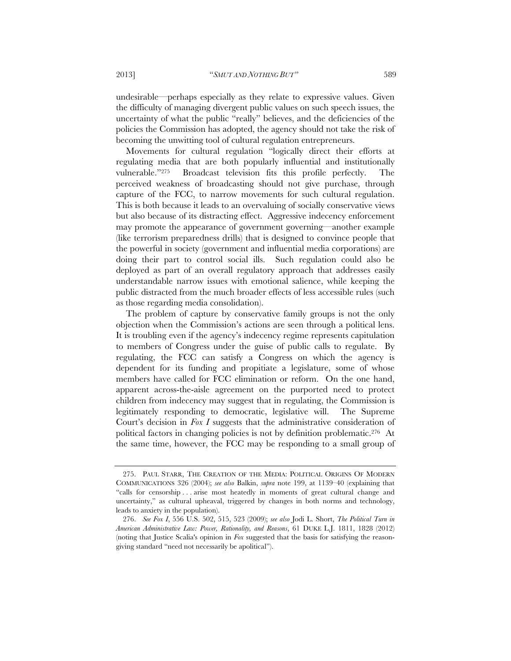undesirable—perhaps especially as they relate to expressive values. Given the difficulty of managing divergent public values on such speech issues, the uncertainty of what the public "really" believes, and the deficiencies of the policies the Commission has adopted, the agency should not take the risk of becoming the unwitting tool of cultural regulation entrepreneurs.

Movements for cultural regulation "logically direct their efforts at regulating media that are both popularly influential and institutionally vulnerable."275 Broadcast television fits this profile perfectly. The perceived weakness of broadcasting should not give purchase, through capture of the FCC, to narrow movements for such cultural regulation. This is both because it leads to an overvaluing of socially conservative views but also because of its distracting effect. Aggressive indecency enforcement may promote the appearance of government governing—another example (like terrorism preparedness drills) that is designed to convince people that the powerful in society (government and influential media corporations) are doing their part to control social ills. Such regulation could also be deployed as part of an overall regulatory approach that addresses easily understandable narrow issues with emotional salience, while keeping the public distracted from the much broader effects of less accessible rules (such as those regarding media consolidation).

The problem of capture by conservative family groups is not the only objection when the Commission's actions are seen through a political lens. It is troubling even if the agency's indecency regime represents capitulation to members of Congress under the guise of public calls to regulate. By regulating, the FCC can satisfy a Congress on which the agency is dependent for its funding and propitiate a legislature, some of whose members have called for FCC elimination or reform. On the one hand, apparent across-the-aisle agreement on the purported need to protect children from indecency may suggest that in regulating, the Commission is legitimately responding to democratic, legislative will. The Supreme Court's decision in *Fox I* suggests that the administrative consideration of political factors in changing policies is not by definition problematic.276 At the same time, however, the FCC may be responding to a small group of

 <sup>275.</sup> PAUL STARR, THE CREATION OF THE MEDIA: POLITICAL ORIGINS OF MODERN COMMUNICATIONS 326 (2004); *see also* Balkin, *supra* note 199, at 1139–40 (explaining that "calls for censorship . . . arise most heatedly in moments of great cultural change and uncertainty," as cultural upheaval, triggered by changes in both norms and technology, leads to anxiety in the population).

 <sup>276.</sup> *See Fox I*, 556 U.S. 502, 515, 523 (2009); *see also* Jodi L. Short, *The Political Turn in American Administrative Law: Power, Rationality, and Reasons*, 61 DUKE L.J. 1811, 1828 (2012) (noting that Justice Scalia's opinion in *Fox* suggested that the basis for satisfying the reasongiving standard "need not necessarily be apolitical").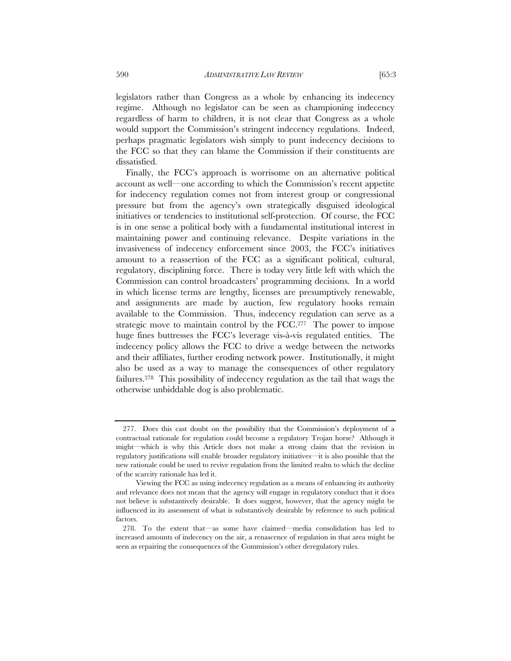legislators rather than Congress as a whole by enhancing its indecency regime. Although no legislator can be seen as championing indecency regardless of harm to children, it is not clear that Congress as a whole would support the Commission's stringent indecency regulations. Indeed, perhaps pragmatic legislators wish simply to punt indecency decisions to the FCC so that they can blame the Commission if their constituents are dissatisfied.

Finally, the FCC's approach is worrisome on an alternative political account as well—one according to which the Commission's recent appetite for indecency regulation comes not from interest group or congressional pressure but from the agency's own strategically disguised ideological initiatives or tendencies to institutional self-protection. Of course, the FCC is in one sense a political body with a fundamental institutional interest in maintaining power and continuing relevance. Despite variations in the invasiveness of indecency enforcement since 2003, the FCC's initiatives amount to a reassertion of the FCC as a significant political, cultural, regulatory, disciplining force. There is today very little left with which the Commission can control broadcasters' programming decisions. In a world in which license terms are lengthy, licenses are presumptively renewable, and assignments are made by auction, few regulatory hooks remain available to the Commission. Thus, indecency regulation can serve as a strategic move to maintain control by the FCC.<sup>277</sup> The power to impose huge fines buttresses the FCC's leverage vis-à-vis regulated entities. The indecency policy allows the FCC to drive a wedge between the networks and their affiliates, further eroding network power. Institutionally, it might also be used as a way to manage the consequences of other regulatory failures.278 This possibility of indecency regulation as the tail that wags the otherwise unbiddable dog is also problematic.

 <sup>277.</sup> Does this cast doubt on the possibility that the Commission's deployment of a contractual rationale for regulation could become a regulatory Trojan horse? Although it might—which is why this Article does not make a strong claim that the revision in regulatory justifications will enable broader regulatory initiatives—it is also possible that the new rationale could be used to revive regulation from the limited realm to which the decline of the scarcity rationale has led it.

Viewing the FCC as using indecency regulation as a means of enhancing its authority and relevance does not mean that the agency will engage in regulatory conduct that it does not believe is substantively desirable. It does suggest, however, that the agency might be influenced in its assessment of what is substantively desirable by reference to such political factors.

 <sup>278.</sup> To the extent that—as some have claimed—media consolidation has led to increased amounts of indecency on the air, a renascence of regulation in that area might be seen as repairing the consequences of the Commission's other deregulatory rules.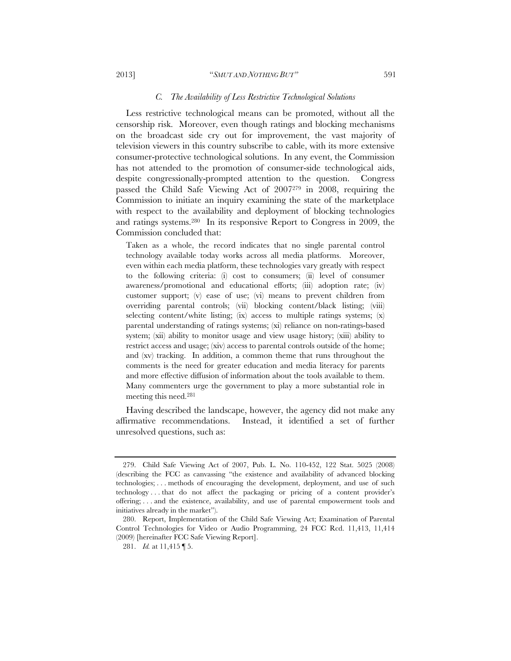#### 2013] "*SMUT AND NOTHING BUT"* 591

#### *C. The Availability of Less Restrictive Technological Solutions*

Less restrictive technological means can be promoted, without all the censorship risk. Moreover, even though ratings and blocking mechanisms on the broadcast side cry out for improvement, the vast majority of television viewers in this country subscribe to cable, with its more extensive consumer-protective technological solutions. In any event, the Commission has not attended to the promotion of consumer-side technological aids, despite congressionally-prompted attention to the question. Congress passed the Child Safe Viewing Act of 2007279 in 2008, requiring the Commission to initiate an inquiry examining the state of the marketplace with respect to the availability and deployment of blocking technologies and ratings systems.280 In its responsive Report to Congress in 2009, the Commission concluded that:

Taken as a whole, the record indicates that no single parental control technology available today works across all media platforms. Moreover, even within each media platform, these technologies vary greatly with respect to the following criteria: (i) cost to consumers; (ii) level of consumer awareness/promotional and educational efforts; (iii) adoption rate; (iv) customer support; (v) ease of use; (vi) means to prevent children from overriding parental controls; (vii) blocking content/black listing; (viii) selecting content/white listing; (ix) access to multiple ratings systems; (x) parental understanding of ratings systems; (xi) reliance on non-ratings-based system; (xii) ability to monitor usage and view usage history; (xiii) ability to restrict access and usage; (xiv) access to parental controls outside of the home; and (xv) tracking. In addition, a common theme that runs throughout the comments is the need for greater education and media literacy for parents and more effective diffusion of information about the tools available to them. Many commenters urge the government to play a more substantial role in meeting this need.281

Having described the landscape, however, the agency did not make any affirmative recommendations. Instead, it identified a set of further unresolved questions, such as:

 <sup>279.</sup> Child Safe Viewing Act of 2007, Pub. L. No. 110-452, 122 Stat. 5025 (2008) (describing the FCC as canvassing "the existence and availability of advanced blocking technologies; . . . methods of encouraging the development, deployment, and use of such technology . . . that do not affect the packaging or pricing of a content provider's offering; . . . and the existence, availability, and use of parental empowerment tools and initiatives already in the market").

 <sup>280.</sup> Report, Implementation of the Child Safe Viewing Act; Examination of Parental Control Technologies for Video or Audio Programming, 24 FCC Rcd. 11,413, 11,414 (2009) [hereinafter FCC Safe Viewing Report].

 <sup>281.</sup> *Id.* at 11,415 ¶ 5.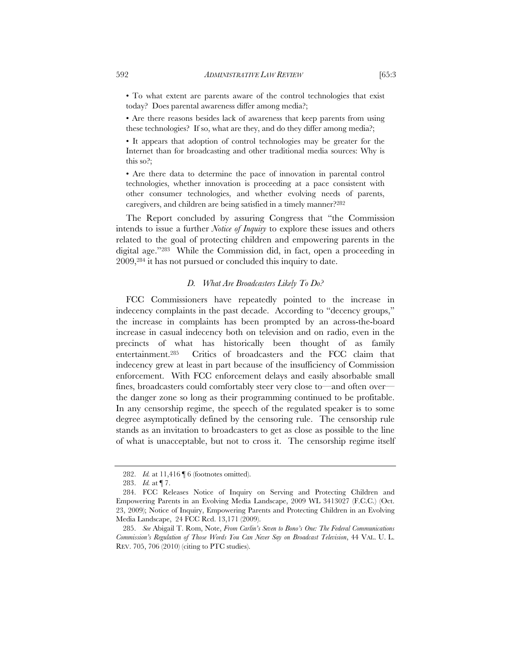• To what extent are parents aware of the control technologies that exist today? Does parental awareness differ among media?;

• Are there reasons besides lack of awareness that keep parents from using these technologies? If so, what are they, and do they differ among media?;

• It appears that adoption of control technologies may be greater for the Internet than for broadcasting and other traditional media sources: Why is this so?;

• Are there data to determine the pace of innovation in parental control technologies, whether innovation is proceeding at a pace consistent with other consumer technologies, and whether evolving needs of parents, caregivers, and children are being satisfied in a timely manner?282

The Report concluded by assuring Congress that "the Commission intends to issue a further *Notice of Inquiry* to explore these issues and others related to the goal of protecting children and empowering parents in the digital age."283 While the Commission did, in fact, open a proceeding in 2009,284 it has not pursued or concluded this inquiry to date.

#### *D. What Are Broadcasters Likely To Do?*

FCC Commissioners have repeatedly pointed to the increase in indecency complaints in the past decade. According to "decency groups," the increase in complaints has been prompted by an across-the-board increase in casual indecency both on television and on radio, even in the precincts of what has historically been thought of as family entertainment.285 Critics of broadcasters and the FCC claim that indecency grew at least in part because of the insufficiency of Commission enforcement. With FCC enforcement delays and easily absorbable small fines, broadcasters could comfortably steer very close to—and often over the danger zone so long as their programming continued to be profitable. In any censorship regime, the speech of the regulated speaker is to some degree asymptotically defined by the censoring rule. The censorship rule stands as an invitation to broadcasters to get as close as possible to the line of what is unacceptable, but not to cross it. The censorship regime itself

 <sup>282.</sup> *Id.* at 11,416 ¶ 6 (footnotes omitted).

 <sup>283.</sup> *Id.* at ¶ 7.

 <sup>284.</sup> FCC Releases Notice of Inquiry on Serving and Protecting Children and Empowering Parents in an Evolving Media Landscape, 2009 WL 3413027 (F.C.C.) (Oct. 23, 2009); Notice of Inquiry, Empowering Parents and Protecting Children in an Evolving Media Landscape, 24 FCC Rcd. 13,171 (2009).

 <sup>285.</sup> *See* Abigail T. Rom, Note, *From Carlin's Seven to Bono's One: The Federal Communications Commission's Regulation of Those Words You Can Never Say on Broadcast Television*, 44 VAL. U. L. REV. 705, 706 (2010) (citing to PTC studies).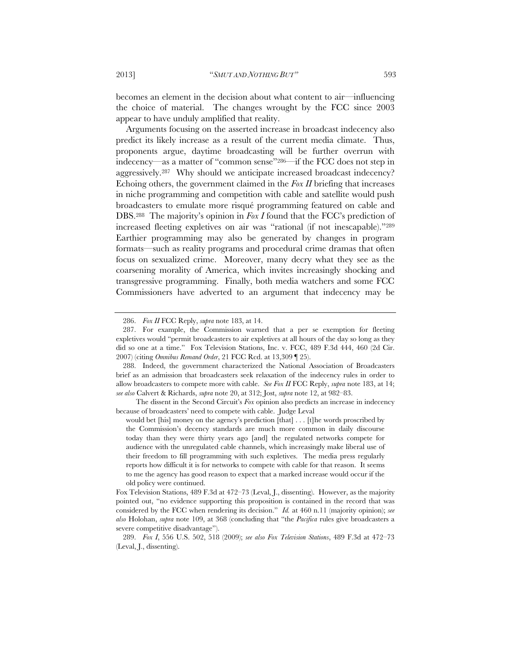becomes an element in the decision about what content to air—influencing the choice of material. The changes wrought by the FCC since 2003 appear to have unduly amplified that reality.

Arguments focusing on the asserted increase in broadcast indecency also predict its likely increase as a result of the current media climate. Thus, proponents argue, daytime broadcasting will be further overrun with indecency—as a matter of "common sense"286—if the FCC does not step in aggressively.287 Why should we anticipate increased broadcast indecency? Echoing others, the government claimed in the *Fox II* briefing that increases in niche programming and competition with cable and satellite would push broadcasters to emulate more risqué programming featured on cable and DBS.288 The majority's opinion in *Fox I* found that the FCC's prediction of increased fleeting expletives on air was "rational (if not inescapable)."289 Earthier programming may also be generated by changes in program formats—such as reality programs and procedural crime dramas that often focus on sexualized crime. Moreover, many decry what they see as the coarsening morality of America, which invites increasingly shocking and transgressive programming. Finally, both media watchers and some FCC Commissioners have adverted to an argument that indecency may be

The dissent in the Second Circuit's *Fox* opinion also predicts an increase in indecency because of broadcasters' need to compete with cable. Judge Leval

 <sup>286.</sup> *Fox II* FCC Reply, *supra* note 183, at 14.

 <sup>287.</sup> For example, the Commission warned that a per se exemption for fleeting expletives would "permit broadcasters to air expletives at all hours of the day so long as they did so one at a time." Fox Television Stations, Inc. v. FCC, 489 F.3d 444, 460 (2d Cir. 2007) (citing *Omnibus Remand Order*, 21 FCC Rcd. at 13,309 ¶ 25).

 <sup>288.</sup> Indeed, the government characterized the National Association of Broadcasters brief as an admission that broadcasters seek relaxation of the indecency rules in order to allow broadcasters to compete more with cable. *See Fox II* FCC Reply, *supra* note 183, at 14; *see also* Calvert & Richards, *supra* note 20, at 312; Jost, *supra* note 12, at 982–83.

would bet [his] money on the agency's prediction [that] . . . [t] he words proscribed by the Commission's decency standards are much more common in daily discourse today than they were thirty years ago [and] the regulated networks compete for audience with the unregulated cable channels, which increasingly make liberal use of their freedom to fill programming with such expletives. The media press regularly reports how difficult it is for networks to compete with cable for that reason. It seems to me the agency has good reason to expect that a marked increase would occur if the old policy were continued.

Fox Television Stations, 489 F.3d at 472–73 (Leval, J., dissenting). However, as the majority pointed out, "no evidence supporting this proposition is contained in the record that was considered by the FCC when rendering its decision." *Id.* at 460 n.11 (majority opinion); *see also* Holohan, *supra* note 109, at 368 (concluding that "the *Pacifica* rules give broadcasters a severe competitive disadvantage").

 <sup>289.</sup> *Fox I*, 556 U.S. 502, 518 (2009); *see also Fox Television Stations*, 489 F.3d at 472–73 (Leval, J., dissenting).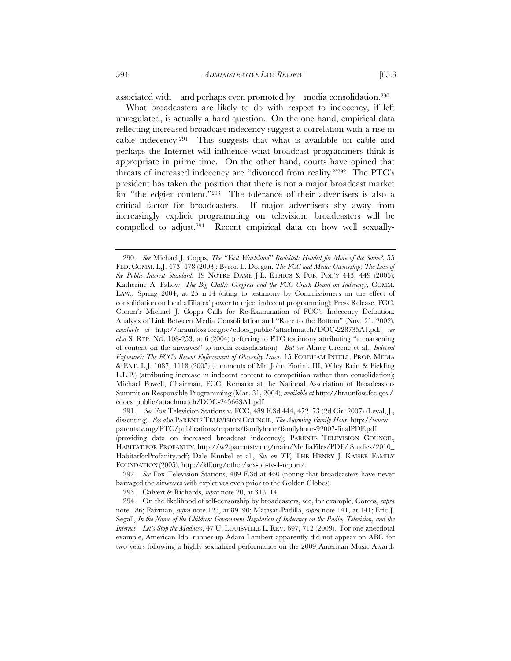associated with—and perhaps even promoted by—media consolidation.290

What broadcasters are likely to do with respect to indecency, if left unregulated, is actually a hard question. On the one hand, empirical data reflecting increased broadcast indecency suggest a correlation with a rise in cable indecency.291 This suggests that what is available on cable and perhaps the Internet will influence what broadcast programmers think is appropriate in prime time. On the other hand, courts have opined that threats of increased indecency are "divorced from reality."292 The PTC's president has taken the position that there is not a major broadcast market for "the edgier content."293 The tolerance of their advertisers is also a critical factor for broadcasters. If major advertisers shy away from increasingly explicit programming on television, broadcasters will be compelled to adjust.294 Recent empirical data on how well sexually-

 291. *See* Fox Television Stations v. FCC, 489 F.3d 444, 472–73 (2d Cir. 2007) (Leval, J., dissenting). *See also* PARENTS TELEVISION COUNCIL, *The Alarming Family Hour*, http://www. parentstv.org/PTC/publications/reports/familyhour/familyhour-92007-finalPDF.pdf (providing data on increased broadcast indecency); PARENTS TELEVISION COUNCIL, HABITAT FOR PROFANITY, http://w2.parentstv.org/main/MediaFiles/PDF/ Studies/2010\_ HabitatforProfanity.pdf; Dale Kunkel et al., *Sex on TV*, THE HENRY J. KAISER FAMILY FOUNDATION (2005), http://kff.org/other/sex-on-tv-4-report/.

 292. *See* Fox Television Stations, 489 F.3d at 460 (noting that broadcasters have never barraged the airwaves with expletives even prior to the Golden Globes).

293. Calvert & Richards, *supra* note 20, at 313–14.

 294. On the likelihood of self-censorship by broadcasters, see, for example, Corcos, *supra*  note 186; Fairman, *supra* note 123, at 89–90; Matasar-Padilla, *supra* note 141, at 141; Eric J. Segall, *In the Name of the Children: Government Regulation of Indecency on the Radio, Television, and the Internet*—*Let's Stop the Madness*, 47 U. LOUISVILLE L. REV. 697, 712 (2009). For one anecdotal example, American Idol runner-up Adam Lambert apparently did not appear on ABC for two years following a highly sexualized performance on the 2009 American Music Awards

 <sup>290.</sup> *See* Michael J. Copps, *The "Vast Wasteland" Revisited: Headed for More of the Same?*, 55 FED. COMM. L.J. 473, 478 (2003); Byron L. Dorgan, *The FCC and Media Ownership: The Loss of the Public Interest Standard*, 19 NOTRE DAME J.L. ETHICS & PUB. POL'Y 443, 449 (2005); Katherine A. Fallow, *The Big Chill?: Congress and the FCC Crack Down on Indecency*, COMM. LAW., Spring 2004, at 25 n.14 (citing to testimony by Commissioners on the effect of consolidation on local affiliates' power to reject indecent programming); Press Release, FCC, Comm'r Michael J. Copps Calls for Re-Examination of FCC's Indecency Definition, Analysis of Link Between Media Consolidation and "Race to the Bottom" (Nov. 21, 2002), *available at* http://hraunfoss.fcc.gov/edocs\_public/attachmatch/DOC-228735A1.pdf; *see also* S. REP. NO. 108-253, at 6 (2004) (referring to PTC testimony attributing "a coarsening of content on the airwaves" to media consolidation). *But see* Abner Greene et al., *Indecent Exposure?: The FCC's Recent Enforcement of Obscenity Laws*, 15 FORDHAM INTELL. PROP. MEDIA & ENT. L.J. 1087, 1118 (2005) (comments of Mr. John Fiorini, III, Wiley Rein & Fielding L.L.P.) (attributing increase in indecent content to competition rather than consolidation); Michael Powell, Chairman, FCC, Remarks at the National Association of Broadcasters Summit on Responsible Programming (Mar. 31, 2004), *available at* http://hraunfoss.fcc.gov/ edocs\_public/attachmatch/DOC-245663A1.pdf.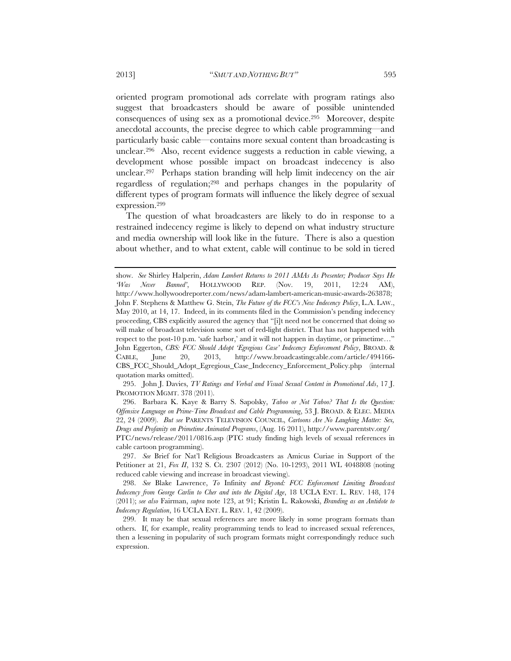oriented program promotional ads correlate with program ratings also suggest that broadcasters should be aware of possible unintended consequences of using sex as a promotional device.295 Moreover, despite anecdotal accounts, the precise degree to which cable programming—and particularly basic cable—contains more sexual content than broadcasting is unclear.296 Also, recent evidence suggests a reduction in cable viewing, a development whose possible impact on broadcast indecency is also

unclear.297 Perhaps station branding will help limit indecency on the air regardless of regulation;298 and perhaps changes in the popularity of different types of program formats will influence the likely degree of sexual expression.299

The question of what broadcasters are likely to do in response to a restrained indecency regime is likely to depend on what industry structure and media ownership will look like in the future. There is also a question about whether, and to what extent, cable will continue to be sold in tiered

 295. John J. Davies, *TV Ratings and Verbal and Visual Sexual Content in Promotional Ads*, 17 J. PROMOTION MGMT. 378 (2011).

 296. Barbara K. Kaye & Barry S. Sapolsky, *Taboo or Not Taboo? That Is the Question: Offensive Language on Prime-Time Broadcast and Cable Programming*, 53 J. BROAD. & ELEC. MEDIA 22, 24 (2009). *But see* PARENTS TELEVISION COUNCIL, *Cartoons Are No Laughing Matter: Sex, Drugs and Profanity on Primetime Animated Programs*, (Aug. 16 2011), http://www.parentstv.org/ PTC/news/release/2011/0816.asp (PTC study finding high levels of sexual references in cable cartoon programming).

 297. *See* Brief for Nat'l Religious Broadcasters as Amicus Curiae in Support of the Petitioner at 21, *Fox II*, 132 S. Ct. 2307 (2012) (No. 10-1293), 2011 WL 4048808 (noting reduced cable viewing and increase in broadcast viewing).

 298. *See* Blake Lawrence, *To* Infinity *and Beyond: FCC Enforcement Limiting Broadcast Indecency from George Carlin to Cher and into the Digital Age*, 18 UCLA ENT. L. REV. 148, 174 (2011); *see also* Fairman, *supra* note 123, at 91; Kristin L. Rakowski, *Branding as an Antidote to Indecency Regulation*, 16 UCLA ENT. L. REV. 1, 42 (2009).

 299. It may be that sexual references are more likely in some program formats than others. If, for example, reality programming tends to lead to increased sexual references, then a lessening in popularity of such program formats might correspondingly reduce such expression.

show. *See* Shirley Halperin, *Adam Lambert Returns to 2011 AMAs As Presenter; Producer Says He 'Was Never Banned'*, HOLLYWOOD REP. (Nov. 19, 2011, 12:24 AM), http://www.hollywoodreporter.com/news/adam-lambert-american-music-awards-263878; John F. Stephens & Matthew G. Stein, *The Future of the FCC's New Indecency Policy*, L.A. LAW., May 2010, at 14, 17. Indeed, in its comments filed in the Commission's pending indecency proceeding, CBS explicitly assured the agency that "[i]t need not be concerned that doing so will make of broadcast television some sort of red-light district. That has not happened with respect to the post-10 p.m. 'safe harbor,' and it will not happen in daytime, or primetime…" John Eggerton, *CBS: FCC Should Adopt 'Egregious Case' Indecency Enforcement Policy*, BROAD. & CABLE, June 20, 2013, http://www.broadcastingcable.com/article/494166- CBS\_FCC\_Should\_Adopt\_Egregious\_Case\_Indecency\_Enforcement\_Policy.php (internal quotation marks omitted).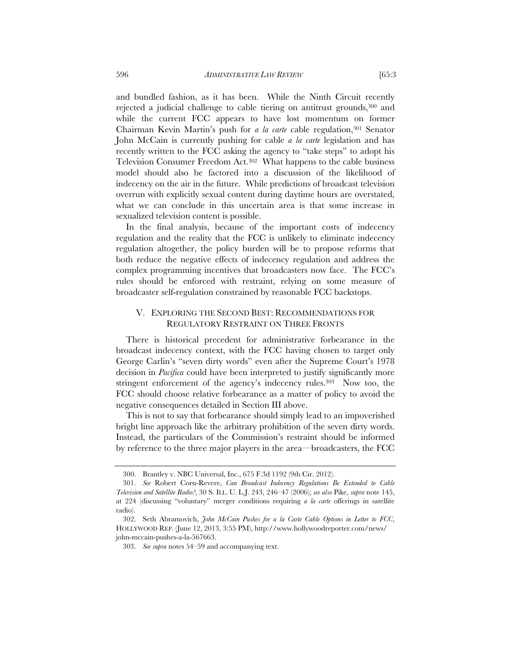and bundled fashion, as it has been. While the Ninth Circuit recently rejected a judicial challenge to cable tiering on antitrust grounds,300 and while the current FCC appears to have lost momentum on former Chairman Kevin Martin's push for *a la carte* cable regulation,301 Senator John McCain is currently pushing for cable *a la carte* legislation and has recently written to the FCC asking the agency to "take steps" to adopt his Television Consumer Freedom Act.302 What happens to the cable business model should also be factored into a discussion of the likelihood of indecency on the air in the future. While predictions of broadcast television overrun with explicitly sexual content during daytime hours are overstated, what we can conclude in this uncertain area is that some increase in sexualized television content is possible.

In the final analysis, because of the important costs of indecency regulation and the reality that the FCC is unlikely to eliminate indecency regulation altogether, the policy burden will be to propose reforms that both reduce the negative effects of indecency regulation and address the complex programming incentives that broadcasters now face. The FCC's rules should be enforced with restraint, relying on some measure of broadcaster self-regulation constrained by reasonable FCC backstops.

# V. EXPLORING THE SECOND BEST: RECOMMENDATIONS FOR REGULATORY RESTRAINT ON THREE FRONTS

There is historical precedent for administrative forbearance in the broadcast indecency context, with the FCC having chosen to target only George Carlin's "seven dirty words" even after the Supreme Court's 1978 decision in *Pacifica* could have been interpreted to justify significantly more stringent enforcement of the agency's indecency rules.<sup>303</sup> Now too, the FCC should choose relative forbearance as a matter of policy to avoid the negative consequences detailed in Section III above.

This is not to say that forbearance should simply lead to an impoverished bright line approach like the arbitrary prohibition of the seven dirty words. Instead, the particulars of the Commission's restraint should be informed by reference to the three major players in the area—broadcasters, the FCC

 <sup>300.</sup> Brantley v. NBC Universal, Inc., 675 F.3d 1192 (9th Cir. 2012).

 <sup>301.</sup> *See* Robert Corn-Revere, *Can Broadcast Indecency Regulations Be Extended to Cable Television and Satellite Radio?*, 30 S. ILL. U. L.J. 243, 246–47 (2006); *see also* Pike, *supra* note 145, at 224 (discussing "voluntary" merger conditions requiring *a la carte* offerings in satellite radio).

 <sup>302.</sup> Seth Abramovich, *John McCain Pushes for a la Carte Cable Options in Letter to FCC*, HOLLYWOOD REP. (June 12, 2013, 3:55 PM), http://www.hollywoodreporter.com/news/ john-mccain-pushes-a-la-567663.

 <sup>303.</sup> *See supra* notes 54–59 and accompanying text.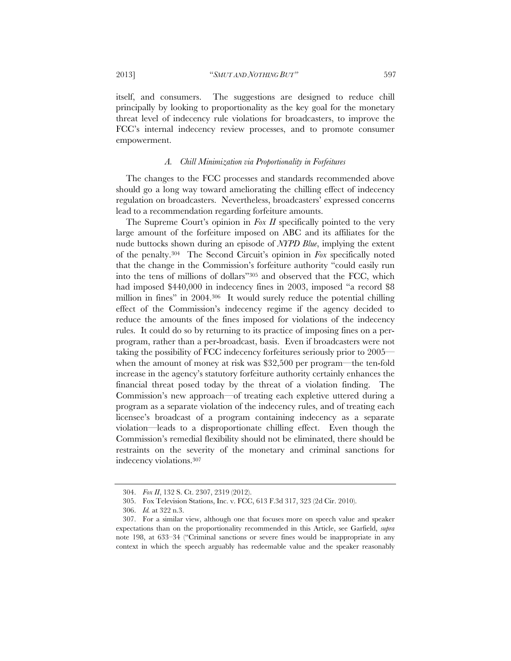itself, and consumers. The suggestions are designed to reduce chill principally by looking to proportionality as the key goal for the monetary threat level of indecency rule violations for broadcasters, to improve the FCC's internal indecency review processes, and to promote consumer empowerment.

### *A. Chill Minimization via Proportionality in Forfeitures*

The changes to the FCC processes and standards recommended above should go a long way toward ameliorating the chilling effect of indecency regulation on broadcasters. Nevertheless, broadcasters' expressed concerns lead to a recommendation regarding forfeiture amounts.

The Supreme Court's opinion in *Fox II* specifically pointed to the very large amount of the forfeiture imposed on ABC and its affiliates for the nude buttocks shown during an episode of *NYPD Blue*, implying the extent of the penalty.304 The Second Circuit's opinion in *Fox* specifically noted that the change in the Commission's forfeiture authority "could easily run into the tens of millions of dollars"305 and observed that the FCC, which had imposed \$440,000 in indecency fines in 2003, imposed "a record \$8 million in fines" in 2004.306 It would surely reduce the potential chilling effect of the Commission's indecency regime if the agency decided to reduce the amounts of the fines imposed for violations of the indecency rules. It could do so by returning to its practice of imposing fines on a perprogram, rather than a per-broadcast, basis. Even if broadcasters were not taking the possibility of FCC indecency forfeitures seriously prior to 2005 when the amount of money at risk was \$32,500 per program—the ten-fold increase in the agency's statutory forfeiture authority certainly enhances the financial threat posed today by the threat of a violation finding. The Commission's new approach—of treating each expletive uttered during a program as a separate violation of the indecency rules, and of treating each licensee's broadcast of a program containing indecency as a separate violation—leads to a disproportionate chilling effect. Even though the Commission's remedial flexibility should not be eliminated, there should be restraints on the severity of the monetary and criminal sanctions for indecency violations.307

 <sup>304.</sup> *Fox II*, 132 S. Ct. 2307, 2319 (2012).

 <sup>305.</sup> Fox Television Stations, Inc. v. FCC, 613 F.3d 317, 323 (2d Cir. 2010).

 <sup>306.</sup> *Id.* at 322 n.3.

 <sup>307.</sup> For a similar view, although one that focuses more on speech value and speaker expectations than on the proportionality recommended in this Article, see Garfield, *supra* note 198, at 633–34 ("Criminal sanctions or severe fines would be inappropriate in any context in which the speech arguably has redeemable value and the speaker reasonably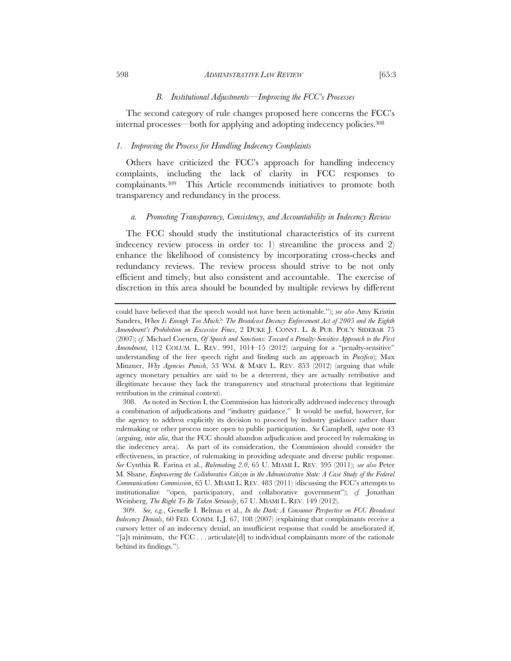#### 598 *ADMINISTRATIVE LAW REVIEW* [65:3

#### *B. Institutional Adjustments—Improving the FCC's Processes*

The second category of rule changes proposed here concerns the FCC's internal processes—both for applying and adopting indecency policies.308

# *1. Improving the Process for Handling Indecency Complaints*

Others have criticized the FCC's approach for handling indecency complaints, including the lack of clarity in FCC responses to complainants.309 This Article recommends initiatives to promote both transparency and redundancy in the process.

### *a. Promoting Transparency, Consistency, and Accountability in Indecency Review*

The FCC should study the institutional characteristics of its current indecency review process in order to: 1) streamline the process and 2) enhance the likelihood of consistency by incorporating cross-checks and redundancy reviews. The review process should strive to be not only efficient and timely, but also consistent and accountable. The exercise of discretion in this area should be bounded by multiple reviews by different

could have believed that the speech would not have been actionable."); *see also* Amy Kristin Sanders, *When Is Enough Too Much?: The Broadcast Decency Enforcement Act of 2005 and the Eighth Amendment's Prohibition on Excessive Fines*, 2 DUKE J. CONST. L. & PUB. POL'Y SIDEBAR 75 (2007); *cf.* Michael Coenen, *Of Speech and Sanctions: Toward a Penalty-Sensitive Approach to the First Amendment*, 112 COLUM. L. REV. 991, 1014–15 (2012) (arguing for a "penalty-sensitive" understanding of the free speech right and finding such an approach in *Pacifica*); Max Minzner, *Why Agencies Punish*, 53 WM. & MARY L. REV. 853 (2012) (arguing that while agency monetary penalties are said to be a deterrent, they are actually retributive and illegitimate because they lack the transparency and structural protections that legitimize retribution in the criminal context).

 <sup>308.</sup> As noted in Section I, the Commission has historically addressed indecency through a combination of adjudications and "industry guidance." It would be useful, however, for the agency to address explicitly its decision to proceed by industry guidance rather than rulemaking or other process more open to public participation. *See* Campbell, *supra* note 43 (arguing, *inter alia*, that the FCC should abandon adjudication and proceed by rulemaking in the indecency area). As part of its consideration, the Commission should consider the effectiveness, in practice, of rulemaking in providing adequate and diverse public response. *See* Cynthia R. Farina et al., *Rulemaking 2.0*, 65 U. MIAMI L. REV. 395 (2011); *see also* Peter M. Shane, *Empowering the Collaborative Citizen in the Administrative State: A Case Study of the Federal Communications Commission*, 65 U. MIAMI L. REV. 483 (2011) (discussing the FCC's attempts to institutionalize "open, participatory, and collaborative government"); *cf.* Jonathan Weinberg, *The Right To Be Taken Seriously*, 67 U. MIAMI L. REV. 149 (2012).

 <sup>309.</sup> *See, e.g.*, Genelle I. Belmas et al., *In the Dark: A Consumer Perspective on FCC Broadcast Indecency Denials*, 60 FED. COMM. L.J. 67, 108 (2007) (explaining that complainants receive a cursory letter of an indecency denial, an insufficient response that could be ameliorated if, "[a]t minimum, the FCC . . . articulate<sup>[d]</sup> to individual complainants more of the rationale behind its findings.").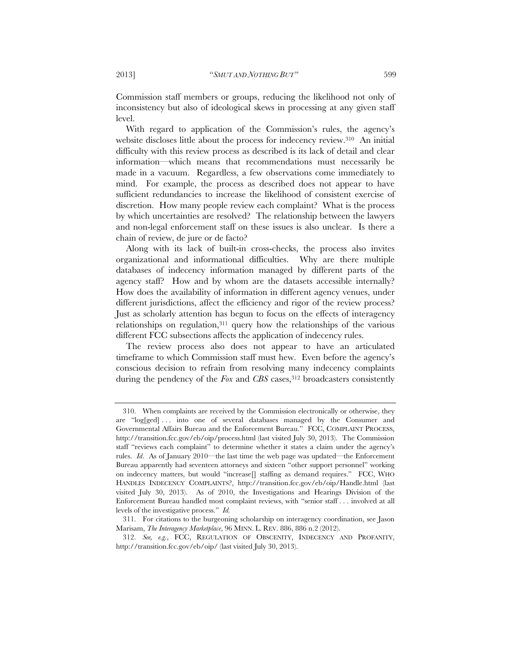Commission staff members or groups, reducing the likelihood not only of inconsistency but also of ideological skews in processing at any given staff level.

With regard to application of the Commission's rules, the agency's website discloses little about the process for indecency review.<sup>310</sup> An initial difficulty with this review process as described is its lack of detail and clear information—which means that recommendations must necessarily be made in a vacuum. Regardless, a few observations come immediately to mind. For example, the process as described does not appear to have sufficient redundancies to increase the likelihood of consistent exercise of discretion. How many people review each complaint? What is the process by which uncertainties are resolved? The relationship between the lawyers and non-legal enforcement staff on these issues is also unclear. Is there a chain of review, de jure or de facto?

Along with its lack of built-in cross-checks, the process also invites organizational and informational difficulties. Why are there multiple databases of indecency information managed by different parts of the agency staff? How and by whom are the datasets accessible internally? How does the availability of information in different agency venues, under different jurisdictions, affect the efficiency and rigor of the review process? Just as scholarly attention has begun to focus on the effects of interagency relationships on regulation,311 query how the relationships of the various different FCC subsections affects the application of indecency rules.

The review process also does not appear to have an articulated timeframe to which Commission staff must hew. Even before the agency's conscious decision to refrain from resolving many indecency complaints during the pendency of the *Fox* and *CBS* cases,<sup>312</sup> broadcasters consistently

 <sup>310.</sup> When complaints are received by the Commission electronically or otherwise, they are "log[ged] . . . into one of several databases managed by the Consumer and Governmental Affairs Bureau and the Enforcement Bureau." FCC, COMPLAINT PROCESS, http://transition.fcc.gov/eb/oip/process.html (last visited July 30, 2013). The Commission staff "reviews each complaint" to determine whether it states a claim under the agency's rules. *Id*. As of January 2010—the last time the web page was updated—the Enforcement Bureau apparently had seventeen attorneys and sixteen "other support personnel" working on indecency matters, but would "increase[] staffing as demand requires." FCC, WHO HANDLES INDECENCY COMPLAINTS?, http://transition.fcc.gov/eb/oip/Handle.html (last visited July 30, 2013). As of 2010, the Investigations and Hearings Division of the Enforcement Bureau handled most complaint reviews, with "senior staff . . . involved at all levels of the investigative process." *Id.*

 <sup>311.</sup> For citations to the burgeoning scholarship on interagency coordination, see Jason Marisam, *The Interagency Marketplace*, 96 MINN. L. REV. 886, 886 n.2 (2012).

 <sup>312.</sup> *See, e.g.*, FCC, REGULATION OF OBSCENITY, INDECENCY AND PROFANITY, http://transition.fcc.gov/eb/oip/ (last visited July 30, 2013).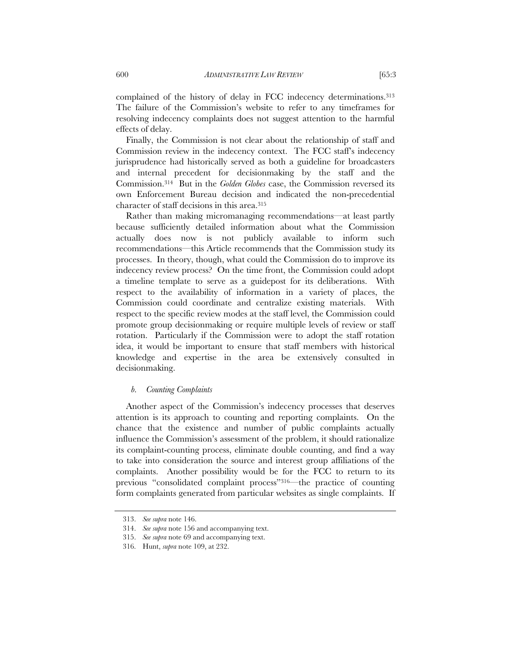complained of the history of delay in FCC indecency determinations.313 The failure of the Commission's website to refer to any timeframes for resolving indecency complaints does not suggest attention to the harmful effects of delay.

Finally, the Commission is not clear about the relationship of staff and Commission review in the indecency context. The FCC staff's indecency jurisprudence had historically served as both a guideline for broadcasters and internal precedent for decisionmaking by the staff and the Commission.314 But in the *Golden Globes* case, the Commission reversed its own Enforcement Bureau decision and indicated the non-precedential character of staff decisions in this area.315

Rather than making micromanaging recommendations—at least partly because sufficiently detailed information about what the Commission actually does now is not publicly available to inform such recommendations—this Article recommends that the Commission study its processes. In theory, though, what could the Commission do to improve its indecency review process? On the time front, the Commission could adopt a timeline template to serve as a guidepost for its deliberations. With respect to the availability of information in a variety of places, the Commission could coordinate and centralize existing materials. With respect to the specific review modes at the staff level, the Commission could promote group decisionmaking or require multiple levels of review or staff rotation. Particularly if the Commission were to adopt the staff rotation idea, it would be important to ensure that staff members with historical knowledge and expertise in the area be extensively consulted in decisionmaking.

#### *b. Counting Complaints*

Another aspect of the Commission's indecency processes that deserves attention is its approach to counting and reporting complaints. On the chance that the existence and number of public complaints actually influence the Commission's assessment of the problem, it should rationalize its complaint-counting process, eliminate double counting, and find a way to take into consideration the source and interest group affiliations of the complaints. Another possibility would be for the FCC to return to its previous "consolidated complaint process"316—the practice of counting form complaints generated from particular websites as single complaints. If

 <sup>313.</sup> *See supra* note 146.

 <sup>314.</sup> *See supra* note 156 and accompanying text.

 <sup>315.</sup> *See supra* note 69 and accompanying text.

 <sup>316.</sup> Hunt, *supra* note 109, at 232.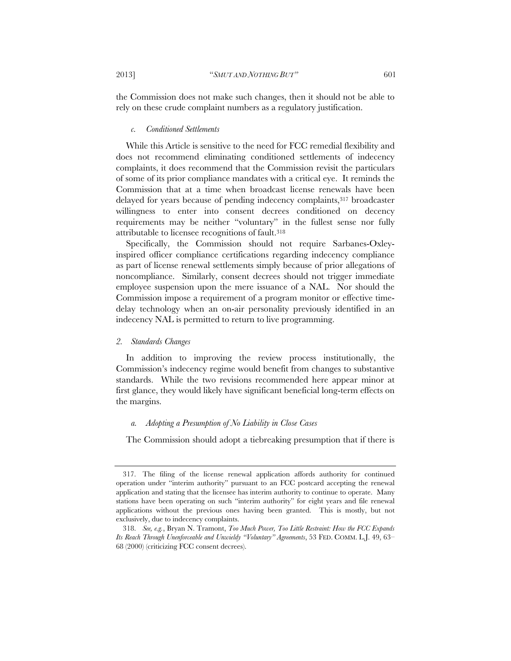the Commission does not make such changes, then it should not be able to rely on these crude complaint numbers as a regulatory justification.

#### *c. Conditioned Settlements*

While this Article is sensitive to the need for FCC remedial flexibility and does not recommend eliminating conditioned settlements of indecency complaints, it does recommend that the Commission revisit the particulars of some of its prior compliance mandates with a critical eye. It reminds the Commission that at a time when broadcast license renewals have been delayed for years because of pending indecency complaints, 317 broadcaster willingness to enter into consent decrees conditioned on decency requirements may be neither "voluntary" in the fullest sense nor fully attributable to licensee recognitions of fault.318

Specifically, the Commission should not require Sarbanes-Oxleyinspired officer compliance certifications regarding indecency compliance as part of license renewal settlements simply because of prior allegations of noncompliance. Similarly, consent decrees should not trigger immediate employee suspension upon the mere issuance of a NAL. Nor should the Commission impose a requirement of a program monitor or effective timedelay technology when an on-air personality previously identified in an indecency NAL is permitted to return to live programming.

#### *2. Standards Changes*

In addition to improving the review process institutionally, the Commission's indecency regime would benefit from changes to substantive standards. While the two revisions recommended here appear minor at first glance, they would likely have significant beneficial long-term effects on the margins.

### *a. Adopting a Presumption of No Liability in Close Cases*

The Commission should adopt a tiebreaking presumption that if there is

 <sup>317.</sup> The filing of the license renewal application affords authority for continued operation under "interim authority" pursuant to an FCC postcard accepting the renewal application and stating that the licensee has interim authority to continue to operate. Many stations have been operating on such "interim authority" for eight years and file renewal applications without the previous ones having been granted. This is mostly, but not exclusively, due to indecency complaints.

 <sup>318.</sup> *See, e.g.*, Bryan N. Tramont, *Too Much Power, Too Little Restraint: How the FCC Expands Its Reach Through Unenforceable and Unwieldy "Voluntary" Agreements*, 53 FED. COMM. L.J. 49, 63– 68 (2000) (criticizing FCC consent decrees).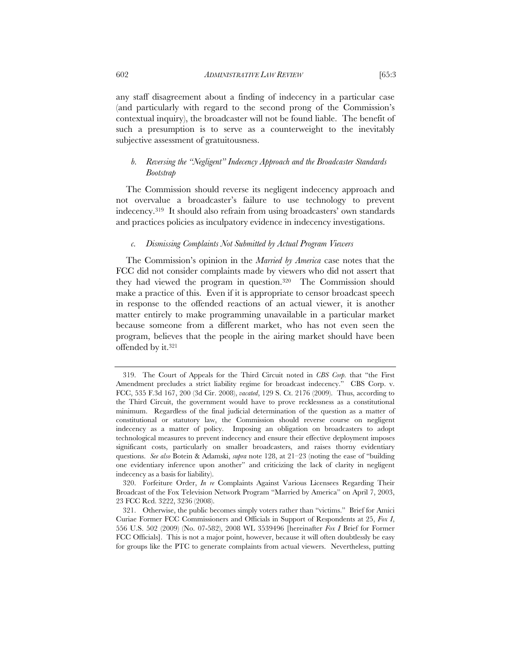any staff disagreement about a finding of indecency in a particular case (and particularly with regard to the second prong of the Commission's contextual inquiry), the broadcaster will not be found liable. The benefit of such a presumption is to serve as a counterweight to the inevitably subjective assessment of gratuitousness.

# *b. Reversing the "Negligent" Indecency Approach and the Broadcaster Standards Bootstrap*

The Commission should reverse its negligent indecency approach and not overvalue a broadcaster's failure to use technology to prevent indecency.319 It should also refrain from using broadcasters' own standards and practices policies as inculpatory evidence in indecency investigations.

## *c. Dismissing Complaints Not Submitted by Actual Program Viewers*

The Commission's opinion in the *Married by America* case notes that the FCC did not consider complaints made by viewers who did not assert that they had viewed the program in question.320 The Commission should make a practice of this. Even if it is appropriate to censor broadcast speech in response to the offended reactions of an actual viewer, it is another matter entirely to make programming unavailable in a particular market because someone from a different market, who has not even seen the program, believes that the people in the airing market should have been offended by it.321

 320. Forfeiture Order, *In re* Complaints Against Various Licensees Regarding Their Broadcast of the Fox Television Network Program "Married by America" on April 7, 2003, 23 FCC Rcd. 3222, 3236 (2008).

 <sup>319.</sup> The Court of Appeals for the Third Circuit noted in *CBS Corp.* that "the First Amendment precludes a strict liability regime for broadcast indecency." CBS Corp. v. FCC, 535 F.3d 167, 200 (3d Cir. 2008), *vacated*, 129 S. Ct. 2176 (2009). Thus, according to the Third Circuit, the government would have to prove recklessness as a constitutional minimum. Regardless of the final judicial determination of the question as a matter of constitutional or statutory law, the Commission should reverse course on negligent indecency as a matter of policy. Imposing an obligation on broadcasters to adopt technological measures to prevent indecency and ensure their effective deployment imposes significant costs, particularly on smaller broadcasters, and raises thorny evidentiary questions. *See also* Botein & Adamski, *supra* note 128, at 21–23 (noting the ease of "building one evidentiary inference upon another" and criticizing the lack of clarity in negligent indecency as a basis for liability).

 <sup>321.</sup> Otherwise, the public becomes simply voters rather than "victims." Brief for Amici Curiae Former FCC Commissioners and Officials in Support of Respondents at 25, *Fox I*, 556 U.S. 502 (2009) (No. 07-582), 2008 WL 3539496 [hereinafter *Fox I* Brief for Former FCC Officials]. This is not a major point, however, because it will often doubtlessly be easy for groups like the PTC to generate complaints from actual viewers. Nevertheless, putting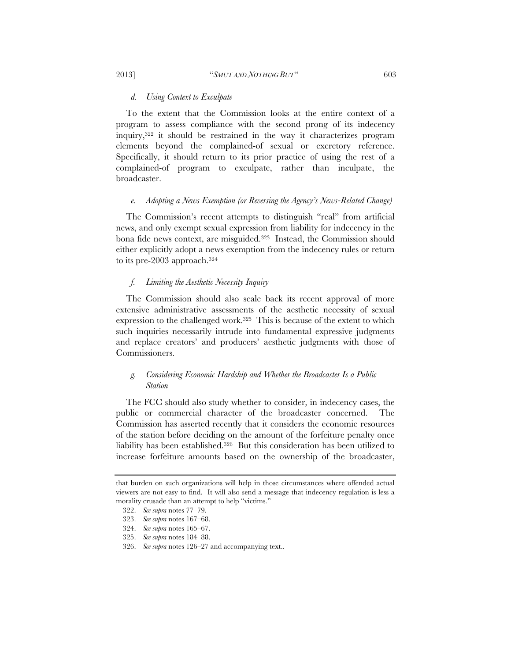#### *d. Using Context to Exculpate*

To the extent that the Commission looks at the entire context of a program to assess compliance with the second prong of its indecency inquiry,322 it should be restrained in the way it characterizes program elements beyond the complained-of sexual or excretory reference. Specifically, it should return to its prior practice of using the rest of a complained-of program to exculpate, rather than inculpate, the broadcaster.

### *e. Adopting a News Exemption (or Reversing the Agency's News-Related Change)*

The Commission's recent attempts to distinguish "real" from artificial news, and only exempt sexual expression from liability for indecency in the bona fide news context, are misguided.<sup>323</sup> Instead, the Commission should either explicitly adopt a news exemption from the indecency rules or return to its pre-2003 approach.324

## *f. Limiting the Aesthetic Necessity Inquiry*

The Commission should also scale back its recent approval of more extensive administrative assessments of the aesthetic necessity of sexual expression to the challenged work.325 This is because of the extent to which such inquiries necessarily intrude into fundamental expressive judgments and replace creators' and producers' aesthetic judgments with those of Commissioners.

# *g. Considering Economic Hardship and Whether the Broadcaster Is a Public Station*

The FCC should also study whether to consider, in indecency cases, the public or commercial character of the broadcaster concerned. The Commission has asserted recently that it considers the economic resources of the station before deciding on the amount of the forfeiture penalty once liability has been established.326 But this consideration has been utilized to increase forfeiture amounts based on the ownership of the broadcaster,

that burden on such organizations will help in those circumstances where offended actual viewers are not easy to find. It will also send a message that indecency regulation is less a morality crusade than an attempt to help "victims."

 <sup>322.</sup> *See supra* notes 77–79.

 <sup>323.</sup> *See supra* notes 167–68.

 <sup>324.</sup> *See supra* notes 165–67.

 <sup>325.</sup> *See supra* notes 184–88.

 <sup>326.</sup> *See supra* notes 126–27 and accompanying text..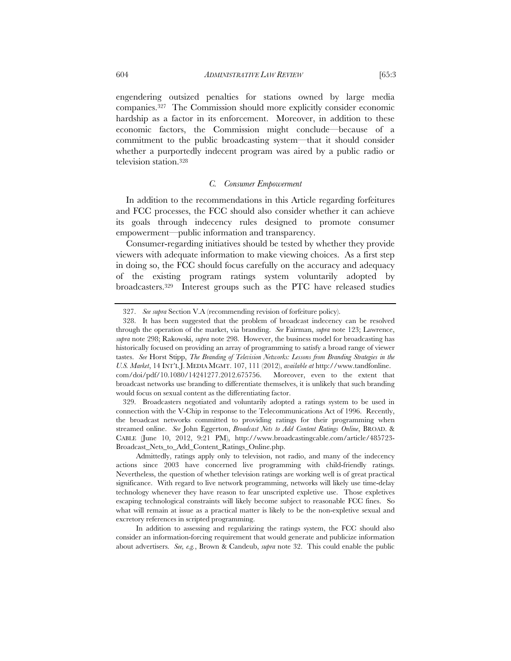engendering outsized penalties for stations owned by large media companies.327 The Commission should more explicitly consider economic hardship as a factor in its enforcement. Moreover, in addition to these economic factors, the Commission might conclude—because of a commitment to the public broadcasting system—that it should consider whether a purportedly indecent program was aired by a public radio or television station.328

## *C. Consumer Empowerment*

In addition to the recommendations in this Article regarding forfeitures and FCC processes, the FCC should also consider whether it can achieve its goals through indecency rules designed to promote consumer empowerment—public information and transparency.

Consumer-regarding initiatives should be tested by whether they provide viewers with adequate information to make viewing choices. As a first step in doing so, the FCC should focus carefully on the accuracy and adequacy of the existing program ratings system voluntarily adopted by broadcasters.329 Interest groups such as the PTC have released studies

 329. Broadcasters negotiated and voluntarily adopted a ratings system to be used in connection with the V-Chip in response to the Telecommunications Act of 1996. Recently, the broadcast networks committed to providing ratings for their programming when streamed online. *See* John Eggerton, *Broadcast Nets to Add Content Ratings Online*, BROAD. & CABLE (June 10, 2012, 9:21 PM), http://www.broadcastingcable.com/article/485723- Broadcast\_Nets\_to\_Add\_Content\_Ratings\_Online.php.

In addition to assessing and regularizing the ratings system, the FCC should also consider an information-forcing requirement that would generate and publicize information about advertisers. *See, e.g.*, Brown & Candeub, *supra* note 32. This could enable the public

 <sup>327.</sup> *See supra* Section V.A (recommending revision of forfeiture policy).

 <sup>328.</sup> It has been suggested that the problem of broadcast indecency can be resolved through the operation of the market, via branding. *See* Fairman, *supra* note 123; Lawrence, *supra* note 298; Rakowski, *supra* note 298. However, the business model for broadcasting has historically focused on providing an array of programming to satisfy a broad range of viewer tastes. *See* Horst Stipp, *The Branding of Television Networks: Lessons from Branding Strategies in the U.S. Market*, 14 INT'L J. MEDIA MGMT. 107, 111 (2012), *available at* http://www.tandfonline. com/doi/pdf/10.1080/14241277.2012.675756. Moreover, even to the extent that broadcast networks use branding to differentiate themselves, it is unlikely that such branding would focus on sexual content as the differentiating factor.

Admittedly, ratings apply only to television, not radio, and many of the indecency actions since 2003 have concerned live programming with child-friendly ratings. Nevertheless, the question of whether television ratings are working well is of great practical significance. With regard to live network programming, networks will likely use time-delay technology whenever they have reason to fear unscripted expletive use. Those expletives escaping technological constraints will likely become subject to reasonable FCC fines. So what will remain at issue as a practical matter is likely to be the non-expletive sexual and excretory references in scripted programming.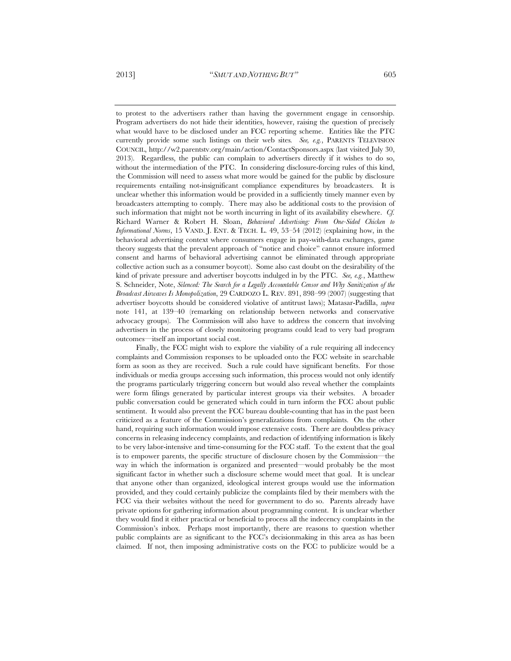to protest to the advertisers rather than having the government engage in censorship. Program advertisers do not hide their identities, however, raising the question of precisely what would have to be disclosed under an FCC reporting scheme. Entities like the PTC currently provide some such listings on their web sites*. See, e.g.*, PARENTS TELEVISION COUNCIL, http://w2.parentstv.org/main/action/ContactSponsors.aspx (last visited July 30, 2013). Regardless, the public can complain to advertisers directly if it wishes to do so, without the intermediation of the PTC. In considering disclosure-forcing rules of this kind, the Commission will need to assess what more would be gained for the public by disclosure requirements entailing not-insignificant compliance expenditures by broadcasters. It is unclear whether this information would be provided in a sufficiently timely manner even by broadcasters attempting to comply. There may also be additional costs to the provision of such information that might not be worth incurring in light of its availability elsewhere. *Cf.* Richard Warner & Robert H. Sloan, *Behavioral Advertising: From One-Sided Chicken to Informational Norms*, 15 VAND. J. ENT. & TECH. L. 49, 53–54 (2012) (explaining how, in the behavioral advertising context where consumers engage in pay-with-data exchanges, game theory suggests that the prevalent approach of "notice and choice" cannot ensure informed consent and harms of behavioral advertising cannot be eliminated through appropriate collective action such as a consumer boycott). Some also cast doubt on the desirability of the kind of private pressure and advertiser boycotts indulged in by the PTC. *See, e.g.*, Matthew S. Schneider, Note, *Silenced: The Search for a Legally Accountable Censor and Why Sanitization of the Broadcast Airwaves Is Monopolization*, 29 CARDOZO L. REV. 891, 898–99 (2007) (suggesting that advertiser boycotts should be considered violative of antitrust laws); Matasar-Padilla, *supra*  note 141, at 139–40 (remarking on relationship between networks and conservative advocacy groups). The Commission will also have to address the concern that involving advertisers in the process of closely monitoring programs could lead to very bad program outcomes—itself an important social cost.

Finally, the FCC might wish to explore the viability of a rule requiring all indecency complaints and Commission responses to be uploaded onto the FCC website in searchable form as soon as they are received. Such a rule could have significant benefits. For those individuals or media groups accessing such information, this process would not only identify the programs particularly triggering concern but would also reveal whether the complaints were form filings generated by particular interest groups via their websites. A broader public conversation could be generated which could in turn inform the FCC about public sentiment. It would also prevent the FCC bureau double-counting that has in the past been criticized as a feature of the Commission's generalizations from complaints. On the other hand, requiring such information would impose extensive costs. There are doubtless privacy concerns in releasing indecency complaints, and redaction of identifying information is likely to be very labor-intensive and time-consuming for the FCC staff. To the extent that the goal is to empower parents, the specific structure of disclosure chosen by the Commission—the way in which the information is organized and presented—would probably be the most significant factor in whether such a disclosure scheme would meet that goal. It is unclear that anyone other than organized, ideological interest groups would use the information provided, and they could certainly publicize the complaints filed by their members with the FCC via their websites without the need for government to do so. Parents already have private options for gathering information about programming content. It is unclear whether they would find it either practical or beneficial to process all the indecency complaints in the Commission's inbox. Perhaps most importantly, there are reasons to question whether public complaints are as significant to the FCC's decisionmaking in this area as has been claimed. If not, then imposing administrative costs on the FCC to publicize would be a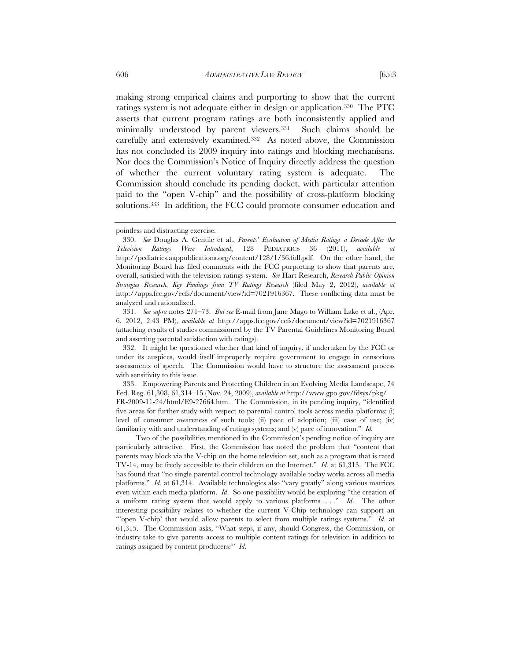making strong empirical claims and purporting to show that the current ratings system is not adequate either in design or application.330 The PTC asserts that current program ratings are both inconsistently applied and minimally understood by parent viewers.331 Such claims should be carefully and extensively examined.332 As noted above, the Commission has not concluded its 2009 inquiry into ratings and blocking mechanisms. Nor does the Commission's Notice of Inquiry directly address the question of whether the current voluntary rating system is adequate. The Commission should conclude its pending docket, with particular attention paid to the "open V-chip" and the possibility of cross-platform blocking solutions.333 In addition, the FCC could promote consumer education and

 331. *See supra* notes 271–73. *But see* E-mail from Jane Mago to William Lake et al., (Apr. 6, 2012, 2:43 PM), *available at* http://apps.fcc.gov/ecfs/document/view?id=7021916367 (attaching results of studies commissioned by the TV Parental Guidelines Monitoring Board and asserting parental satisfaction with ratings).

 332. It might be questioned whether that kind of inquiry, if undertaken by the FCC or under its auspices, would itself improperly require government to engage in censorious assessments of speech. The Commission would have to structure the assessment process with sensitivity to this issue.

 333. Empowering Parents and Protecting Children in an Evolving Media Landscape, 74 Fed. Reg. 61,308, 61,314–15 (Nov. 24, 2009), *available at* http://www.gpo.gov/fdsys/pkg/ FR-2009-11-24/html/E9-27664.htm. The Commission, in its pending inquiry, "identified five areas for further study with respect to parental control tools across media platforms: (i) level of consumer awareness of such tools; (ii) pace of adoption; (iii) ease of use; (iv) familiarity with and understanding of ratings systems; and (v) pace of innovation." *Id.* 

Two of the possibilities mentioned in the Commission's pending notice of inquiry are particularly attractive. First, the Commission has noted the problem that "content that parents may block via the V-chip on the home television set, such as a program that is rated TV-14, may be freely accessible to their children on the Internet." *Id.* at 61,313. The FCC has found that "no single parental control technology available today works across all media platforms." *Id*. at 61,314. Available technologies also "vary greatly" along various matrices even within each media platform. *Id*. So one possibility would be exploring "the creation of a uniform rating system that would apply to various platforms . . . ." *Id*. The other interesting possibility relates to whether the current V-Chip technology can support an "'open V-chip' that would allow parents to select from multiple ratings systems." *Id*. at 61,315. The Commission asks, "What steps, if any, should Congress, the Commission, or industry take to give parents access to multiple content ratings for television in addition to ratings assigned by content producers?" *Id*.

pointless and distracting exercise.

 <sup>330.</sup> *See* Douglas A. Gentile et al., *Parents' Evaluation of Media Ratings a Decade After the Television Ratings Were Introduced*, 128 PEDIATRICS 36 (2011), *available at*  http://pediatrics.aappublications.org/content/128/1/36.full.pdf. On the other hand, the Monitoring Board has filed comments with the FCC purporting to show that parents are, overall, satisfied with the television ratings system. *See* Hart Research, *Research Public Opinion Strategies Research, Key Findings from TV Ratings Research* (filed May 2, 2012), *available at* http://apps.fcc.gov/ecfs/document/view?id=7021916367. These conflicting data must be analyzed and rationalized.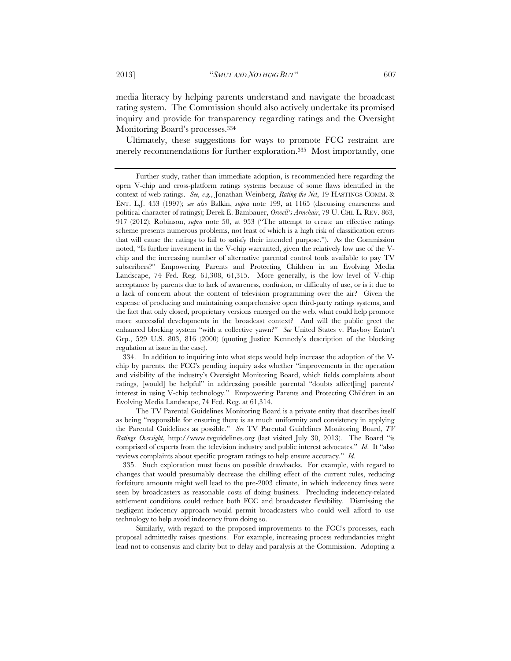media literacy by helping parents understand and navigate the broadcast rating system. The Commission should also actively undertake its promised inquiry and provide for transparency regarding ratings and the Oversight Monitoring Board's processes.334

Ultimately, these suggestions for ways to promote FCC restraint are merely recommendations for further exploration.335 Most importantly, one

 334. In addition to inquiring into what steps would help increase the adoption of the Vchip by parents, the FCC's pending inquiry asks whether "improvements in the operation and visibility of the industry's Oversight Monitoring Board, which fields complaints about ratings, [would] be helpful" in addressing possible parental "doubts affect[ing] parents' interest in using V-chip technology." Empowering Parents and Protecting Children in an Evolving Media Landscape, 74 Fed. Reg. at 61,314.

The TV Parental Guidelines Monitoring Board is a private entity that describes itself as being "responsible for ensuring there is as much uniformity and consistency in applying the Parental Guidelines as possible." *See* TV Parental Guidelines Monitoring Board, *TV Ratings Oversight*, http://www.tvguidelines.org (last visited July 30, 2013). The Board "is comprised of experts from the television industry and public interest advocates." *Id*. It "also reviews complaints about specific program ratings to help ensure accuracy." *Id*.

 335. Such exploration must focus on possible drawbacks. For example, with regard to changes that would presumably decrease the chilling effect of the current rules, reducing forfeiture amounts might well lead to the pre-2003 climate, in which indecency fines were seen by broadcasters as reasonable costs of doing business. Precluding indecency-related settlement conditions could reduce both FCC and broadcaster flexibility. Dismissing the negligent indecency approach would permit broadcasters who could well afford to use technology to help avoid indecency from doing so.

Similarly, with regard to the proposed improvements to the FCC's processes, each proposal admittedly raises questions. For example, increasing process redundancies might lead not to consensus and clarity but to delay and paralysis at the Commission. Adopting a

Further study, rather than immediate adoption, is recommended here regarding the open V-chip and cross-platform ratings systems because of some flaws identified in the context of web ratings. *See, e.g.*, Jonathan Weinberg, *Rating the Net*, 19 HASTINGS COMM. & ENT. L.J. 453 (1997); *see also* Balkin, *supra* note 199, at 1165 (discussing coarseness and political character of ratings); Derek E. Bambauer, *Orwell's Armchair*, 79 U. CHI. L. REV. 863, 917 (2012); Robinson, *supra* note 50, at 953 ("The attempt to create an effective ratings scheme presents numerous problems, not least of which is a high risk of classification errors that will cause the ratings to fail to satisfy their intended purpose."). As the Commission noted, "Is further investment in the V-chip warranted, given the relatively low use of the Vchip and the increasing number of alternative parental control tools available to pay TV subscribers?" Empowering Parents and Protecting Children in an Evolving Media Landscape, 74 Fed. Reg. 61,308, 61,315. More generally, is the low level of V-chip acceptance by parents due to lack of awareness, confusion, or difficulty of use, or is it due to a lack of concern about the content of television programming over the air? Given the expense of producing and maintaining comprehensive open third-party ratings systems, and the fact that only closed, proprietary versions emerged on the web, what could help promote more successful developments in the broadcast context? And will the public greet the enhanced blocking system "with a collective yawn?" *See* United States v. Playboy Entm't Grp., 529 U.S. 803, 816 (2000) (quoting Justice Kennedy's description of the blocking regulation at issue in the case).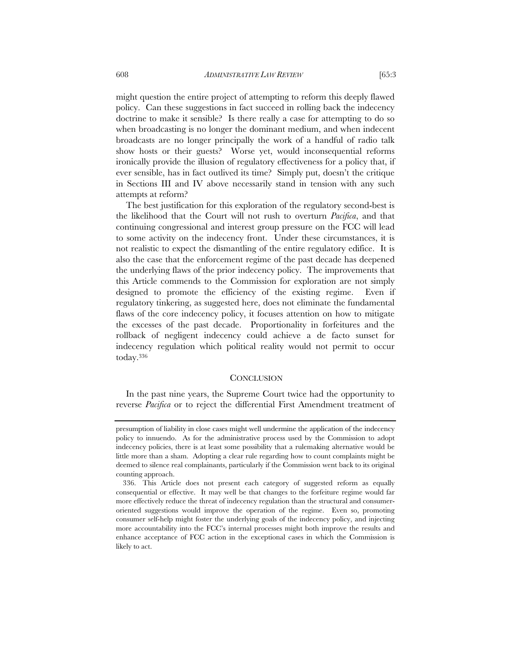might question the entire project of attempting to reform this deeply flawed policy. Can these suggestions in fact succeed in rolling back the indecency doctrine to make it sensible? Is there really a case for attempting to do so when broadcasting is no longer the dominant medium, and when indecent broadcasts are no longer principally the work of a handful of radio talk show hosts or their guests? Worse yet, would inconsequential reforms ironically provide the illusion of regulatory effectiveness for a policy that, if ever sensible, has in fact outlived its time? Simply put, doesn't the critique in Sections III and IV above necessarily stand in tension with any such attempts at reform?

The best justification for this exploration of the regulatory second-best is the likelihood that the Court will not rush to overturn *Pacifica*, and that continuing congressional and interest group pressure on the FCC will lead to some activity on the indecency front. Under these circumstances, it is not realistic to expect the dismantling of the entire regulatory edifice. It is also the case that the enforcement regime of the past decade has deepened the underlying flaws of the prior indecency policy. The improvements that this Article commends to the Commission for exploration are not simply designed to promote the efficiency of the existing regime. Even if regulatory tinkering, as suggested here, does not eliminate the fundamental flaws of the core indecency policy, it focuses attention on how to mitigate the excesses of the past decade. Proportionality in forfeitures and the rollback of negligent indecency could achieve a de facto sunset for indecency regulation which political reality would not permit to occur today.336

#### **CONCLUSION**

In the past nine years, the Supreme Court twice had the opportunity to reverse *Pacifica* or to reject the differential First Amendment treatment of

presumption of liability in close cases might well undermine the application of the indecency policy to innuendo. As for the administrative process used by the Commission to adopt indecency policies, there is at least some possibility that a rulemaking alternative would be little more than a sham. Adopting a clear rule regarding how to count complaints might be deemed to silence real complainants, particularly if the Commission went back to its original counting approach.

 <sup>336.</sup> This Article does not present each category of suggested reform as equally consequential or effective. It may well be that changes to the forfeiture regime would far more effectively reduce the threat of indecency regulation than the structural and consumeroriented suggestions would improve the operation of the regime. Even so, promoting consumer self-help might foster the underlying goals of the indecency policy, and injecting more accountability into the FCC's internal processes might both improve the results and enhance acceptance of FCC action in the exceptional cases in which the Commission is likely to act.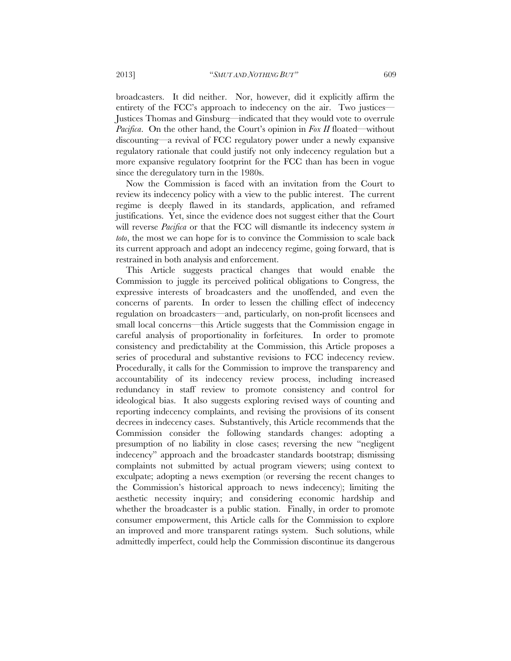broadcasters. It did neither. Nor, however, did it explicitly affirm the entirety of the FCC's approach to indecency on the air. Two justices— Justices Thomas and Ginsburg—indicated that they would vote to overrule *Pacifica*. On the other hand, the Court's opinion in *Fox II* floated—without discounting—a revival of FCC regulatory power under a newly expansive regulatory rationale that could justify not only indecency regulation but a more expansive regulatory footprint for the FCC than has been in vogue since the deregulatory turn in the 1980s.

Now the Commission is faced with an invitation from the Court to review its indecency policy with a view to the public interest. The current regime is deeply flawed in its standards, application, and reframed justifications. Yet, since the evidence does not suggest either that the Court will reverse *Pacifica* or that the FCC will dismantle its indecency system *in toto*, the most we can hope for is to convince the Commission to scale back its current approach and adopt an indecency regime, going forward, that is restrained in both analysis and enforcement.

This Article suggests practical changes that would enable the Commission to juggle its perceived political obligations to Congress, the expressive interests of broadcasters and the unoffended, and even the concerns of parents. In order to lessen the chilling effect of indecency regulation on broadcasters—and, particularly, on non-profit licensees and small local concerns—this Article suggests that the Commission engage in careful analysis of proportionality in forfeitures. In order to promote consistency and predictability at the Commission, this Article proposes a series of procedural and substantive revisions to FCC indecency review. Procedurally, it calls for the Commission to improve the transparency and accountability of its indecency review process, including increased redundancy in staff review to promote consistency and control for ideological bias. It also suggests exploring revised ways of counting and reporting indecency complaints, and revising the provisions of its consent decrees in indecency cases. Substantively, this Article recommends that the Commission consider the following standards changes: adopting a presumption of no liability in close cases; reversing the new "negligent indecency" approach and the broadcaster standards bootstrap; dismissing complaints not submitted by actual program viewers; using context to exculpate; adopting a news exemption (or reversing the recent changes to the Commission's historical approach to news indecency); limiting the aesthetic necessity inquiry; and considering economic hardship and whether the broadcaster is a public station. Finally, in order to promote consumer empowerment, this Article calls for the Commission to explore an improved and more transparent ratings system. Such solutions, while admittedly imperfect, could help the Commission discontinue its dangerous